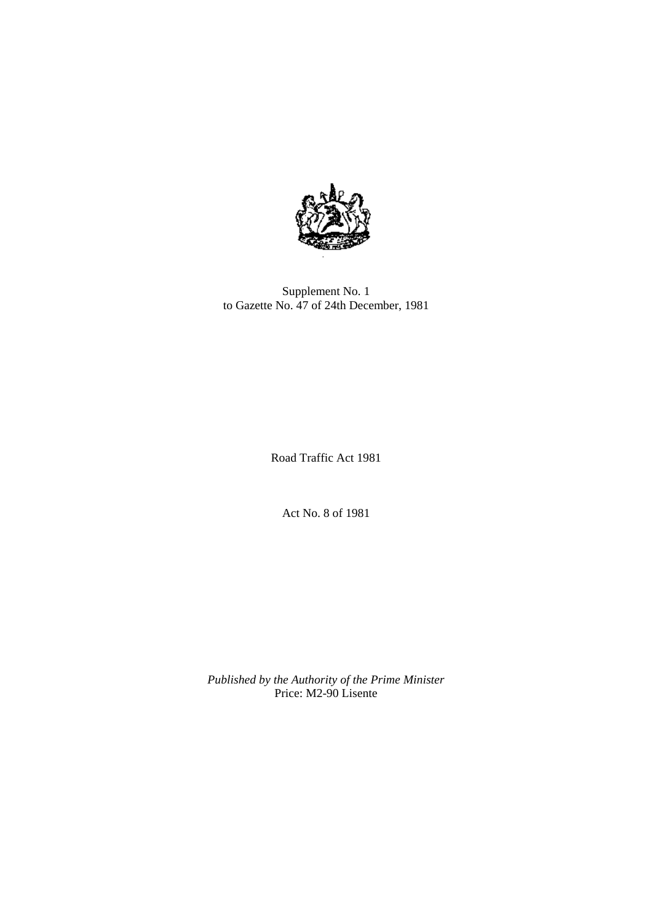

Supplement No. 1 to Gazette No. 47 of 24th December, 1981

Road Traffic Act 1981

Act No. 8 of 1981

*Published by the Authority of the Prime Minister*  Price: M2-90 Lisente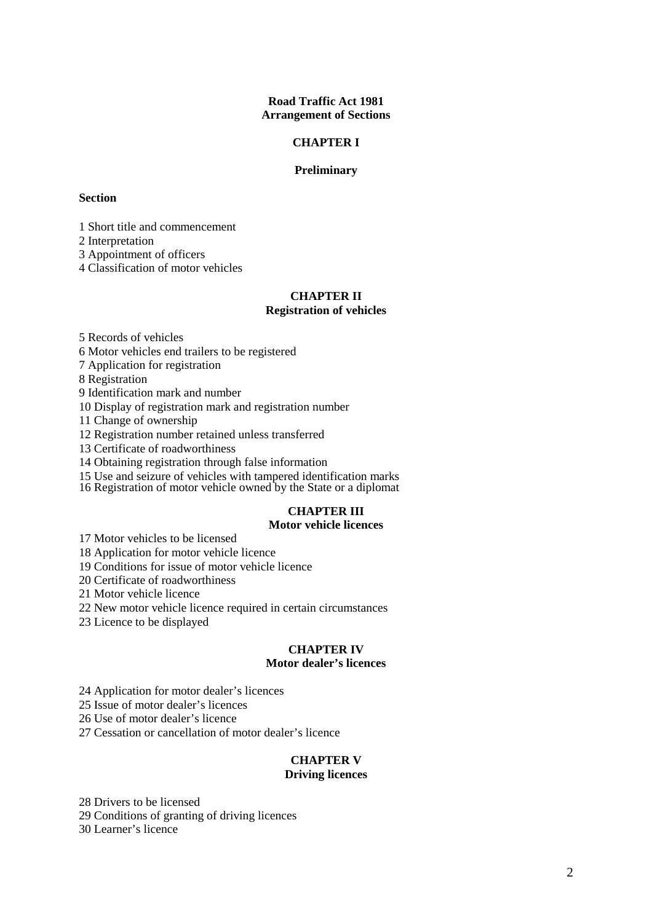## **Road Traffic Act 1981 Arrangement of Sections**

## **CHAPTER I**

## **Preliminary**

## **Section**

1 Short title and commencement

2 Interpretation

3 Appointment of officers

4 Classification of motor vehicles

## **CHAPTER II Registration of vehicles**

5 Records of vehicles

6 Motor vehicles end trailers to be registered

7 Application for registration

8 Registration

9 Identification mark and number

10 Display of registration mark and registration number

11 Change of ownership

12 Registration number retained unless transferred

13 Certificate of roadworthiness

14 Obtaining registration through false information

15 Use and seizure of vehicles with tampered identification marks

16 Registration of motor vehicle owned by the State or a diplomat

## **CHAPTER III Motor vehicle licences**

17 Motor vehicles to be licensed

18 Application for motor vehicle licence

19 Conditions for issue of motor vehicle licence

20 Certificate of roadworthiness

21 Motor vehicle licence

22 New motor vehicle licence required in certain circumstances

23 Licence to be displayed

## **CHAPTER IV Motor dealer's licences**

24 Application for motor dealer's licences

25 Issue of motor dealer's licences

26 Use of motor dealer's licence

27 Cessation or cancellation of motor dealer's licence

## **CHAPTER V Driving licences**

28 Drivers to be licensed

29 Conditions of granting of driving licences

30 Learner's licence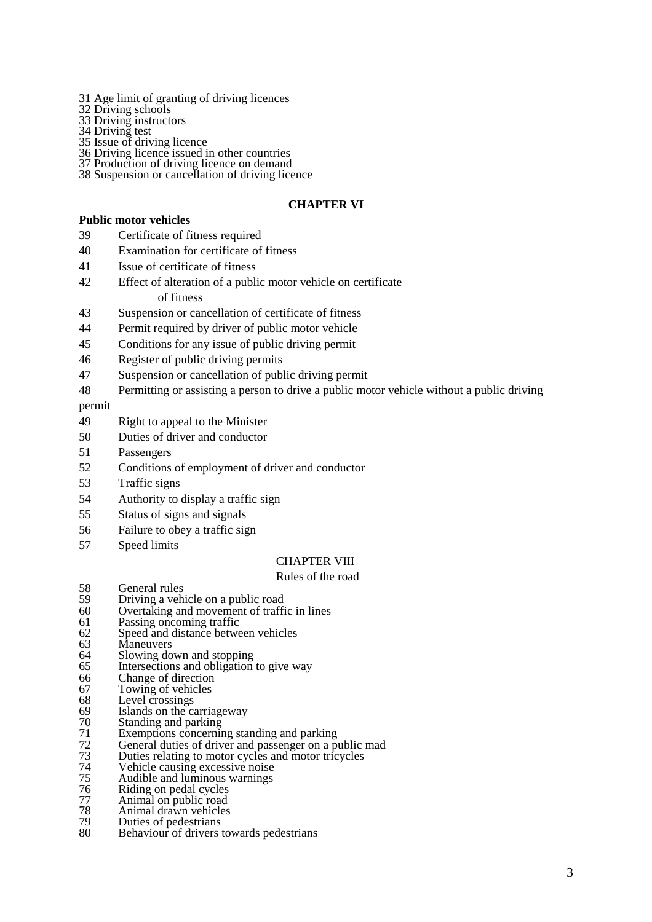- 31 Age limit of granting of driving licences
- 32 Driving schools
- 33 Driving instructors
- 34 Driving test
- 35 Issue of driving licence
- 36 Driving licence issued in other countries
- 37 Production of driving licence on demand
- 38 Suspension or cancellation of driving licence

#### **CHAPTER VI**

#### **Public motor vehicles**

- 39 Certificate of fitness required
- 40 Examination for certificate of fitness
- 41 Issue of certificate of fitness
- 42 Effect of alteration of a public motor vehicle on certificate of fitness
- 43 Suspension or cancellation of certificate of fitness
- 44 Permit required by driver of public motor vehicle
- 45 Conditions for any issue of public driving permit
- 46 Register of public driving permits
- 47 Suspension or cancellation of public driving permit
- 48 Permitting or assisting a person to drive a public motor vehicle without a public driving

#### permit

- 49 Right to appeal to the Minister
- 50 Duties of driver and conductor
- 51 Passengers
- 52 Conditions of employment of driver and conductor
- 53 Traffic signs
- 54 Authority to display a traffic sign
- 55 Status of signs and signals
- 56 Failure to obey a traffic sign
- 57 Speed limits

## CHAPTER VIII

- S8 General rules Rules of the road 58 General rules<br>59 Driving a veh
- 59 Driving a vehicle on a public road<br>60 Overtaking and movement of traff
- 60 Overtaking and movement of traffic in lines
- 61 Passing oncoming traffic<br>62 Speed and distance betwe
- 62 Speed and distance between vehicles<br>63 Maneuvers
- 63 Maneuvers
- 64 Slowing down and stopping<br>65 Intersections and obligation
- 65 Intersections and obligation to give way<br>66 Change of direction
- 66 Change of direction<br>67 Towing of vehicles
- 67 Towing of vehicles<br>68 Level crossings
- 68 Level crossings<br>69 Islands on the c
- 69 Islands on the carriageway<br>70 Standing and parking
- 70 Standing and parking<br>71 Exemptions concerning
- 
- 71 Exemptions concerning standing and parking<br>
72 General duties of driver and passenger on a p<br>
73 Duties relating to motor cycles and motor tric<br>
74 Vehicle causing excessive noise<br>
75 Audible and luminous warnings<br>
76 R General duties of driver and passenger on a public mad
- Duties relating to motor cycles and motor tricycles *Putter Frame to motel by Free a*
- Audible and luminous warnings
- Riding on pedal cycles
- Animal on public road
- Animal drawn vehicles
- 79 Duties of pedestrians<br>80 Behaviour of drivers
- Behaviour of drivers towards pedestrians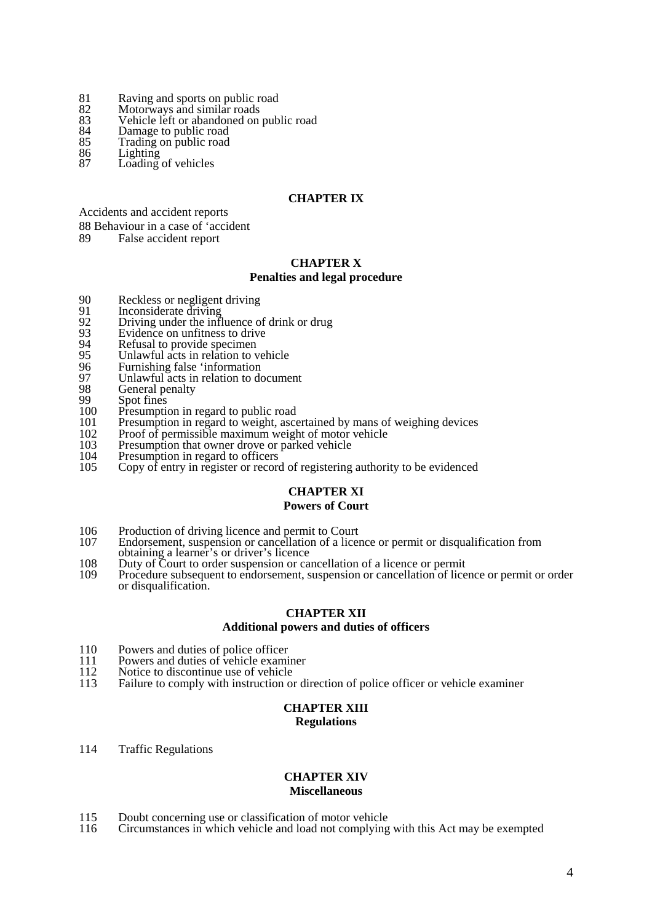- 81 Raving and sports on public road
- 82 Motorways and similar roads 81 Raving and sports on p<br>82 Motorways and similar<br>83 Vehicle left or abandor<br>84 Damage to public road<br>85 Trading on public road
- 83 Vehicle left or abandoned on public road
- 
- 85 Trading on public road<br>86 Lighting
- 86 Lighting
- 87 Loading of vehicles

## **CHAPTER IX**

Accidents and accident reports

- 88 Behaviour in a case of 'accident<br>89 Balse accident report
- False accident report

## **CHAPTER X**

## **Penalties and legal procedure**

- 90 Reckless or negligent driving<br>91 Inconsiderate driving
- 
- Driving under the influence of drink or drug
- 91 Inconsiderate driving<br>92 Driving under the infl<br>93 Evidence on unfitness<br>94 Refusal to provide sp Evidence on unfitness to drive
- 94 Refusal to provide specimen<br>95 Unlawful acts in relation to y
- 95 Unlawful acts in relation to vehicle<br>96 Furnishing false 'information
- 96 Furnishing false 'information<br>97 Unlawful acts in relation to do
- 97 Unlawful acts in relation to document<br>98 General penalty
- 98 General penalty<br>99 Spot fines
- 99 Spot fines<br>100 Presumpti
- 100 Presumption in regard to public road<br>101 Presumption in regard to weight, asce 101 Presumption in regard to weight, ascertained by mans of weighing devices
- 102 Proof of permissible maximum weight of motor vehicle
- 103 Presumption that owner drove or parked vehicle<br>104 Presumption in regard to officers
- 104 Presumption in regard to officers<br>105 Copy of entry in register or record
- Copy of entry in register or record of registering authority to be evidenced

# **CHAPTER XI**

## **Powers of Court**

- 106 Production of driving licence and permit to Court
- 107 Endorsement, suspension or cancellation of a licence or permit or disqualification from obtaining a learner's or driver's licence
- 108 Duty of Court to order suspension or cancellation of a licence or permit 109 Procedure subsequent to endorsement, suspension or cancellation of lice
- 109 Procedure subsequent to endorsement, suspension or cancellation of licence or permit or order or disqualification.

## **CHAPTER XII**

## **Additional powers and duties of officers**

- 110 Powers and duties of police officer<br>111 Powers and duties of vehicle exami
- 111 Powers and duties of vehicle examiner<br>112 Notice to discontinue use of vehicle
- 112 Notice to discontinue use of vehicle<br>113 Failure to comply with instruction of
- Failure to comply with instruction or direction of police officer or vehicle examiner

## **CHAPTER XIII Regulations**

114 Traffic Regulations

## **CHAPTER XIV Miscellaneous**

- 115 Doubt concerning use or classification of motor vehicle
- 116 Circumstances in which vehicle and load not complying with this Act may be exempted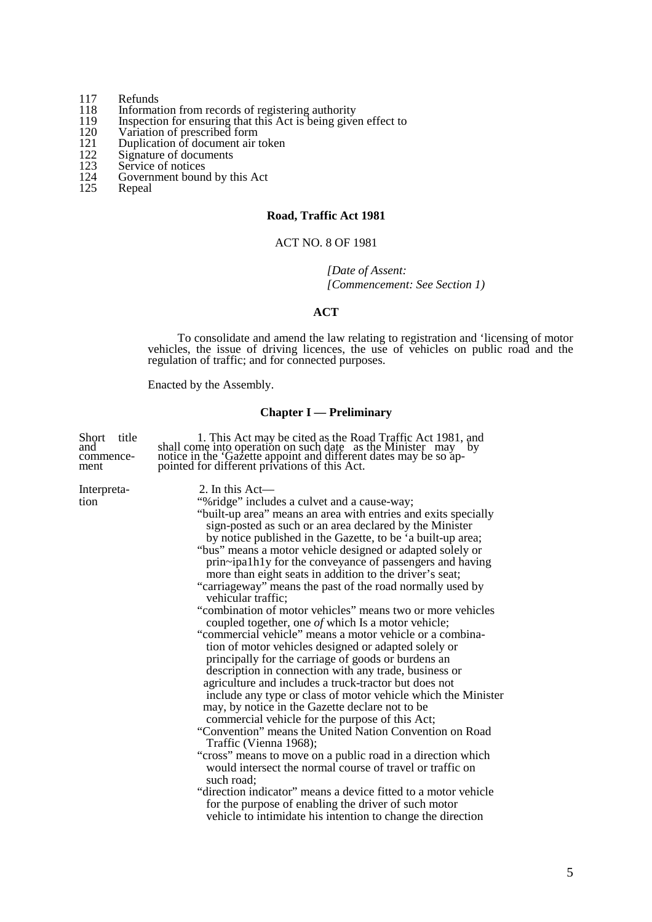- 117 Refunds
- 118 Information from records of registering authority
- 119 Inspection for ensuring that this Act is being given effect to
- 120 Variation of prescribed form
- 121 Duplication of document air token
- 122 Signature of documents 121 Duplica<br>
121 Duplica<br>
123 Service<br>
124 Govern<br>
125 Repeal
- 123 Service of notices
- 124 Government bound by this Act
- 

#### **Road, Traffic Act 1981**

#### ACT NO. 8 OF 1981

*[Date of Assent: [Commencement: See Section 1)* 

## **ACT**

To consolidate and amend the law relating to registration and 'licensing of motor vehicles, the issue of driving licences, the use of vehicles on public road and the regulation of traffic; and for connected purposes.

Enacted by the Assembly.

## **Chapter I — Preliminary**

| title<br>Short<br>and<br>commence-<br>ment | 1. This Act may be cited as the Road Traffic Act 1981, and shall come into operation on such date as the Minister may by notice in the 'Gazette appoint and different dates may be so appointed for different privations of th                                                                                                                                                                                                                                                                                                                                                                                                                                                                                                                                                                                                                                                                                                                                                                                                                                                                                                                                                                                                                                                                                                                                                                                                |
|--------------------------------------------|-------------------------------------------------------------------------------------------------------------------------------------------------------------------------------------------------------------------------------------------------------------------------------------------------------------------------------------------------------------------------------------------------------------------------------------------------------------------------------------------------------------------------------------------------------------------------------------------------------------------------------------------------------------------------------------------------------------------------------------------------------------------------------------------------------------------------------------------------------------------------------------------------------------------------------------------------------------------------------------------------------------------------------------------------------------------------------------------------------------------------------------------------------------------------------------------------------------------------------------------------------------------------------------------------------------------------------------------------------------------------------------------------------------------------------|
| Interpreta-<br>tion                        | 2. In this $Act$ —<br>"%ridge" includes a culvet and a cause-way;<br>"built-up area" means an area with entries and exits specially<br>sign-posted as such or an area declared by the Minister<br>by notice published in the Gazette, to be 'a built-up area;<br>"bus" means a motor vehicle designed or adapted solely or<br>prin~ipalh1y for the conveyance of passengers and having<br>more than eight seats in addition to the driver's seat;<br>"carriageway" means the past of the road normally used by<br>vehicular traffic;<br>"combination of motor vehicles" means two or more vehicles<br>coupled together, one of which Is a motor vehicle;<br>"commercial vehicle" means a motor vehicle or a combina-<br>tion of motor vehicles designed or adapted solely or<br>principally for the carriage of goods or burdens an<br>description in connection with any trade, business or<br>agriculture and includes a truck-tractor but does not<br>include any type or class of motor vehicle which the Minister<br>may, by notice in the Gazette declare not to be<br>commercial vehicle for the purpose of this Act;<br>"Convention" means the United Nation Convention on Road<br>Traffic (Vienna 1968);<br>"cross" means to move on a public road in a direction which<br>would intersect the normal course of travel or traffic on<br>such road;<br>"direction indicator" means a device fitted to a motor vehicle |
|                                            | for the purpose of enabling the driver of such motor<br>vehicle to intimidate his intention to change the direction                                                                                                                                                                                                                                                                                                                                                                                                                                                                                                                                                                                                                                                                                                                                                                                                                                                                                                                                                                                                                                                                                                                                                                                                                                                                                                           |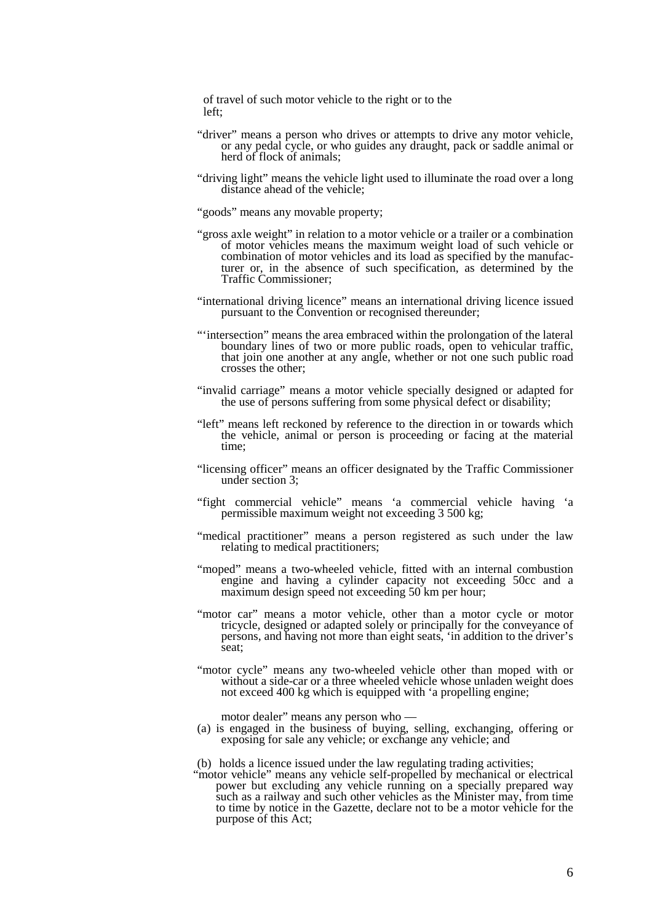of travel of such motor vehicle to the right or to the left;

- "driver" means a person who drives or attempts to drive any motor vehicle, or any pedal cycle, or who guides any draught, pack or saddle animal or herd of flock of animals;
- "driving light" means the vehicle light used to illuminate the road over a long distance ahead of the vehicle;
- "goods" means any movable property;
- "gross axle weight" in relation to a motor vehicle or a trailer or a combination of motor vehicles means the maximum weight load of such vehicle or combination of motor vehicles and its load as specified by the manufacturer or, in the absence of such specification, as determined by the Traffic Commissioner;
- "international driving licence" means an international driving licence issued pursuant to the Convention or recognised thereunder;
- "'intersection" means the area embraced within the prolongation of the lateral boundary lines of two or more public roads, open to vehicular traffic, that join one another at any angle, whether or not one such public road crosses the other;
- "invalid carriage" means a motor vehicle specially designed or adapted for the use of persons suffering from some physical defect or disability;
- "left" means left reckoned by reference to the direction in or towards which the vehicle, animal or person is proceeding or facing at the material time;
- "licensing officer" means an officer designated by the Traffic Commissioner under section 3:
- "fight commercial vehicle" means 'a commercial vehicle having 'a permissible maximum weight not exceeding 3 500 kg;
- "medical practitioner" means a person registered as such under the law relating to medical practitioners;
- "moped" means a two-wheeled vehicle, fitted with an internal combustion engine and having a cylinder capacity not exceeding 50cc and a maximum design speed not exceeding 50 km per hour;
- "motor car" means a motor vehicle, other than a motor cycle or motor tricycle, designed or adapted solely or principally for the conveyance of persons, and having not more than eight seats, 'in addition to the driver's seat;
- "motor cycle" means any two-wheeled vehicle other than moped with or without a side-car or a three wheeled vehicle whose unladen weight does not exceed 400 kg which is equipped with 'a propelling engine;

motor dealer" means any person who —

- (a) is engaged in the business of buying, selling, exchanging, offering or exposing for sale any vehicle; or exchange any vehicle; and
- (b) holds a licence issued under the law regulating trading activities;
- "motor vehicle" means any vehicle self-propelled by mechanical or electrical power but excluding any vehicle running on a specially prepared way such as a railway and such other vehicles as the Minister may, from time to time by notice in the Gazette, declare not to be a motor vehicle for the purpose of this Act;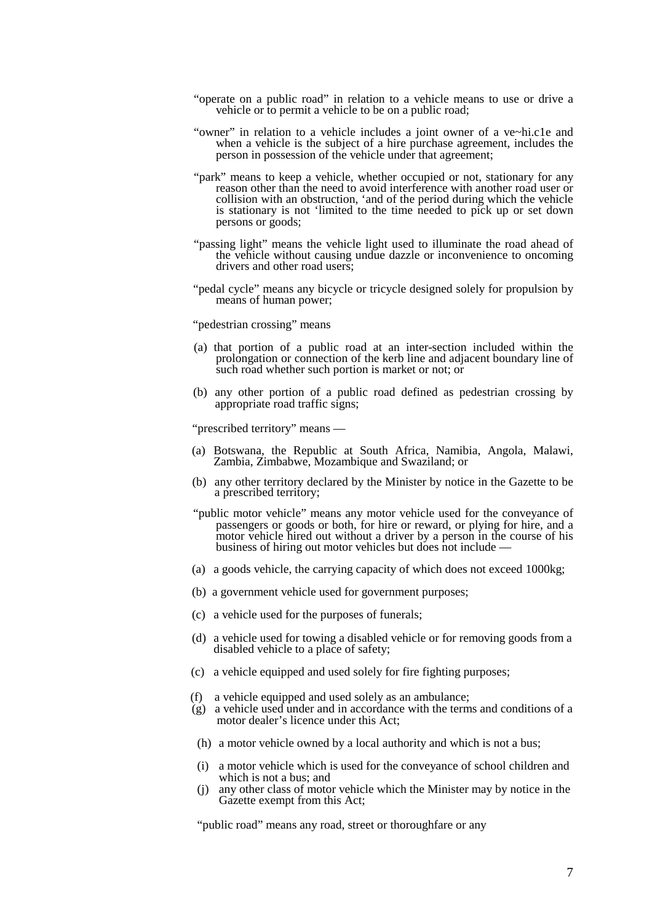- "operate on a public road" in relation to a vehicle means to use or drive a vehicle or to permit a vehicle to be on a public road;
- "owner" in relation to a vehicle includes a joint owner of a ve~hi.c1e and when a vehicle is the subject of a hire purchase agreement, includes the person in possession of the vehicle under that agreement;
- "park" means to keep a vehicle, whether occupied or not, stationary for any reason other than the need to avoid interference with another road user or collision with an obstruction, 'and of the period during which the vehicle is stationary is not 'limited to the time needed to pick up or set down persons or goods;
- "passing light" means the vehicle light used to illuminate the road ahead of the vehicle without causing undue dazzle or inconvenience to oncoming drivers and other road users;
- "pedal cycle" means any bicycle or tricycle designed solely for propulsion by means of human power;

"pedestrian crossing" means

- (a) that portion of a public road at an inter-section included within the prolongation or connection of the kerb line and adjacent boundary line of such road whether such portion is market or not; or
- (b) any other portion of a public road defined as pedestrian crossing by appropriate road traffic signs;

"prescribed territory" means —

- (a) Botswana, the Republic at South Africa, Namibia, Angola, Malawi, Zambia, Zimbabwe, Mozambique and Swaziland; or
- (b) any other territory declared by the Minister by notice in the Gazette to be a prescribed territory;
- "public motor vehicle" means any motor vehicle used for the conveyance of passengers or goods or both, for hire or reward, or plying for hire, and a motor vehicle hired out without a driver by a person in the course of his business of hiring out motor vehicles but does not include —
- (a) a goods vehicle, the carrying capacity of which does not exceed 1000kg;
- (b) a government vehicle used for government purposes;
- (c) a vehicle used for the purposes of funerals;
- (d) a vehicle used for towing a disabled vehicle or for removing goods from a disabled vehicle to a place of safety;
- (c) a vehicle equipped and used solely for fire fighting purposes;
- (f) a vehicle equipped and used solely as an ambulance;
- (g) a vehicle used under and in accordance with the terms and conditions of a motor dealer's licence under this Act;
- (h) a motor vehicle owned by a local authority and which is not a bus;
- (i) a motor vehicle which is used for the conveyance of school children and which is not a bus; and
- (j) any other class of motor vehicle which the Minister may by notice in the Gazette exempt from this Act;

"public road" means any road, street or thoroughfare or any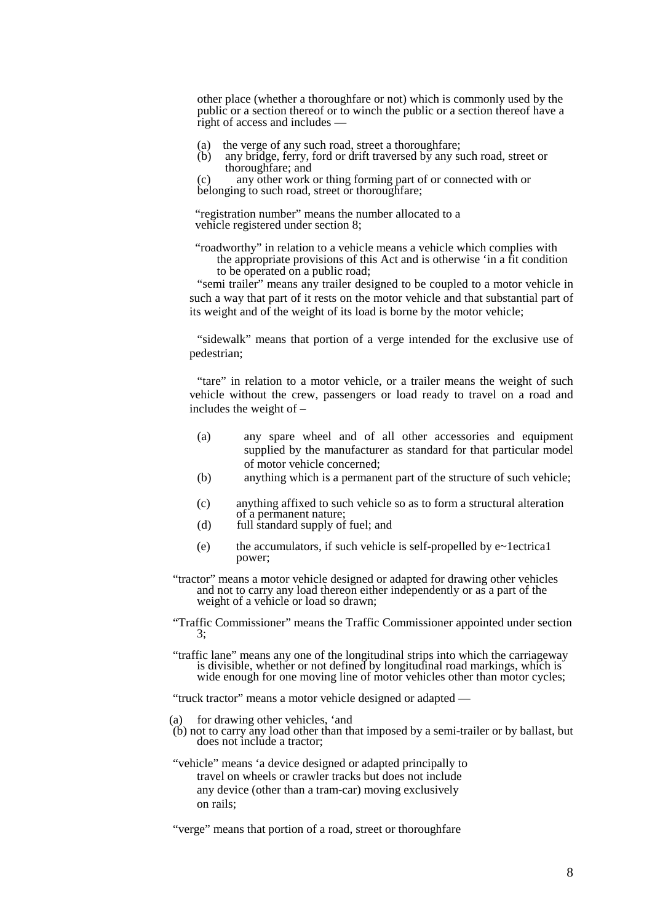other place (whether a thoroughfare or not) which is commonly used by the public or a section thereof or to winch the public or a section thereof have a right of access and includes —

- (a) the verge of any such road, street a thoroughfare;<br>(b) any bridge, ferry, ford or drift traversed by any st
- any bridge, ferry, ford or drift traversed by any such road, street or thoroughfare; and
- (c) any other work or thing forming part of or connected with or belonging to such road, street or thoroughfare;

"registration number" means the number allocated to a vehicle registered under section 8;

"roadworthy" in relation to a vehicle means a vehicle which complies with the appropriate provisions of this Act and is otherwise 'in a fit condition to be operated on a public road;

"semi trailer" means any trailer designed to be coupled to a motor vehicle in such a way that part of it rests on the motor vehicle and that substantial part of its weight and of the weight of its load is borne by the motor vehicle;

"sidewalk" means that portion of a verge intended for the exclusive use of pedestrian;

"tare" in relation to a motor vehicle, or a trailer means the weight of such vehicle without the crew, passengers or load ready to travel on a road and includes the weight of –

- (a) any spare wheel and of all other accessories and equipment supplied by the manufacturer as standard for that particular model of motor vehicle concerned;
- (b) anything which is a permanent part of the structure of such vehicle;
- (c) anything affixed to such vehicle so as to form a structural alteration of a permanent nature;<br>(d) full standard supply of fuel; and (d) diagrams are the state.<br>
(d) full standard supply of fuel; and
- 
- (e) the accumulators, if such vehicle is self-propelled by  $e$ ~1ectrica1 power;
- "tractor" means a motor vehicle designed or adapted for drawing other vehicles and not to carry any load thereon either independently or as a part of the weight of a vehicle or load so drawn;
- "Traffic Commissioner" means the Traffic Commissioner appointed under section 3;
- "traffic lane" means any one of the longitudinal strips into which the carriageway is divisible, whether or not defined by longitudinal road markings, which is wide enough for one moving line of motor vehicles other than motor cycles;

"truck tractor" means a motor vehicle designed or adapted —

- (a) for drawing other vehicles, 'and
- (b) not to carry any load other than that imposed by a semi-trailer or by ballast, but does not include a tractor;
- "vehicle" means 'a device designed or adapted principally to travel on wheels or crawler tracks but does not include any device (other than a tram-car) moving exclusively on rails;

<sup>&</sup>quot;verge" means that portion of a road, street or thoroughfare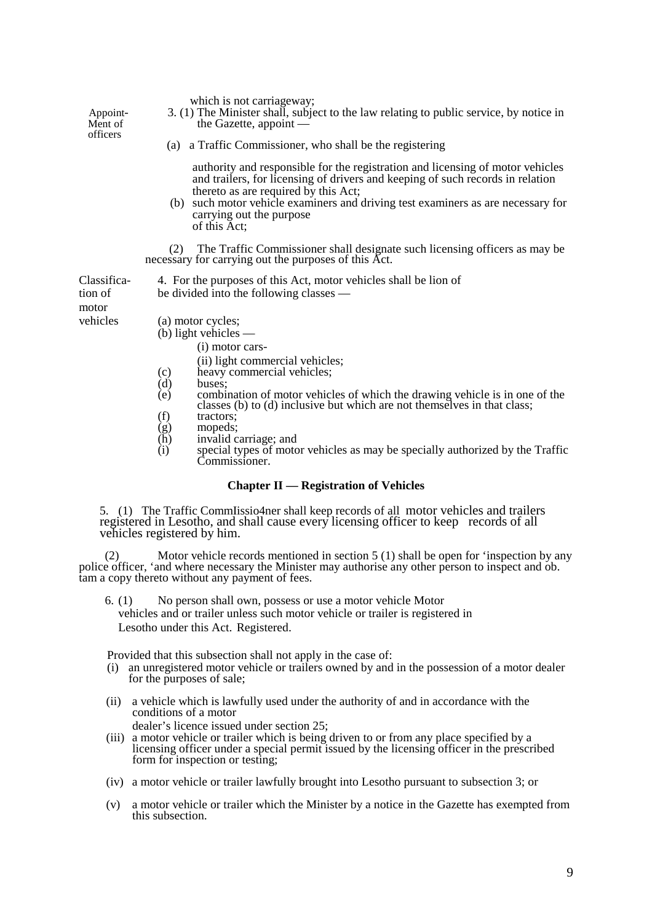which is not carriageway;

- Appoint- 3. (1) The Minister shall, subject to the law relating to public service, by notice in Ment of the Gazette, appoint
	- (a) a Traffic Commissioner, who shall be the registering

authority and responsible for the registration and licensing of motor vehicles and trailers, for licensing of drivers and keeping of such records in relation thereto as are required by this Act;

(b) such motor vehicle examiners and driving test examiners as are necessary for carrying out the purpose of this Act;

(2) The Traffic Commissioner shall designate such licensing officers as may be necessary for carrying out the purposes of this Act.

Classifica- 4. For the purposes of this Act, motor vehicles shall be lion of tion of be divided into the following classes be divided into the following classes  $$ motor vehicles (a) motor cycles;

- (b) light vehicles
	- (i) motor cars-
	- (ii) light commercial vehicles;
- (c) heavy commercial vehicles;
- 
- (d) buses; combination of motor vehicles of which the drawing vehicle is in one of the classes (b) to (d) inclusive but which are not themselves in that class;
- (f) tractors;
- $(g)$  mopeds;<br>(h) invalid c
- invalid carriage; and
- (i) special types of motor vehicles as may be specially authorized by the Traffic Commissioner.

#### **Chapter II — Registration of Vehicles**

5. (1) The Traffic CommIissio4ner shall keep records of all motor vehicles and trailers registered in Lesotho, and shall cause every licensing officer to keep records of all vehicles registered by him.

Motor vehicle records mentioned in section 5 (1) shall be open for 'inspection by any police officer, 'and where necessary the Minister may authorise any other person to inspect and ob. tam a copy thereto without any payment of fees.

6. (1) No person shall own, possess or use a motor vehicle Motor vehicles and or trailer unless such motor vehicle or trailer is registered in Lesotho under this Act. Registered.

Provided that this subsection shall not apply in the case of:

- (i) an unregistered motor vehicle or trailers owned by and in the possession of a motor dealer for the purposes of sale;
- (ii) a vehicle which is lawfully used under the authority of and in accordance with the conditions of a motor dealer's licence issued under section 25;
- (iii) a motor vehicle or trailer which is being driven to or from any place specified by a licensing officer under a special permit issued by the licensing officer in the prescribed form for inspection or testing;
- (iv) a motor vehicle or trailer lawfully brought into Lesotho pursuant to subsection 3; or
- (v) a motor vehicle or trailer which the Minister by a notice in the Gazette has exempted from this subsection.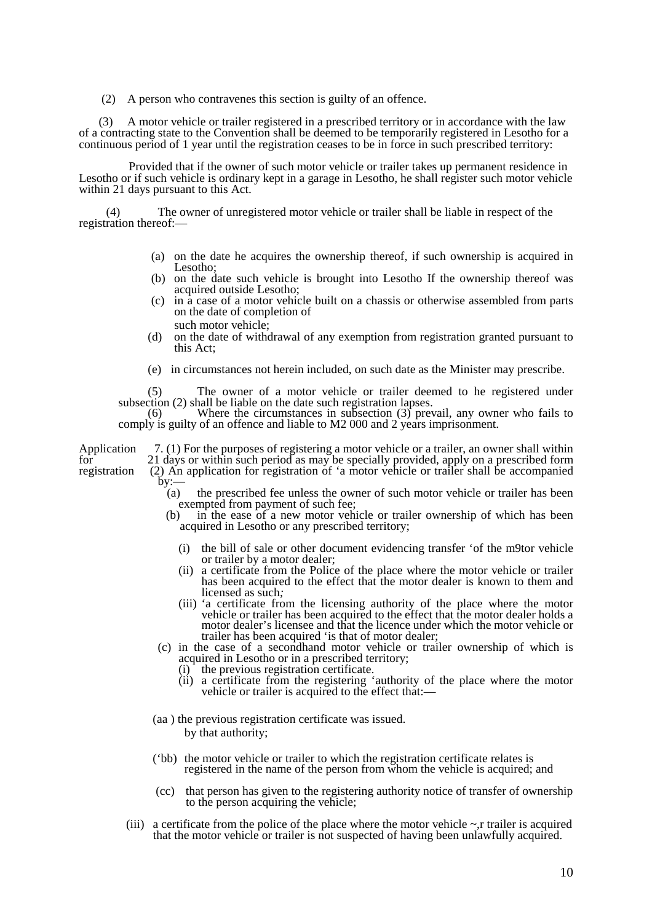(2) A person who contravenes this section is guilty of an offence.

(3) A motor vehicle or trailer registered in a prescribed territory or in accordance with the law of a contracting state to the Convention shall be deemed to be temporarily registered in Lesotho for a continuous period of 1 year until the registration ceases to be in force in such prescribed territory:

Provided that if the owner of such motor vehicle or trailer takes up permanent residence in Lesotho or if such vehicle is ordinary kept in a garage in Lesotho, he shall register such motor vehicle within 21 days pursuant to this Act.

(4) The owner of unregistered motor vehicle or trailer shall be liable in respect of the registration thereof:—

- (a) on the date he acquires the ownership thereof, if such ownership is acquired in Lesotho;
- (b) on the date such vehicle is brought into Lesotho If the ownership thereof was acquired outside Lesotho;
- (c) in a case of a motor vehicle built on a chassis or otherwise assembled from parts on the date of completion of such motor vehicle;
- (d) on the date of withdrawal of any exemption from registration granted pursuant to this Act;
- (e) in circumstances not herein included, on such date as the Minister may prescribe.

(5) The owner of a motor vehicle or trailer deemed to he registered under subsection (2) shall be liable on the date such registration lapses.

 $\sum_{k=1}^{\infty}$  (6) Where the circumstances in subsection (3) prevail, any owner who fails to comply is guilty of an offence and liable to M2 000 and 2 years imprisonment.

Application 7. (1) For the purposes of registering a motor vehicle or a trailer, an owner shall within for 21 days or within such period as may be specially provided, apply on a prescribed form registration (2) An application for registration of 'a motor vehicle or trailer shall be accompanied  $\frac{by:}{(a)}$ 

- the prescribed fee unless the owner of such motor vehicle or trailer has been  $\epsilon$  exempted from payment of such fee;<br>(b) in the ease of a new motor vehi
- in the ease of a new motor vehicle or trailer ownership of which has been acquired in Lesotho or any prescribed territory;
	- (i) the bill of sale or other document evidencing transfer 'of the m9tor vehicle or trailer by a motor dealer;
	- (ii) a certificate from the Police of the place where the motor vehicle or trailer has been acquired to the effect that the motor dealer is known to them and licensed as such*;*
	- (iii) 'a certificate from the licensing authority of the place where the motor vehicle or trailer has been acquired to the effect that the motor dealer holds a motor dealer's licensee and that the licence under which the motor vehicle or trailer has been acquired 'is that of motor dealer;
- (c) in the case of a secondhand motor vehicle or trailer ownership of which is acquired in Lesotho or in a prescribed territory;
	- $(i)$  the previous registration certificate.
	- (ii) a certificate from the registering 'authority of the place where the motor vehicle or trailer is acquired to the effect that:—
- (aa ) the previous registration certificate was issued. by that authority;
- ('bb) the motor vehicle or trailer to which the registration certificate relates is registered in the name of the person from whom the vehicle is acquired; and
- (cc) that person has given to the registering authority notice of transfer of ownership to the person acquiring the vehicle;
- (iii) a certificate from the police of the place where the motor vehicle  $\sim$ , trailer is acquired that the motor vehicle or trailer is not suspected of having been unlawfully acquired.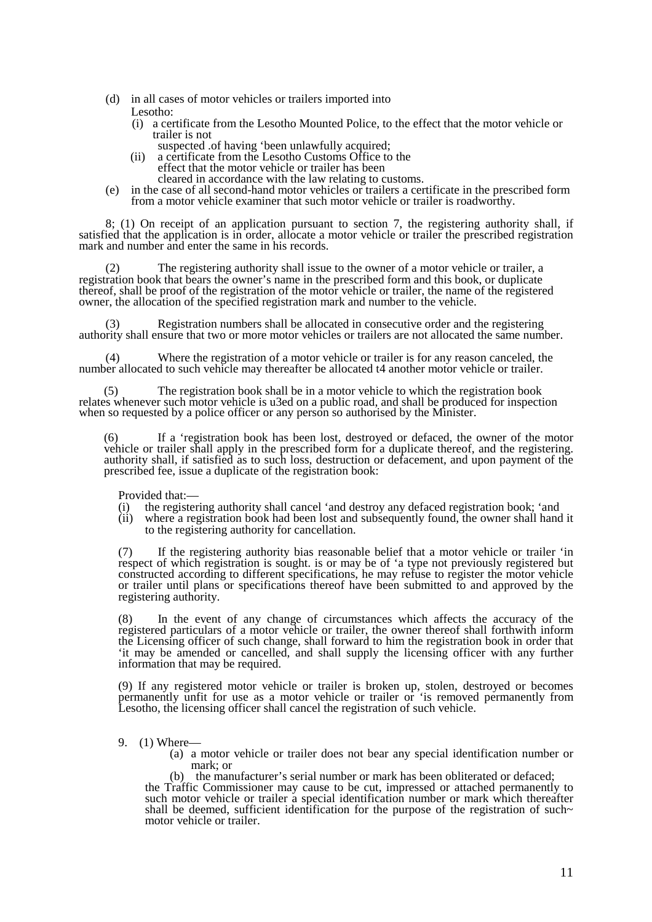- (d) in all cases of motor vehicles or trailers imported into Lesotho:
	- (i) a certificate from the Lesotho Mounted Police, to the effect that the motor vehicle or trailer is not
		- suspected .of having 'been unlawfully acquired;
	- (ii) a certificate from the Lesotho Customs Office to the effect that the motor vehicle or trailer has been cleared in accordance with the law relating to customs.
- (e) in the case of all second-hand motor vehicles or trailers a certificate in the prescribed form from a motor vehicle examiner that such motor vehicle or trailer is roadworthy.

8; (1) On receipt of an application pursuant to section 7, the registering authority shall, if satisfied that the application is in order, allocate a motor vehicle or trailer the prescribed registration mark and number and enter the same in his records.

The registering authority shall issue to the owner of a motor vehicle or trailer, a registration book that bears the owner's name in the prescribed form and this book, or duplicate thereof, shall be proof of the registration of the motor vehicle or trailer, the name of the registered owner, the allocation of the specified registration mark and number to the vehicle.

Registration numbers shall be allocated in consecutive order and the registering authority shall ensure that two or more motor vehicles or trailers are not allocated the same number.

(4) Where the registration of a motor vehicle or trailer is for any reason canceled, the number allocated to such vehicle may thereafter be allocated t4 another motor vehicle or trailer.

The registration book shall be in a motor vehicle to which the registration book relates whenever such motor vehicle is u3ed on a public road, and shall be produced for inspection when so requested by a police officer or any person so authorised by the Minister.

If a 'registration book has been lost, destroyed or defaced, the owner of the motor vehicle or trailer shall apply in the prescribed form for a duplicate thereof, and the registering. authority shall, if satisfied as to such loss, destruction or defacement, and upon payment of the prescribed fee, issue a duplicate of the registration book:

Provided that:—

- (i) the registering authority shall cancel 'and destroy any defaced registration book; 'and
- (ii) where a registration book had been lost and subsequently found, the owner shall hand it to the registering authority for cancellation.

(7) If the registering authority bias reasonable belief that a motor vehicle or trailer 'in respect of which registration is sought. is or may be of 'a type not previously registered but constructed according to different specifications, he may refuse to register the motor vehicle or trailer until plans or specifications thereof have been submitted to and approved by the registering authority.

In the event of any change of circumstances which affects the accuracy of the registered particulars of a motor vehicle or trailer, the owner thereof shall forthwith inform the Licensing officer of such change, shall forward to him the registration book in order that 'it may be amended or cancelled, and shall supply the licensing officer with any further information that may be required.

(9) If any registered motor vehicle or trailer is broken up, stolen, destroyed or becomes permanently unfit for use as a motor vehicle or trailer or 'is removed permanently from Lesotho, the licensing officer shall cancel the registration of such vehicle.

9. (1) Where—

(a) a motor vehicle or trailer does not bear any special identification number or mark; or

(b) the manufacturer's serial number or mark has been obliterated or defaced;

the Traffic Commissioner may cause to be cut, impressed or attached permanently to such motor vehicle or trailer a special identification number or mark which thereafter shall be deemed, sufficient identification for the purpose of the registration of such~ motor vehicle or trailer.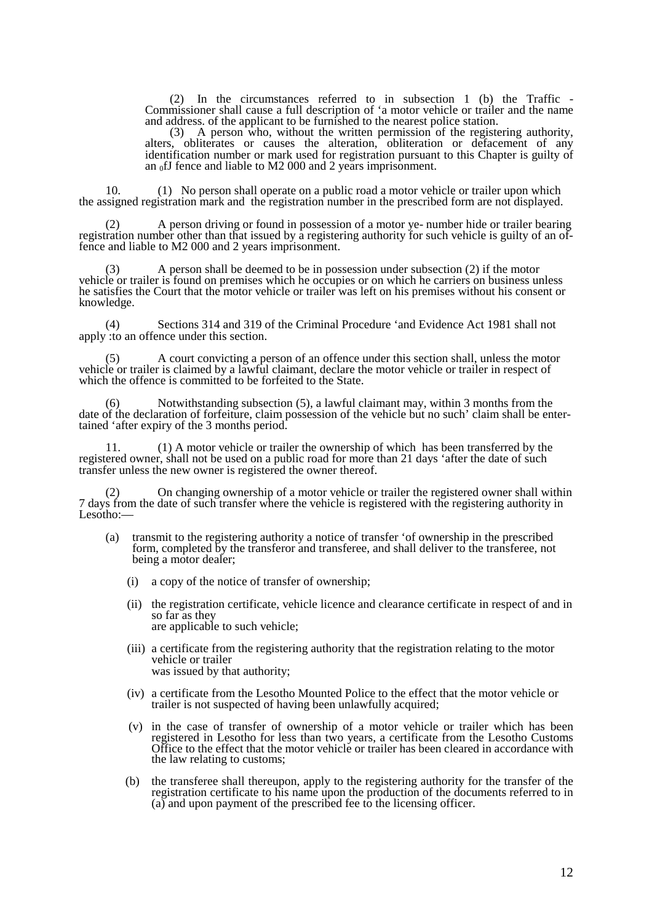(2) In the circumstances referred to in subsection 1 (b) the Traffic - Commissioner shall cause a full description of 'a motor vehicle or trailer and the name and address. of the applicant to be furnished to the nearest police station.

(3) A person who, without the written permission of the registering authority, alters, obliterates or causes the alteration, obliteration or defacement of any identification number or mark used for registration pursuant to this Chapter is guilty of an  $_0$ fJ fence and liable to M2 000 and 2 years imprisonment.

10. (1) No person shall operate on a public road a motor vehicle or trailer upon which the assigned registration mark and the registration number in the prescribed form are not displayed.

(2) A person driving or found in possession of a motor ye- number hide or trailer bearing registration number other than that issued by a registering authority for such vehicle is guilty of an offence and liable to M2 000 and 2 years imprisonment.

A person shall be deemed to be in possession under subsection  $(2)$  if the motor vehicle or trailer is found on premises which he occupies or on which he carriers on business unless he satisfies the Court that the motor vehicle or trailer was left on his premises without his consent or knowledge.

(4) Sections 314 and 319 of the Criminal Procedure 'and Evidence Act 1981 shall not apply :to an offence under this section.

(5) A court convicting a person of an offence under this section shall, unless the motor vehicle or trailer is claimed by a lawful claimant, declare the motor vehicle or trailer in respect of which the offence is committed to be forfeited to the State.

(6) Notwithstanding subsection (5), a lawful claimant may, within 3 months from the date of the declaration of forfeiture, claim possession of the vehicle but no such' claim shall be entertained 'after expiry of the 3 months period.

11. (1) A motor vehicle or trailer the ownership of which has been transferred by the registered owner, shall not be used on a public road for more than 21 days 'after the date of such transfer unless the new owner is registered the owner thereof.

(2) On changing ownership of a motor vehicle or trailer the registered owner shall within 7 days from the date of such transfer where the vehicle is registered with the registering authority in Lesotho:—

- (a) transmit to the registering authority a notice of transfer 'of ownership in the prescribed form, completed by the transferor and transferee, and shall deliver to the transferee, not being a motor dealer;
	- (i) a copy of the notice of transfer of ownership;
	- (ii) the registration certificate, vehicle licence and clearance certificate in respect of and in so far as they are applicable to such vehicle;
	- (iii) a certificate from the registering authority that the registration relating to the motor vehicle or trailer was issued by that authority;
	- (iv) a certificate from the Lesotho Mounted Police to the effect that the motor vehicle or trailer is not suspected of having been unlawfully acquired;
	- (v) in the case of transfer of ownership of a motor vehicle or trailer which has been registered in Lesotho for less than two years, a certificate from the Lesotho Customs Office to the effect that the motor vehicle or trailer has been cleared in accordance with the law relating to customs;
	- (b) the transferee shall thereupon, apply to the registering authority for the transfer of the registration certificate to his name upon the production of the documents referred to in (a) and upon payment of the prescribed fee to the licensing officer.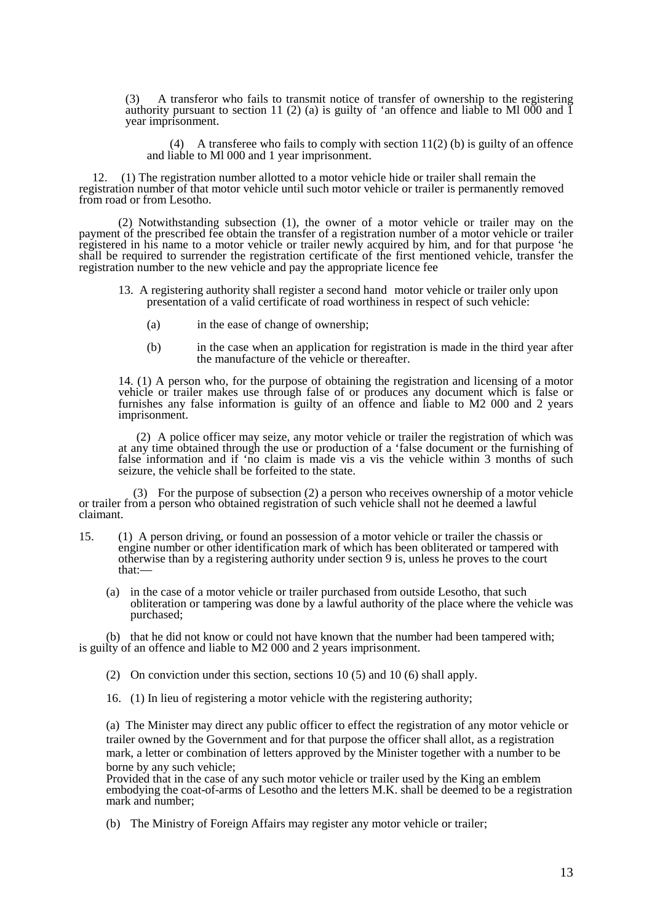(3) A transferor who fails to transmit notice of transfer of ownership to the registering authority pursuant to section 11 (2) (a) is guilty of 'an offence and liable to Ml 000 and 1 year imprisonment.

(4) A transferee who fails to comply with section  $11(2)$  (b) is guilty of an offence and liable to Ml 000 and 1 year imprisonment.

 12. (1) The registration number allotted to a motor vehicle hide or trailer shall remain the registration number of that motor vehicle until such motor vehicle or trailer is permanently removed from road or from Lesotho.

(2) Notwithstanding subsection (1), the owner of a motor vehicle or trailer may on the payment of the prescribed fee obtain the transfer of a registration number of a motor vehicle or trailer registered in his name to a motor vehicle or trailer newly acquired by him, and for that purpose 'he shall be required to surrender the registration certificate of the first mentioned vehicle, transfer the registration number to the new vehicle and pay the appropriate licence fee

- 13. A registering authority shall register a second hand motor vehicle or trailer only upon presentation of a valid certificate of road worthiness in respect of such vehicle:
	- (a) in the ease of change of ownership;
	- (b) in the case when an application for registration is made in the third year after the manufacture of the vehicle or thereafter.

14. (1) A person who, for the purpose of obtaining the registration and licensing of a motor vehicle or trailer makes use through false of or produces any document which is false or furnishes any false information is guilty of an offence and liable to M2 000 and 2 years imprisonment.

 (2) A police officer may seize, any motor vehicle or trailer the registration of which was at any time obtained through the use or production of a 'false document or the furnishing of false information and if 'no claim is made vis a vis the vehicle within 3 months of such seizure, the vehicle shall be forfeited to the state.

(3) For the purpose of subsection (2) a person who receives ownership of a motor vehicle or trailer from a person who obtained registration of such vehicle shall not he deemed a lawful claimant.

- 15. (1) A person driving, or found an possession of a motor vehicle or trailer the chassis or engine number or other identification mark of which has been obliterated or tampered with otherwise than by a registering authority under section 9 is, unless he proves to the court that:—
	- (a) in the case of a motor vehicle or trailer purchased from outside Lesotho, that such obliteration or tampering was done by a lawful authority of the place where the vehicle was purchased;

(b) that he did not know or could not have known that the number had been tampered with; is guilty of an offence and liable to M2 000 and 2 years imprisonment.

(2) On conviction under this section, sections 10 (5) and 10 (6) shall apply.

16. (1) In lieu of registering a motor vehicle with the registering authority;

(a) The Minister may direct any public officer to effect the registration of any motor vehicle or trailer owned by the Government and for that purpose the officer shall allot, as a registration mark, a letter or combination of letters approved by the Minister together with a number to be borne by any such vehicle;

Provided that in the case of any such motor vehicle or trailer used by the King an emblem embodying the coat-of-arms of Lesotho and the letters M.K. shall be deemed to be a registration mark and number;

(b) The Ministry of Foreign Affairs may register any motor vehicle or trailer;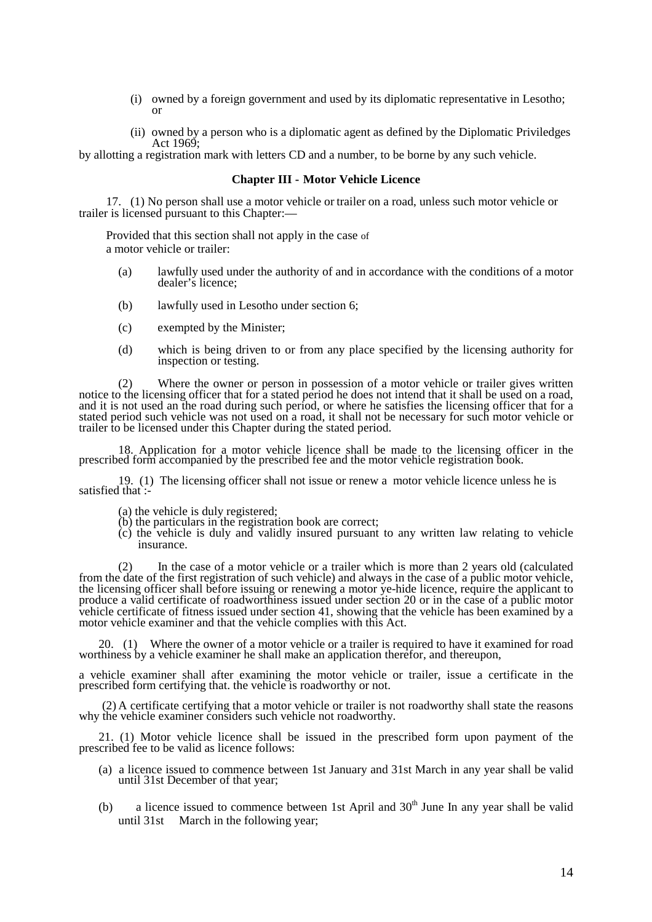- (i) owned by a foreign government and used by its diplomatic representative in Lesotho; or
- (ii) owned by a person who is a diplomatic agent as defined by the Diplomatic Priviledges Act 1969;

by allotting a registration mark with letters CD and a number, to be borne by any such vehicle.

#### **Chapter III - Motor Vehicle Licence**

17. (1) No person shall use a motor vehicle or trailer on a road, unless such motor vehicle or trailer is licensed pursuant to this Chapter:—

Provided that this section shall not apply in the case of a motor vehicle or trailer:

- (a) lawfully used under the authority of and in accordance with the conditions of a motor dealer's licence;
- (b) lawfully used in Lesotho under section 6;
- (c) exempted by the Minister;
- (d) which is being driven to or from any place specified by the licensing authority for inspection or testing.

(2) Where the owner or person in possession of a motor vehicle or trailer gives written notice to the licensing officer that for a stated period he does not intend that it shall be used on a road, and it is not used an the road during such period, or where he satisfies the licensing officer that for a stated period such vehicle was not used on a road, it shall not be necessary for such motor vehicle or trailer to be licensed under this Chapter during the stated period.

 18. Application for a motor vehicle licence shall be made to the licensing officer in the prescribed form accompanied by the prescribed fee and the motor vehicle registration book.

19. (1) The licensing officer shall not issue or renew a motor vehicle licence unless he is satisfied that :- (a) the vehicle is duly registered;

- 
- (b) the particulars in the registration book are correct;
- (c) the vehicle is duly and validly insured pursuant to any written law relating to vehicle insurance.

(2) In the case of a motor vehicle or a trailer which is more than 2 years old (calculated from the date of the first registration of such vehicle) and always in the case of a public motor vehicle, the licensing officer shall before issuing or renewing a motor ye-hide licence, require the applicant to produce a valid certificate of roadworthiness issued under section 20 or in the case of a public motor vehicle certificate of fitness issued under section 41, showing that the vehicle has been examined by a motor vehicle examiner and that the vehicle complies with this Act.

20. (1) Where the owner of a motor vehicle or a trailer is required to have it examined for road worthiness by a vehicle examiner he shall make an application therefor, and thereupon,

a vehicle examiner shall after examining the motor vehicle or trailer, issue a certificate in the prescribed form certifying that. the vehicle is roadworthy or not.

(2) A certificate certifying that a motor vehicle or trailer is not roadworthy shall state the reasons why the vehicle examiner considers such vehicle not roadworthy.

21. (1) Motor vehicle licence shall be issued in the prescribed form upon payment of the prescribed fee to be valid as licence follows:

- (a) a licence issued to commence between 1st January and 31st March in any year shall be valid until 31st December of that year;
- (b) a licence issued to commence between 1st April and  $30<sup>th</sup>$  June In any year shall be valid until 31st March in the following year;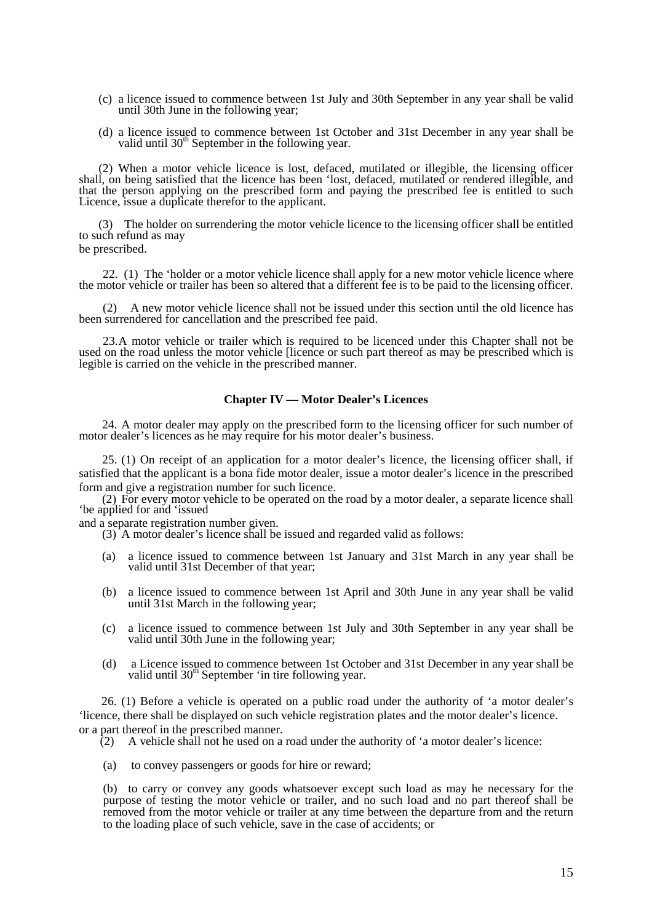- (c) a licence issued to commence between 1st July and 30th September in any year shall be valid until 30th June in the following year;
- (d) a licence issued to commence between 1st October and 31st December in any year shall be valid until  $30<sup>th</sup>$  September in the following year.

(2) When a motor vehicle licence is lost, defaced, mutilated or illegible, the licensing officer shall, on being satisfied that the licence has been 'lost, defaced, mutilated or rendered illegible, and that the person applying on the prescribed form and paying the prescribed fee is entitled to such Licence, issue a duplicate therefor to the applicant.

(3) The holder on surrendering the motor vehicle licence to the licensing officer shall be entitled to such refund as may be prescribed.

22. (1) The 'holder or a motor vehicle licence shall apply for a new motor vehicle licence where the motor vehicle or trailer has been so altered that a different fee is to be paid to the licensing officer.

(2) A new motor vehicle licence shall not be issued under this section until the old licence has been surrendered for cancellation and the prescribed fee paid.

23. A motor vehicle or trailer which is required to be licenced under this Chapter shall not be used on the road unless the motor vehicle [licence or such part thereof as may be prescribed which is legible is carried on the vehicle in the prescribed manner.

#### **Chapter IV — Motor Dealer's Licences**

24. A motor dealer may apply on the prescribed form to the licensing officer for such number of motor dealer's licences as he may require for his motor dealer's business.

25. (1) On receipt of an application for a motor dealer's licence, the licensing officer shall, if satisfied that the applicant is a bona fide motor dealer, issue a motor dealer's licence in the prescribed form and give a registration number for such licence.

(2) For every motor vehicle to be operated on the road by a motor dealer, a separate licence shall 'be applied for and 'issued

and a separate registration number given.

(3) A motor dealer's licence shall be issued and regarded valid as follows:

- (a) a licence issued to commence between 1st January and 31st March in any year shall be valid until 31st December of that year;
- (b) a licence issued to commence between 1st April and 30th June in any year shall be valid until 31st March in the following year;
- (c) a licence issued to commence between 1st July and 30th September in any year shall be valid until 30th June in the following year;
- (d) a Licence issued to commence between 1st October and 31st December in any year shall be valid until  $30<sup>th</sup>$  September 'in tire following year.

 26. (1) Before a vehicle is operated on a public road under the authority of 'a motor dealer's 'licence, there shall be displayed on such vehicle registration plates and the motor dealer's licence. or a part thereof in the prescribed manner.<br>(2) A vehicle shall not he used on a

(2) A vehicle shall not he used on a road under the authority of 'a motor dealer's licence:

(a) to convey passengers or goods for hire or reward;

(b) to carry or convey any goods whatsoever except such load as may he necessary for the purpose of testing the motor vehicle or trailer, and no such load and no part thereof shall be removed from the motor vehicle or trailer at any time between the departure from and the return to the loading place of such vehicle, save in the case of accidents; or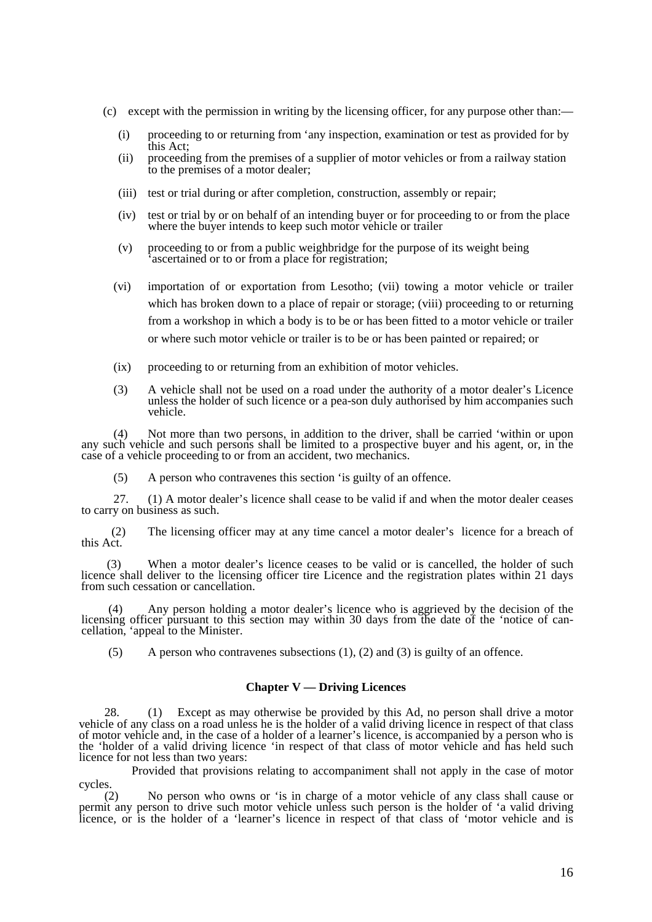- (c) except with the permission in writing by the licensing officer, for any purpose other than:—
	- (i) proceeding to or returning from 'any inspection, examination or test as provided for by this Act;
	- (ii) proceeding from the premises of a supplier of motor vehicles or from a railway station to the premises of a motor dealer;
	- (iii) test or trial during or after completion, construction, assembly or repair;
	- (iv) test or trial by or on behalf of an intending buyer or for proceeding to or from the place where the buyer intends to keep such motor vehicle or trailer
	- (v) proceeding to or from a public weighbridge for the purpose of its weight being 'ascertained or to or from a place for registration;
	- (vi) importation of or exportation from Lesotho; (vii) towing a motor vehicle or trailer which has broken down to a place of repair or storage; (viii) proceeding to or returning from a workshop in which a body is to be or has been fitted to a motor vehicle or trailer or where such motor vehicle or trailer is to be or has been painted or repaired; or
	- (ix) proceeding to or returning from an exhibition of motor vehicles.
	- (3) A vehicle shall not be used on a road under the authority of a motor dealer's Licence unless the holder of such licence or a pea-son duly authorised by him accompanies such vehicle.

(4) Not more than two persons, in addition to the driver, shall be carried 'within or upon any such vehicle and such persons shall be limited to a prospective buyer and his agent, or, in the case of a vehicle proceeding to or from an accident, two mechanics.

(5) A person who contravenes this section 'is guilty of an offence.

27. (1) A motor dealer's licence shall cease to be valid if and when the motor dealer ceases to carry on business as such.

(2) The licensing officer may at any time cancel a motor dealer's licence for a breach of this Act.

(3) When a motor dealer's licence ceases to be valid or is cancelled, the holder of such licence shall deliver to the licensing officer tire Licence and the registration plates within 21 days from such cessation or cancellation.

(4) Any person holding a motor dealer's licence who is aggrieved by the decision of the licensing officer pursuant to this section may within 30 days from the date of the 'notice of cancellation, 'appeal to the Minister.

(5) A person who contravenes subsections  $(1)$ ,  $(2)$  and  $(3)$  is guilty of an offence.

#### **Chapter V — Driving Licences**

28. (1) Except as may otherwise be provided by this Ad, no person shall drive a motor vehicle of any class on a road unless he is the holder of a valid driving licence in respect of that class of motor vehicle and, in the case of a holder of a learner's licence, is accompanied by a person who is the 'holder of a valid driving licence 'in respect of that class of motor vehicle and has held such licence for not less than two years:

Provided that provisions relating to accompaniment shall not apply in the case of motor cycles.

(2) No person who owns or 'is in charge of a motor vehicle of any class shall cause or permit any person to drive such motor vehicle unless such person is the holder of 'a valid driving licence, or is the holder of a 'learner's licence in respect of that class of 'motor vehicle and is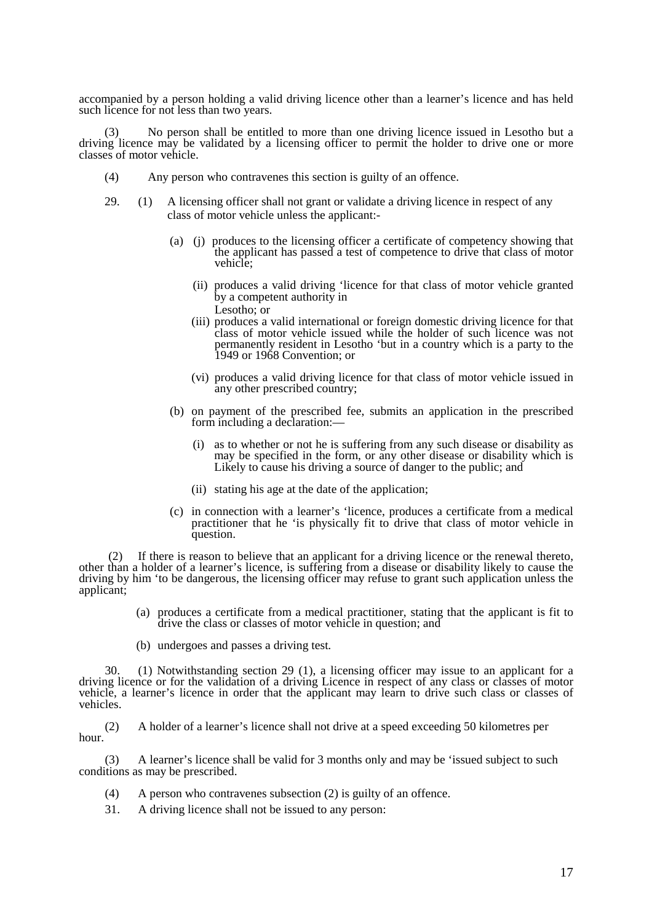accompanied by a person holding a valid driving licence other than a learner's licence and has held such licence for not less than two years.

(3) No person shall be entitled to more than one driving licence issued in Lesotho but a driving licence may be validated by a licensing officer to permit the holder to drive one or more classes of motor vehicle.

- (4) Any person who contravenes this section is guilty of an offence.
- 29. (1) A licensing officer shall not grant or validate a driving licence in respect of any class of motor vehicle unless the applicant:-
	- (a) (j) produces to the licensing officer a certificate of competency showing that the applicant has passed a test of competence to drive that class of motor vehicle;
		- (ii) produces a valid driving 'licence for that class of motor vehicle granted by a competent authority in Lesotho: or
		- (iii) produces a valid international or foreign domestic driving licence for that class of motor vehicle issued while the holder of such licence was not permanently resident in Lesotho 'but in a country which is a party to the 1949 or 1968 Convention; or
		- (vi) produces a valid driving licence for that class of motor vehicle issued in any other prescribed country;
	- (b) on payment of the prescribed fee, submits an application in the prescribed form including a declaration:—
		- (i) as to whether or not he is suffering from any such disease or disability as may be specified in the form, or any other disease or disability which is Likely to cause his driving a source of danger to the public; and
		- (ii) stating his age at the date of the application;
	- (c) in connection with a learner's 'licence, produces a certificate from a medical practitioner that he 'is physically fit to drive that class of motor vehicle in question.

(2) If there is reason to believe that an applicant for a driving licence or the renewal thereto, other than a holder of a learner's licence, is suffering from a disease or disability likely to cause the driving by him 'to be dangerous, the licensing officer may refuse to grant such application unless the applicant;

- (a) produces a certificate from a medical practitioner, stating that the applicant is fit to drive the class or classes of motor vehicle in question; and
- (b) undergoes and passes a driving test*.*

30. (1) Notwithstanding section 29 (1), a licensing officer may issue to an applicant for a driving licence or for the validation of a driving Licence in respect of any class or classes of motor vehicle, a learner's licence in order that the applicant may learn to drive such class or classes of vehicles.

(2) A holder of a learner's licence shall not drive at a speed exceeding 50 kilometres per hour.

(3) A learner's licence shall be valid for 3 months only and may be 'issued subject to such conditions as may be prescribed.

- (4) A person who contravenes subsection (2) is guilty of an offence. 31. A driving licence shall not be issued to any person:
-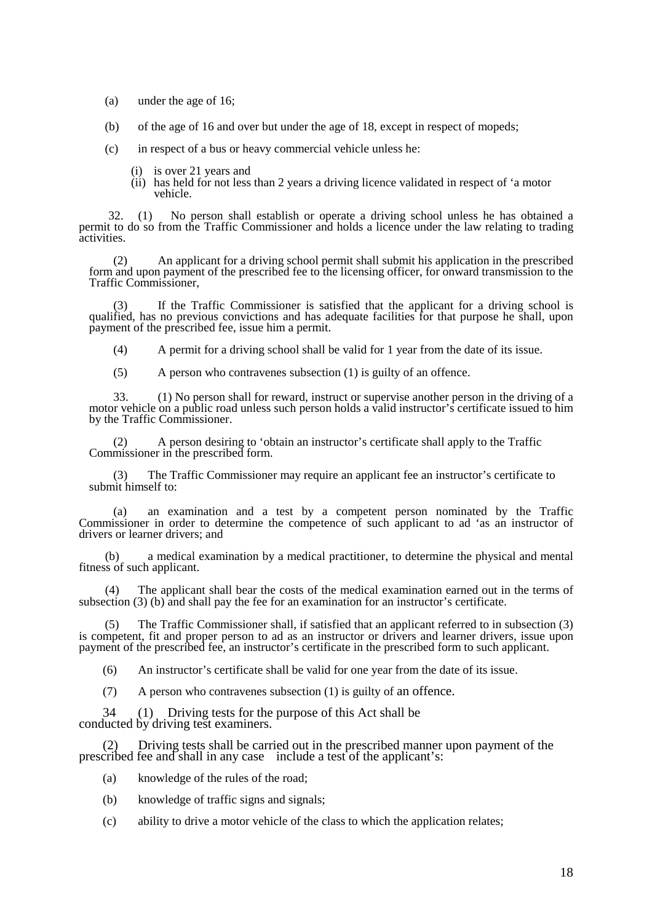- (a) under the age of 16;
- (b) of the age of 16 and over but under the age of 18, except in respect of mopeds;
- (c) in respect of a bus or heavy commercial vehicle unless he:
	- (i) is over 21 years and
	- (ii) has held for not less than 2 years a driving licence validated in respect of 'a motor vehicle.

32. (1) No person shall establish or operate a driving school unless he has obtained a permit to do so from the Traffic Commissioner and holds a licence under the law relating to trading activities.

(2) An applicant for a driving school permit shall submit his application in the prescribed form and upon payment of the prescribed fee to the licensing officer, for onward transmission to the Traffic Commissioner,

(3) If the Traffic Commissioner is satisfied that the applicant for a driving school is qualified, has no previous convictions and has adequate facilities for that purpose he shall, upon payment of the prescribed fee, issue him a permit.

(4) A permit for a driving school shall be valid for 1 year from the date of its issue.

(5) A person who contravenes subsection (1) is guilty of an offence.

33. (1) No person shall for reward, instruct or supervise another person in the driving of a motor vehicle on a public road unless such person holds a valid instructor's certificate issued to him by the Traffic Commissioner.

(2) A person desiring to 'obtain an instructor's certificate shall apply to the Traffic Commissioner in the prescribed form.

The Traffic Commissioner may require an applicant fee an instructor's certificate to submit himself to:

(a) an examination and a test by a competent person nominated by the Traffic Commissioner in order to determine the competence of such applicant to ad 'as an instructor of drivers or learner drivers; and

(b) a medical examination by a medical practitioner, to determine the physical and mental fitness of such applicant.

(4) The applicant shall bear the costs of the medical examination earned out in the terms of subsection (3) (b) and shall pay the fee for an examination for an instructor's certificate.

(5) The Traffic Commissioner shall, if satisfied that an applicant referred to in subsection (3) is competent, fit and proper person to ad as an instructor or drivers and learner drivers, issue upon payment of the prescribed fee, an instructor's certificate in the prescribed form to such applicant.

(6) An instructor's certificate shall be valid for one year from the date of its issue.

(7) A person who contravenes subsection (1) is guilty of an offence. 34 (1) Driving tests for the purpose of this Act shall be conducted by driving test examiners.

(2) Driving tests shall be carried out in the prescribed manner upon payment of the prescribed fee and shall in any case include a test of the applicant's:

(a) knowledge of the rules of the road;

(b) knowledge of traffic signs and signals;

(c) ability to drive a motor vehicle of the class to which the application relates;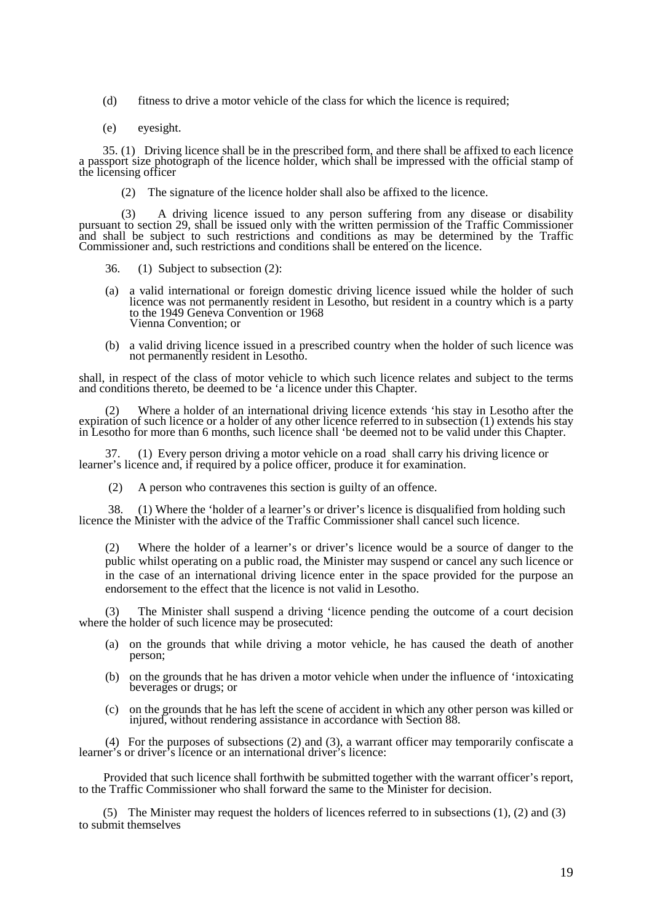- (d) fitness to drive a motor vehicle of the class for which the licence is required;
- (e) eyesight.

35. (1) Driving licence shall be in the prescribed form, and there shall be affixed to each licence a passport size photograph of the licence holder, which shall be impressed with the official stamp of the licensing officer

(2) The signature of the licence holder shall also be affixed to the licence.

 (3) A driving licence issued to any person suffering from any disease or disability pursuant to section 29, shall be issued only with the written permission of the Traffic Commissioner and shall be subject to such restrictions and conditions as may be determined by the Traffic Commissioner and, such restrictions and conditions shall be entered on the licence.

- 36. (1) Subject to subsection (2):
- (a) a valid international or foreign domestic driving licence issued while the holder of such licence was not permanently resident in Lesotho, but resident in a country which is a party to the 1949 Geneva Convention or 1968 Vienna Convention; or
- (b) a valid driving licence issued in a prescribed country when the holder of such licence was not permanently resident in Lesotho.

shall, in respect of the class of motor vehicle to which such licence relates and subject to the terms and conditions thereto, be deemed to be 'a licence under this Chapter.

(2) Where a holder of an international driving licence extends 'his stay in Lesotho after the expiration of such licence or a holder of any other licence referred to in subsection (1) extends his stay in Lesotho for more than 6 months, such licence shall 'be deemed not to be valid under this Chapter.

37. (1) Every person driving a motor vehicle on a road shall carry his driving licence or learner's licence and, if required by a police officer, produce it for examination.

(2) A person who contravenes this section is guilty of an offence.

 38. (1) Where the 'holder of a learner's or driver's licence is disqualified from holding such licence the Minister with the advice of the Traffic Commissioner shall cancel such licence.

(2) Where the holder of a learner's or driver's licence would be a source of danger to the public whilst operating on a public road, the Minister may suspend or cancel any such licence or in the case of an international driving licence enter in the space provided for the purpose an endorsement to the effect that the licence is not valid in Lesotho.

(3) The Minister shall suspend a driving 'licence pending the outcome of a court decision where the holder of such licence may be prosecuted:

- (a) on the grounds that while driving a motor vehicle, he has caused the death of another person;
- (b) on the grounds that he has driven a motor vehicle when under the influence of 'intoxicating beverages or drugs; or
- (c) on the grounds that he has left the scene of accident in which any other person was killed or injured, without rendering assistance in accordance with Section 88.

(4) For the purposes of subsections (2) and (3), a warrant officer may temporarily confiscate a learner's or driver's licence or an international driver's licence:

Provided that such licence shall forthwith be submitted together with the warrant officer's report, to the Traffic Commissioner who shall forward the same to the Minister for decision.

(5) The Minister may request the holders of licences referred to in subsections (1), (2) and (3) to submit themselves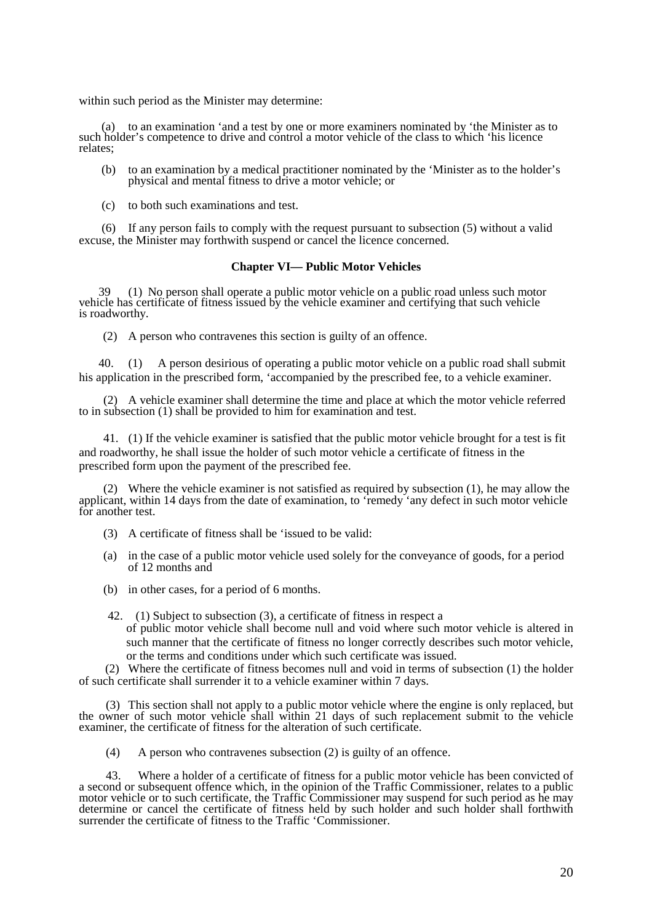within such period as the Minister may determine:

 (a) to an examination 'and a test by one or more examiners nominated by 'the Minister as to such holder's competence to drive and control a motor vehicle of the class to which 'his licence relates;

- (b) to an examination by a medical practitioner nominated by the 'Minister as to the holder's physical and mental fitness to drive a motor vehicle; or
- (c) to both such examinations and test.

 (6) If any person fails to comply with the request pursuant to subsection (5) without a valid excuse, the Minister may forthwith suspend or cancel the licence concerned.

#### **Chapter VI— Public Motor Vehicles**

39 (1) No person shall operate a public motor vehicle on a public road unless such motor vehicle has certificate of fitness issued by the vehicle examiner and certifying that such vehicle is roadworthy.

(2) A person who contravenes this section is guilty of an offence.

40. (1) A person desirious of operating a public motor vehicle on a public road shall submit his application in the prescribed form, 'accompanied by the prescribed fee, to a vehicle examiner.

(2) A vehicle examiner shall determine the time and place at which the motor vehicle referred to in subsection (1) shall be provided to him for examination and test.

41. (1) If the vehicle examiner is satisfied that the public motor vehicle brought for a test is fit and roadworthy, he shall issue the holder of such motor vehicle a certificate of fitness in the prescribed form upon the payment of the prescribed fee.

(2) Where the vehicle examiner is not satisfied as required by subsection (1), he may allow the applicant, within 14 days from the date of examination, to 'remedy 'any defect in such motor vehicle for another test.

- (3) A certificate of fitness shall be 'issued to be valid:
- (a) in the case of a public motor vehicle used solely for the conveyance of goods, for a period of 12 months and
- (b) in other cases, for a period of 6 months.
- 42. (1) Subject to subsection (3), a certificate of fitness in respect a of public motor vehicle shall become null and void where such motor vehicle is altered in such manner that the certificate of fitness no longer correctly describes such motor vehicle, or the terms and conditions under which such certificate was issued.

(2) Where the certificate of fitness becomes null and void in terms of subsection (1) the holder of such certificate shall surrender it to a vehicle examiner within 7 days.

(3) This section shall not apply to a public motor vehicle where the engine is only replaced, but the owner of such motor vehicle shall within 21 days of such replacement submit to the vehicle examiner, the certificate of fitness for the alteration of such certificate.

(4) A person who contravenes subsection (2) is guilty of an offence.

43. Where a holder of a certificate of fitness for a public motor vehicle has been convicted of a second or subsequent offence which, in the opinion of the Traffic Commissioner, relates to a public motor vehicle or to such certificate, the Traffic Commissioner may suspend for such period as he may determine or cancel the certificate of fitness held by such holder and such holder shall forthwith surrender the certificate of fitness to the Traffic 'Commissioner.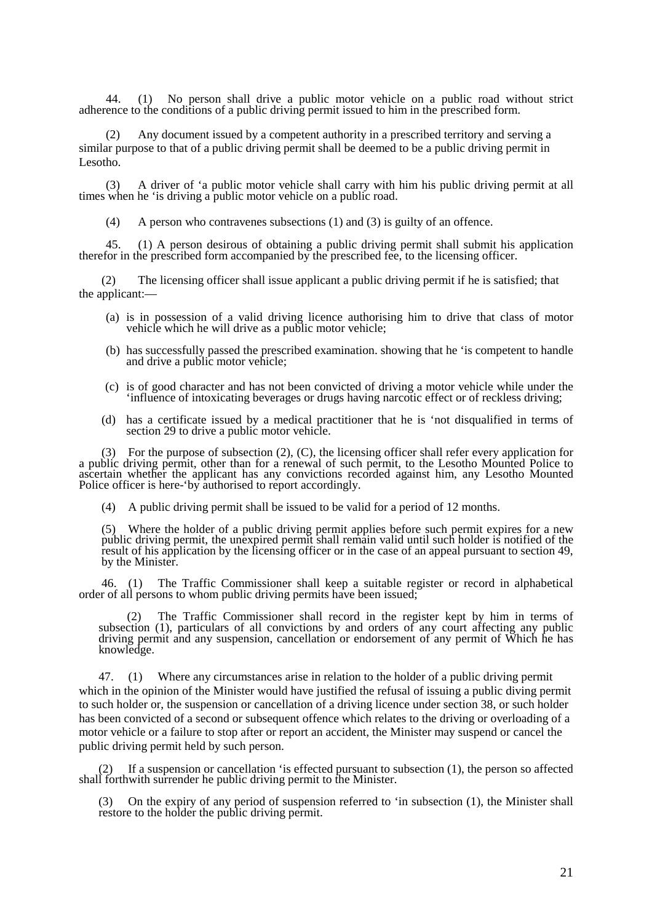44. (1) No person shall drive a public motor vehicle on a public road without strict adherence to the conditions of a public driving permit issued to him in the prescribed form.

(2) Any document issued by a competent authority in a prescribed territory and serving a similar purpose to that of a public driving permit shall be deemed to be a public driving permit in Lesotho.

(3) A driver of 'a public motor vehicle shall carry with him his public driving permit at all times when he 'is driving a public motor vehicle on a public road.

(4) A person who contravenes subsections (1) and (3) is guilty of an offence.

45. (1) A person desirous of obtaining a public driving permit shall submit his application therefor in the prescribed form accompanied by the prescribed fee, to the licensing officer.

 (2) The licensing officer shall issue applicant a public driving permit if he is satisfied; that the applicant:—

- (a) is in possession of a valid driving licence authorising him to drive that class of motor vehicle which he will drive as a public motor vehicle;
- (b) has successfully passed the prescribed examination. showing that he 'is competent to handle and drive a public motor vehicle;
- (c) is of good character and has not been convicted of driving a motor vehicle while under the 'influence of intoxicating beverages or drugs having narcotic effect or of reckless driving;
- (d) has a certificate issued by a medical practitioner that he is 'not disqualified in terms of section 29 to drive a public motor vehicle.

(3) For the purpose of subsection (2), (C), the licensing officer shall refer every application for a public driving permit, other than for a renewal of such permit, to the Lesotho Mounted Police to ascertain whether the applicant has any convictions recorded against him, any Lesotho Mounted Police officer is here-'by authorised to report accordingly.

(4) A public driving permit shall be issued to be valid for a period of 12 months.

(5) Where the holder of a public driving permit applies before such permit expires for a new public driving permit, the unexpired permit shall remain valid until such holder is notified of the result of his application by the licensing officer or in the case of an appeal pursuant to section 49, by the Minister.

46. (1) The Traffic Commissioner shall keep a suitable register or record in alphabetical order of all persons to whom public driving permits have been issued;

 (2) The Traffic Commissioner shall record in the register kept by him in terms of subsection (1), particulars of all convictions by and orders of any court affecting any public driving permit and any suspension, cancellation or endorsement of any permit of Which he has knowledge.

47. (1) Where any circumstances arise in relation to the holder of a public driving permit which in the opinion of the Minister would have justified the refusal of issuing a public diving permit to such holder or, the suspension or cancellation of a driving licence under section 38, or such holder has been convicted of a second or subsequent offence which relates to the driving or overloading of a motor vehicle or a failure to stop after or report an accident, the Minister may suspend or cancel the public driving permit held by such person.

(2) If a suspension or cancellation 'is effected pursuant to subsection (1), the person so affected shall forthwith surrender he public driving permit to the Minister.

(3) On the expiry of any period of suspension referred to 'in subsection (1), the Minister shall restore to the holder the public driving permit.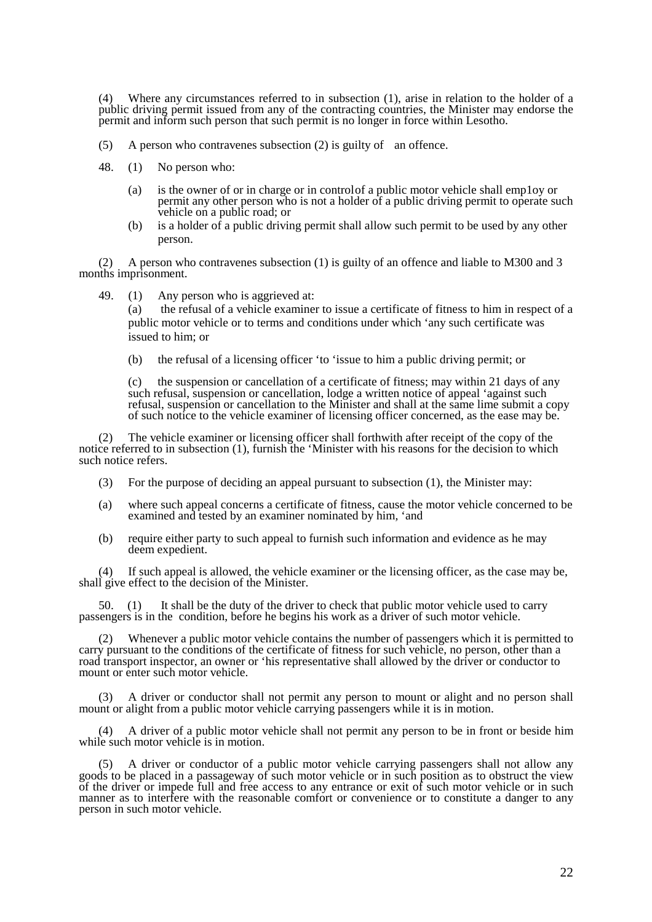(4) Where any circumstances referred to in subsection (1), arise in relation to the holder of a public driving permit issued from any of the contracting countries, the Minister may endorse the permit and inform such person that such permit is no longer in force within Lesotho.

- (5) A person who contravenes subsection (2) is guilty of an offence. 48. (1) No person who:
- - (a) is the owner of or in charge or in control of a public motor vehicle shall emp1oy or permit any other person who is not a holder of a public driving permit to operate such vehicle on a public road; or
	- (b) is a holder of a public driving permit shall allow such permit to be used by any other person.

(2) A person who contravenes subsection (1) is guilty of an offence and liable to M300 and 3 months imprisonment.

49. (1) Any person who is aggrieved at:

 (a) the refusal of a vehicle examiner to issue a certificate of fitness to him in respect of a public motor vehicle or to terms and conditions under which 'any such certificate was issued to him; or

(b) the refusal of a licensing officer 'to 'issue to him a public driving permit; or

(c) the suspension or cancellation of a certificate of fitness; may within 21 days of any such refusal, suspension or cancellation, lodge a written notice of appeal 'against such refusal, suspension or cancellation to the Minister and shall at the same lime submit a copy of such notice to the vehicle examiner of licensing officer concerned, as the ease may be.

(2) The vehicle examiner or licensing officer shall forthwith after receipt of the copy of the notice referred to in subsection (1), furnish the 'Minister with his reasons for the decision to which such notice refers.

- (3) For the purpose of deciding an appeal pursuant to subsection (1), the Minister may:
- (a) where such appeal concerns a certificate of fitness, cause the motor vehicle concerned to be examined and tested by an examiner nominated by him*,* 'and
- (b) require either party to such appeal to furnish such information and evidence as he may deem expedient.

(4) If such appeal is allowed, the vehicle examiner or the licensing officer, as the case may be, shall give effect to the decision of the Minister.

50. (1) It shall be the duty of the driver to check that public motor vehicle used to carry passengers is in the condition, before he begins his work as a driver of such motor vehicle.

(2) Whenever a public motor vehicle contains the number of passengers which it is permitted to carry pursuant to the conditions of the certificate of fitness for such vehicle, no person, other than a road transport inspector, an owner or 'his representative shall allowed by the driver or conductor to mount or enter such motor vehicle.

(3) A driver or conductor shall not permit any person to mount or alight and no person shall mount or alight from a public motor vehicle carrying passengers while it is in motion.

(4) A driver of a public motor vehicle shall not permit any person to be in front or beside him while such motor vehicle is in motion.

(5) A driver or conductor of a public motor vehicle carrying passengers shall not allow any goods to be placed in a passageway of such motor vehicle or in such position as to obstruct the view of the driver or impede full and free access to any entrance or exit of such motor vehicle or in such manner as to interfere with the reasonable comfort or convenience or to constitute a danger to any person in such motor vehicle.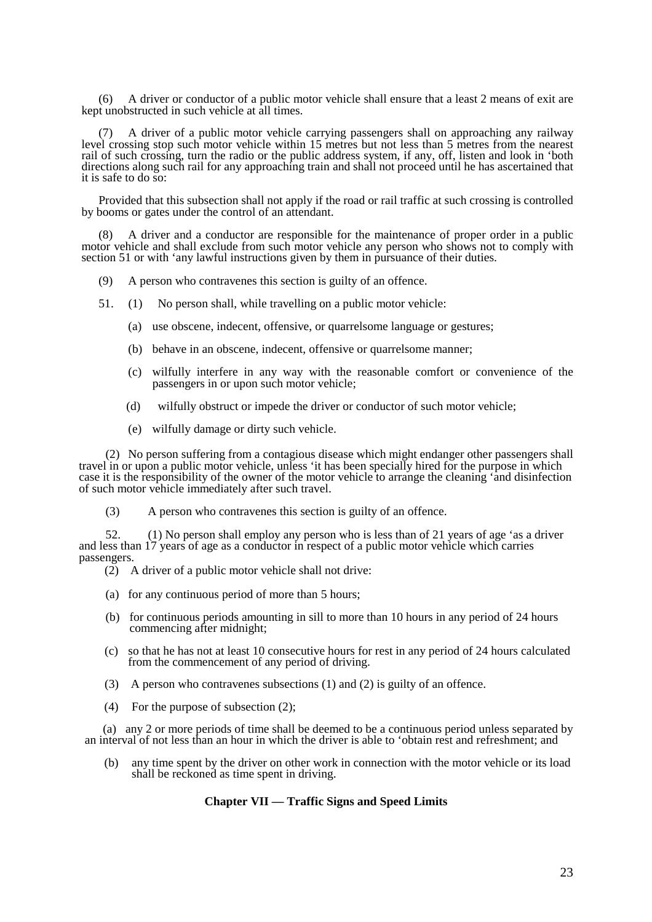(6) A driver or conductor of a public motor vehicle shall ensure that a least 2 means of exit are kept unobstructed in such vehicle at all times.

(7) A driver of a public motor vehicle carrying passengers shall on approaching any railway level crossing stop such motor vehicle within 15 metres but not less than 5 metres from the nearest rail of such crossing, turn the radio or the public address system, if any, off, listen and look in 'both directions along such rail for any approaching train and shall not proceed until he has ascertained that it is safe to do so:

Provided that this subsection shall not apply if the road or rail traffic at such crossing is controlled by booms or gates under the control of an attendant.

(8) A driver and a conductor are responsible for the maintenance of proper order in a public motor vehicle and shall exclude from such motor vehicle any person who shows not to comply with section 51 or with 'any lawful instructions given by them in pursuance of their duties.

- (9) A person who contravenes this section is guilty of an offence.
- 51. (1) No person shall, while travelling on a public motor vehicle:
	- (a) use obscene, indecent, offensive, or quarrelsome language or gestures;
	- (b) behave in an obscene, indecent, offensive or quarrelsome manner;
	- (c) wilfully interfere in any way with the reasonable comfort or convenience of the passengers in or upon such motor vehicle;
	- (d) wilfully obstruct or impede the driver or conductor of such motor vehicle;
	- (e) wilfully damage or dirty such vehicle.

(2) No person suffering from a contagious disease which might endanger other passengers shall travel in or upon a public motor vehicle, unless 'it has been specially hired for the purpose in which case it is the responsibility of the owner of the motor vehicle to arrange the cleaning 'and disinfection of such motor vehicle immediately after such travel.

(3) A person who contravenes this section is guilty of an offence.

52. (1) No person shall employ any person who is less than of 21 years of age 'as a driver and less than 17 years of age as a conductor in respect of a public motor vehicle which carries passengers.

- (2) A driver of a public motor vehicle shall not drive:
- (a) for any continuous period of more than 5 hours;
- (b) for continuous periods amounting in sill to more than 10 hours in any period of 24 hours commencing after midnight;
- (c) so that he has not at least 10 consecutive hours for rest in any period of 24 hours calculated from the commencement of any period of driving.
- (3) A person who contravenes subsections (1) and (2) is guilty of an offence.
- (4) For the purpose of subsection (2);

 (a) any 2 or more periods of time shall be deemed to be a continuous period unless separated by an interval of not less than an hour in which the driver is able to 'obtain rest and refreshment; and

(b) any time spent by the driver on other work in connection with the motor vehicle or its load shall be reckoned as time spent in driving.

#### **Chapter VII — Traffic Signs and Speed Limits**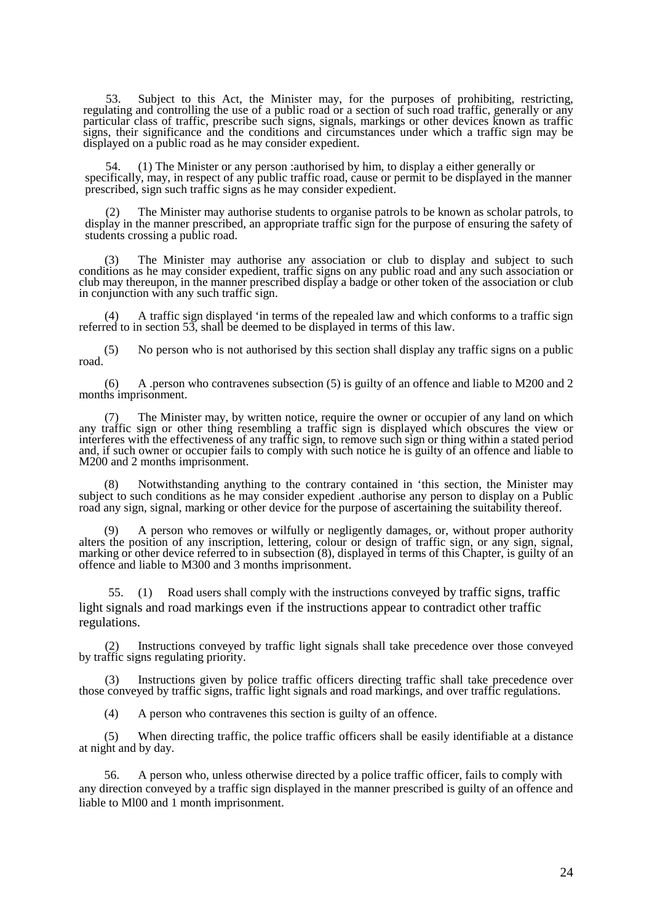53. Subject to this Act, the Minister may, for the purposes of prohibiting, restricting, regulating and controlling the use of a public road or a section of such road traffic, generally or any particular class of traffic, prescribe such signs, signals, markings or other devices known as traffic signs, their significance and the conditions and circumstances under which a traffic sign may be displayed on a public road as he may consider expedient.

54. (1) The Minister or any person :authorised by him, to display a either generally or specifically, may, in respect of any public traffic road, cause or permit to be displayed in the manner prescribed, sign such traffic signs as he may consider expedient.

The Minister may authorise students to organise patrols to be known as scholar patrols, to display in the manner prescribed, an appropriate traffic sign for the purpose of ensuring the safety of students crossing a public road.

(3) The Minister may authorise any association or club to display and subject to such conditions as he may consider expedient, traffic signs on any public road and any such association or club may thereupon, in the manner prescribed display a badge or other token of the association or club in conjunction with any such traffic sign.

(4) A traffic sign displayed 'in terms of the repealed law and which conforms to a traffic sign referred to in section 53, shall be deemed to be displayed in terms of this law.

(5) No person who is not authorised by this section shall display any traffic signs on a public road.

(6) A .person who contravenes subsection (5) is guilty of an offence and liable to M200 and 2 months imprisonment.

The Minister may, by written notice, require the owner or occupier of any land on which any traffic sign or other thing resembling a traffic sign is displayed which obscures the view or interferes with the effectiveness of any traffic sign, to remove such sign or thing within a stated period and, if such owner or occupier fails to comply with such notice he is guilty of an offence and liable to M<sub>200</sub> and 2 months imprisonment.

Notwithstanding anything to the contrary contained in 'this section, the Minister may subject to such conditions as he may consider expedient .authorise any person to display on a Public road any sign, signal, marking or other device for the purpose of ascertaining the suitability thereof.

A person who removes or wilfully or negligently damages, or, without proper authority alters the position of any inscription, lettering, colour or design of traffic sign, or any sign, signal, marking or other device referred to in subsection (8), displayed in terms of this Chapter, is guilty of an offence and liable to M300 and 3 months imprisonment.

55. (1) Road users shall comply with the instructions conveyed by traffic signs, traffic light signals and road markings even if the instructions appear to contradict other traffic regulations.

Instructions conveyed by traffic light signals shall take precedence over those conveyed by traffic signs regulating priority.

Instructions given by police traffic officers directing traffic shall take precedence over those conveyed by traffic signs, traffic light signals and road markings, and over traffic regulations.

(4) A person who contravenes this section is guilty of an offence.

(5) When directing traffic, the police traffic officers shall be easily identifiable at a distance at night and by day.

56. A person who, unless otherwise directed by a police traffic officer, fails to comply with any direction conveyed by a traffic sign displayed in the manner prescribed is guilty of an offence and liable to Ml00 and 1 month imprisonment.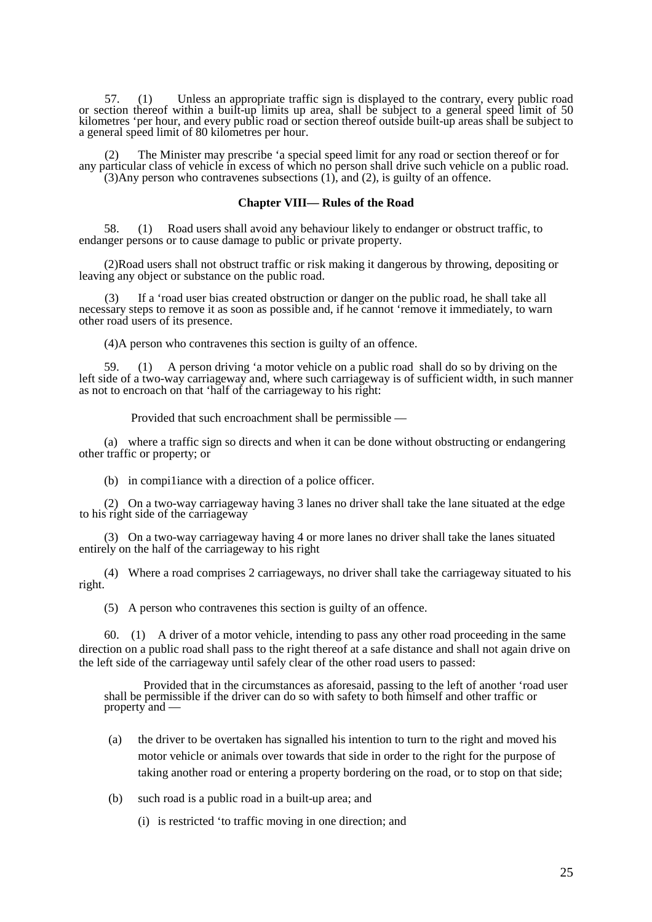57. (1) Unless an appropriate traffic sign is displayed to the contrary, every public road or section thereof within a built-up limits up area, shall be subject to a general speed limit of 50 kilometres 'per hour, and every public road or section thereof outside built-up areas shall be subject to a general speed limit of 80 kilometres per hour.

(2) The Minister may prescribe 'a special speed limit for any road or section thereof or for any particular class of vehicle in excess of which no person shall drive such vehicle on a public road.  $(3)$ Any person who contravenes subsections  $(1)$ , and  $(2)$ , is guilty of an offence.

#### **Chapter VIII— Rules of the Road**

58. (1) Road users shall avoid any behaviour likely to endanger or obstruct traffic, to endanger persons or to cause damage to public or private property.

(2)Road users shall not obstruct traffic or risk making it dangerous by throwing, depositing or leaving any object or substance on the public road.

If a 'road user bias created obstruction or danger on the public road, he shall take all necessary steps to remove it as soon as possible and, if he cannot 'remove it immediately, to warn other road users of its presence.

(4)A person who contravenes this section is guilty of an offence.

59. (1) A person driving 'a motor vehicle on a public road shall do so by driving on the left side of a two-way carriageway and, where such carriageway is of sufficient width, in such manner as not to encroach on that 'half of the carriageway to his right:

Provided that such encroachment shall be permissible —

(a) where a traffic sign so directs and when it can be done without obstructing or endangering other traffic or property; or

(b) in compi1iance with a direction of a police officer.

(2) On a two-way carriageway having 3 lanes no driver shall take the lane situated at the edge to his right side of the carriageway

(3) On a two-way carriageway having 4 or more lanes no driver shall take the lanes situated entirely on the half of the carriageway to his right

(4) Where a road comprises 2 carriageways, no driver shall take the carriageway situated to his right.

(5) A person who contravenes this section is guilty of an offence.

60. (1) A driver of a motor vehicle, intending to pass any other road proceeding in the same direction on a public road shall pass to the right thereof at a safe distance and shall not again drive on the left side of the carriageway until safely clear of the other road users to passed:

Provided that in the circumstances as aforesaid, passing to the left of another 'road user shall be permissible if the driver can do so with safety to both himself and other traffic or property and —

- (a) the driver to be overtaken has signalled his intention to turn to the right and moved his motor vehicle or animals over towards that side in order to the right for the purpose of taking another road or entering a property bordering on the road, or to stop on that side;
- (b) such road is a public road in a built-up area; and

(i) is restricted 'to traffic moving in one direction; and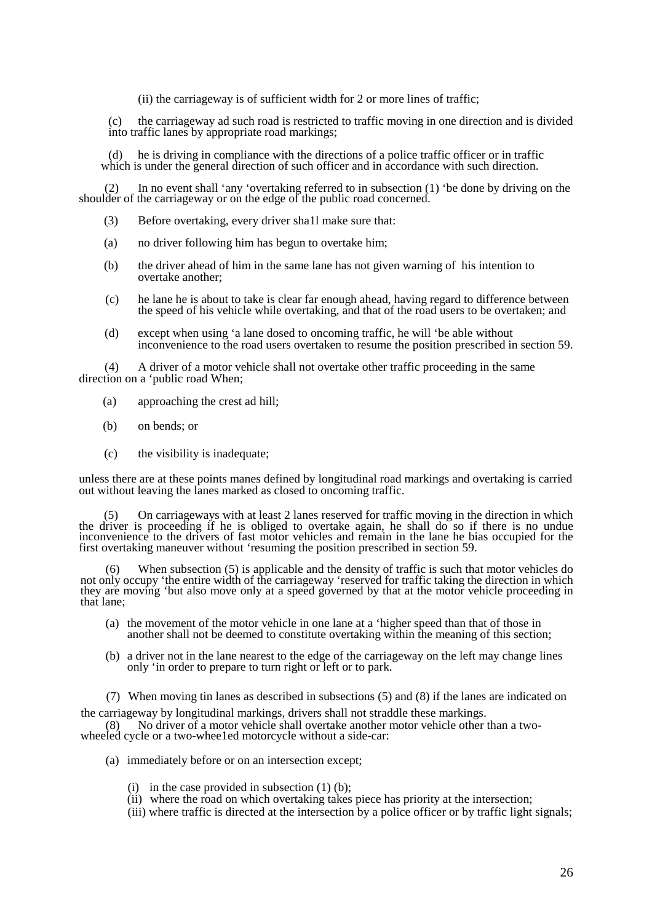(ii) the carriageway is of sufficient width for 2 or more lines of traffic;

 (c) the carriageway ad such road is restricted to traffic moving in one direction and is divided into traffic lanes by appropriate road markings;

 (d) he is driving in compliance with the directions of a police traffic officer or in traffic which is under the general direction of such officer and in accordance with such direction.

(2) In no event shall 'any 'overtaking referred to in subsection (1) 'be done by driving on the shoulder of the carriageway or on the edge of the public road concerned.

- (3) Before overtaking, every driver sha1l make sure that:
- (a) no driver following him has begun to overtake him;
- (b) the driver ahead of him in the same lane has not given warning of his intention to overtake another;
- (c) he lane he is about to take is clear far enough ahead, having regard to difference between the speed of his vehicle while overtaking, and that of the road users to be overtaken; and
- (d) except when using 'a lane dosed to oncoming traffic, he will 'be able without inconvenience to the road users overtaken to resume the position prescribed in section 59.

(4) A driver of a motor vehicle shall not overtake other traffic proceeding in the same direction on a 'public road When;

- (a) approaching the crest ad hill;
- (b) on bends; or
- (c) the visibility is inadequate;

unless there are at these points manes defined by longitudinal road markings and overtaking is carried out without leaving the lanes marked as closed to oncoming traffic.

(5) On carriageways with at least 2 lanes reserved for traffic moving in the direction in which the driver is proceeding if he is obliged to overtake again, he shall do so if there is no undue inconvenience to the drivers of fast motor vehicles and remain in the lane he bias occupied for the first overtaking maneuver without 'resuming the position prescribed in section 59.

(6) When subsection (5) is applicable and the density of traffic is such that motor vehicles do not only occupy 'the entire width of the carriageway 'reserved for traffic taking the direction in which they are moving 'but also move only at a speed governed by that at the motor vehicle proceeding in that lane;

- (a) the movement of the motor vehicle in one lane at a 'higher speed than that of those in another shall not be deemed to constitute overtaking within the meaning of this section;
- (b) a driver not in the lane nearest to the edge of the carriageway on the left may change lines only 'in order to prepare to turn right or left or to park.

(7) When moving tin lanes as described in subsections (5) and (8) if the lanes are indicated on

the carriageway by longitudinal markings, drivers shall not straddle these markings.

No driver of a motor vehicle shall overtake another motor vehicle other than a twowheeled cycle or a two-whee1ed motorcycle without a side-car:

- (a) immediately before or on an intersection except;
	- (i) in the case provided in subsection  $(1)$  (b):
	- (ii) where the road on which overtaking takes piece has priority at the intersection;
	- (iii) where traffic is directed at the intersection by a police officer or by traffic light signals;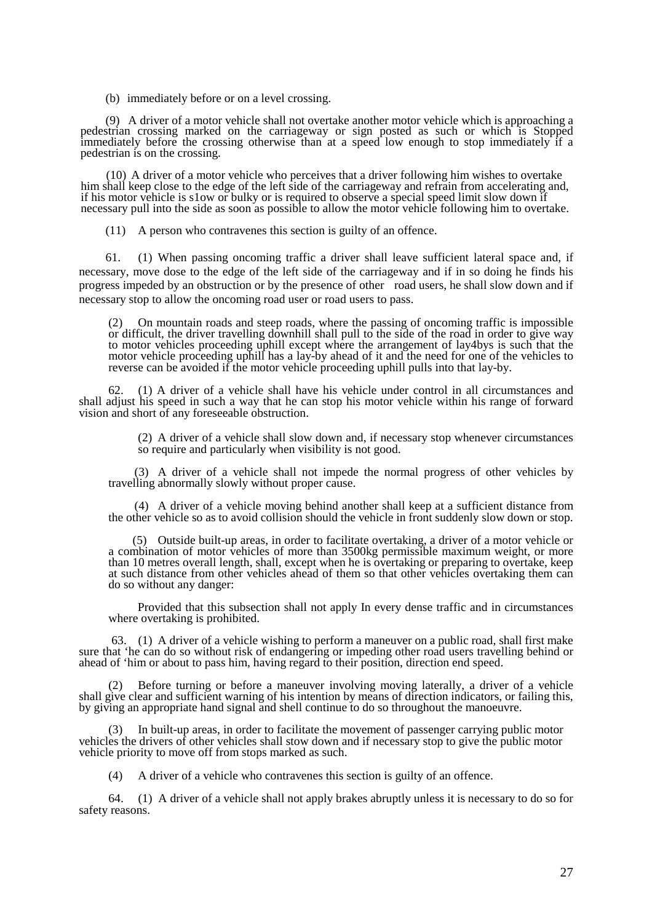(b) immediately before or on a level crossing.

(9) A driver of a motor vehicle shall not overtake another motor vehicle which is approaching a pedestrian crossing marked on the carriageway or sign posted as such or which is Stopped immediately before the crossing otherwise than at a speed low enough to stop immediately if a pedestrian is on the crossing.

(10) A driver of a motor vehicle who perceives that a driver following him wishes to overtake him shall keep close to the edge of the left side of the carriageway and refrain from accelerating and, if his motor vehicle is s1ow or bulky or is required to observe a special speed limit slow down if necessary pull into the side as soon as possible to allow the motor vehicle following him to overtake.

(11) A person who contravenes this section is guilty of an offence.

61. (1) When passing oncoming traffic a driver shall leave sufficient lateral space and, if necessary, move dose to the edge of the left side of the carriageway and if in so doing he finds his progress impeded by an obstruction or by the presence of other road users, he shall slow down and if necessary stop to allow the oncoming road user or road users to pass.

(2) On mountain roads and steep roads, where the passing of oncoming traffic is impossible or difficult, the driver travelling downhill shall pull to the side of the road in order to give way to motor vehicles proceeding uphill except where the arrangement of lay4bys is such that the motor vehicle proceeding uphill has a lay-by ahead of it and the need for one of the vehicles to reverse can be avoided if the motor vehicle proceeding uphill pulls into that lay-by.

62. (1) A driver of a vehicle shall have his vehicle under control in all circumstances and shall adjust his speed in such a way that he can stop his motor vehicle within his range of forward vision and short of any foreseeable obstruction.

> (2) A driver of a vehicle shall slow down and, if necessary stop whenever circumstances so require and particularly when visibility is not good.

(3) A driver of a vehicle shall not impede the normal progress of other vehicles by travelling abnormally slowly without proper cause.

(4) A driver of a vehicle moving behind another shall keep at a sufficient distance from the other vehicle so as to avoid collision should the vehicle in front suddenly slow down or stop.

(5) Outside built-up areas, in order to facilitate overtaking, a driver of a motor vehicle or a combination of motor vehicles of more than 3500kg permissible maximum weight, or more than 10 metres overall length, shall, except when he is overtaking or preparing to overtake, keep at such distance from other vehicles ahead of them so that other vehicles overtaking them can do so without any danger:

Provided that this subsection shall not apply In every dense traffic and in circumstances where overtaking is prohibited.

 63. (1) A driver of a vehicle wishing to perform a maneuver on a public road, shall first make sure that 'he can do so without risk of endangering or impeding other road users travelling behind or ahead of 'him or about to pass him, having regard to their position, direction end speed.

(2) Before turning or before a maneuver involving moving laterally, a driver of a vehicle shall give clear and sufficient warning of his intention by means of direction indicators, or failing this, by giving an appropriate hand signal and shell continue to do so throughout the manoeuvre.

In built-up areas, in order to facilitate the movement of passenger carrying public motor vehicles the drivers of other vehicles shall stow down and if necessary stop to give the public motor vehicle priority to move off from stops marked as such.

(4) A driver of a vehicle who contravenes this section is guilty of an offence.

64. (1) A driver of a vehicle shall not apply brakes abruptly unless it is necessary to do so for safety reasons.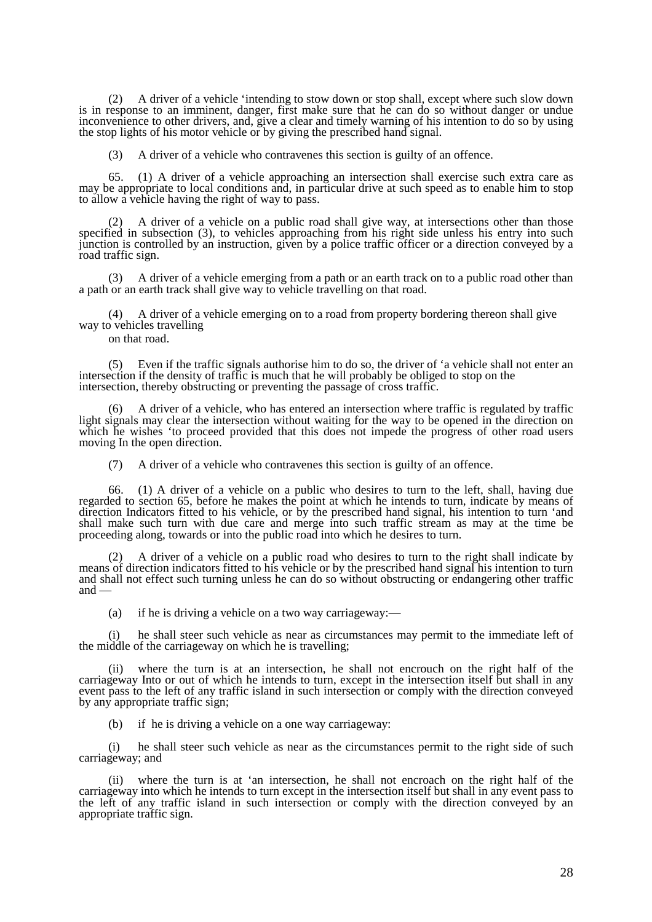(2) A driver of a vehicle 'intending to stow down or stop shall, except where such slow down is in response to an imminent, danger, first make sure that he can do so without danger or undue inconvenience to other drivers, and, give a clear and timely warning of his intention to do so by using the stop lights of his motor vehicle or by giving the prescribed hand signal.

(3) A driver of a vehicle who contravenes this section is guilty of an offence.

65. (1) A driver of a vehicle approaching an intersection shall exercise such extra care as may be appropriate to local conditions and, in particular drive at such speed as to enable him to stop to allow a vehicle having the right of way to pass.

A driver of a vehicle on a public road shall give way, at intersections other than those specified in subsection (3), to vehicles approaching from his right side unless his entry into such junction is controlled by an instruction, given by a police traffic officer or a direction conveyed by a road traffic sign.

(3) A driver of a vehicle emerging from a path or an earth track on to a public road other than a path or an earth track shall give way to vehicle travelling on that road.

(4) A driver of a vehicle emerging on to a road from property bordering thereon shall give way to vehicles travelling

on that road.

(5) Even if the traffic signals authorise him to do so, the driver of 'a vehicle shall not enter an intersection if the density of traffic is much that he will probably be obliged to stop on the intersection, thereby obstructing or preventing the passage of cross traffic.

(6) A driver of a vehicle, who has entered an intersection where traffic is regulated by traffic light signals may clear the intersection without waiting for the way to be opened in the direction on which he wishes 'to proceed provided that this does not impede the progress of other road users moving In the open direction.

(7) A driver of a vehicle who contravenes this section is guilty of an offence.

66. (1) A driver of a vehicle on a public who desires to turn to the left, shall, having due regarded to section 65, before he makes the point at which he intends to turn, indicate by means of direction Indicators fitted to his vehicle, or by the prescribed hand signal, his intention to turn 'and shall make such turn with due care and merge into such traffic stream as may at the time be proceeding along, towards or into the public road into which he desires to turn.

(2) A driver of a vehicle on a public road who desires to turn to the right shall indicate by means of direction indicators fitted to his vehicle or by the prescribed hand signal his intention to turn and shall not effect such turning unless he can do so without obstructing or endangering other traffic  $and$  —

(a) if he is driving a vehicle on a two way carriageway:—

(i) he shall steer such vehicle as near as circumstances may permit to the immediate left of the middle of the carriageway on which he is travelling;

(ii) where the turn is at an intersection, he shall not encrouch on the right half of the carriageway Into or out of which he intends to turn, except in the intersection itself but shall in any event pass to the left of any traffic island in such intersection or comply with the direction conveyed by any appropriate traffic sign;

(b) if he is driving a vehicle on a one way carriageway:

(i) he shall steer such vehicle as near as the circumstances permit to the right side of such carriageway; and

(ii) where the turn is at 'an intersection, he shall not encroach on the right half of the carriageway into which he intends to turn except in the intersection itself but shall in any event pass to the left of any traffic island in such intersection or comply with the direction conveyed by an appropriate traffic sign.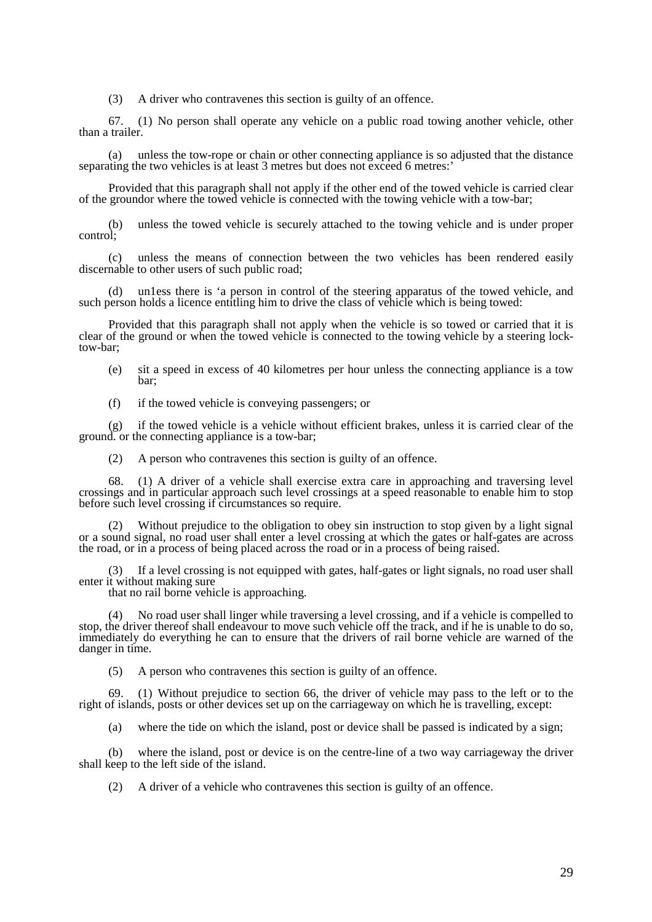(3) A driver who contravenes this section is guilty of an offence.

67. (1) No person shall operate any vehicle on a public road towing another vehicle, other than a trailer.

(a) unless the tow-rope or chain or other connecting appliance is so adjusted that the distance separating the two vehicles is at least 3 metres but does not exceed 6 metres:

Provided that this paragraph shall not apply if the other end of the towed vehicle is carried clear of the groundor where the towed vehicle is connected with the towing vehicle with a tow-bar;

(b) unless the towed vehicle is securely attached to the towing vehicle and is under proper control;

(c) unless the means of connection between the two vehicles has been rendered easily discernable to other users of such public road;

(d) un1ess there is 'a person in control of the steering apparatus of the towed vehicle, and such person holds a licence entitling him to drive the class of vehicle which is being towed:

Provided that this paragraph shall not apply when the vehicle is so towed or carried that it is clear of the ground or when the towed vehicle is connected to the towing vehicle by a steering locktow-bar;

- (e) sit a speed in excess of 40 kilometres per hour unless the connecting appliance is a tow bar;
- (f) if the towed vehicle is conveying passengers; or

(g) if the towed vehicle is a vehicle without efficient brakes, unless it is carried clear of the ground. or the connecting appliance is a tow-bar;

(2) A person who contravenes this section is guilty of an offence.

68. (1) A driver of a vehicle shall exercise extra care in approaching and traversing level crossings and in particular approach such level crossings at a speed reasonable to enable him to stop before such level crossing if circumstances so require.

(2) Without prejudice to the obligation to obey sin instruction to stop given by a light signal or a sound signal, no road user shall enter a level crossing at which the gates or half-gates are across the road, or in a process of being placed across the road or in a process of being raised.

(3) If a level crossing is not equipped with gates, half-gates or light signals, no road user shall enter it without making sure

that no rail borne vehicle is approaching.

(4) No road user shall linger while traversing a level crossing, and if a vehicle is compelled to stop, the driver thereof shall endeavour to move such vehicle off the track, and if he is unable to do so, immediately do everything he can to ensure that the drivers of rail borne vehicle are warned of the danger in time.

(5) A person who contravenes this section is guilty of an offence.

69. (1) Without prejudice to section 66, the driver of vehicle may pass to the left or to the right of islands, posts or other devices set up on the carriageway on which he is travelling, except:

(a) where the tide on which the island, post or device shall be passed is indicated by a sign;

(b) where the island, post or device is on the centre-line of a two way carriageway the driver shall keep to the left side of the island.

(2) A driver of a vehicle who contravenes this section is guilty of an offence.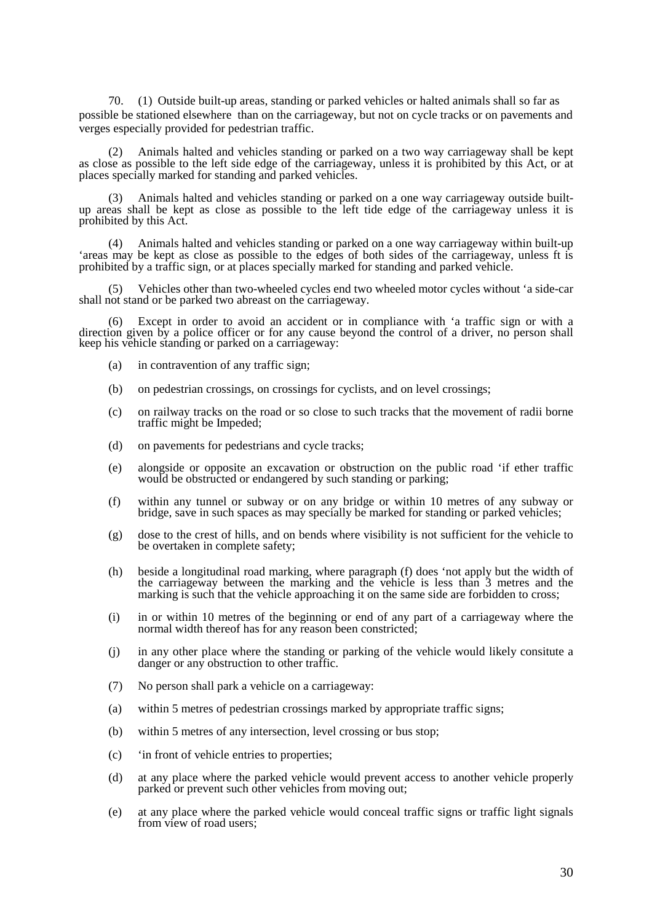70. (1) Outside built-up areas, standing or parked vehicles or halted animals shall so far as possible be stationed elsewhere than on the carriageway, but not on cycle tracks or on pavements and verges especially provided for pedestrian traffic.

(2) Animals halted and vehicles standing or parked on a two way carriageway shall be kept as close as possible to the left side edge of the carriageway, unless it is prohibited by this Act, or at places specially marked for standing and parked vehicles.

(3) Animals halted and vehicles standing or parked on a one way carriageway outside builtup areas shall be kept as close as possible to the left tide edge of the carriageway unless it is prohibited by this Act.

(4) Animals halted and vehicles standing or parked on a one way carriageway within built-up 'areas may be kept as close as possible to the edges of both sides of the carriageway, unless ft is prohibited by a traffic sign, or at places specially marked for standing and parked vehicle.

(5) Vehicles other than two-wheeled cycles end two wheeled motor cycles without 'a side-car shall not stand or be parked two abreast on the carriageway.

(6) Except in order to avoid an accident or in compliance with 'a traffic sign or with a direction given by a police officer or for any cause beyond the control of a driver, no person shall keep his vehicle standing or parked on a carriageway:

- (a) in contravention of any traffic sign;
- (b) on pedestrian crossings, on crossings for cyclists, and on level crossings;
- (c) on railway tracks on the road or so close to such tracks that the movement of radii borne traffic might be Impeded;
- (d) on pavements for pedestrians and cycle tracks;
- (e) alongside or opposite an excavation or obstruction on the public road 'if ether traffic would be obstructed or endangered by such standing or parking;
- (f) within any tunnel or subway or on any bridge or within 10 metres of any subway or bridge, save in such spaces as may specially be marked for standing or parked vehicles;
- (g) dose to the crest of hills, and on bends where visibility is not sufficient for the vehicle to be overtaken in complete safety;
- (h) beside a longitudinal road marking, where paragraph (f) does 'not apply but the width of the carriageway between the marking and the vehicle is less than 3 metres and the marking is such that the vehicle approaching it on the same side are forbidden to cross;
- (i) in or within 10 metres of the beginning or end of any part of a carriageway where the normal width thereof has for any reason been constricted;
- (j) in any other place where the standing or parking of the vehicle would likely consitute a danger or any obstruction to other traffic.
- (7) No person shall park a vehicle on a carriageway:
- (a) within 5 metres of pedestrian crossings marked by appropriate traffic signs;
- (b) within 5 metres of any intersection, level crossing or bus stop;
- (c) 'in front of vehicle entries to properties;
- (d) at any place where the parked vehicle would prevent access to another vehicle properly parked or prevent such other vehicles from moving out;
- (e) at any place where the parked vehicle would conceal traffic signs or traffic light signals from view of road users;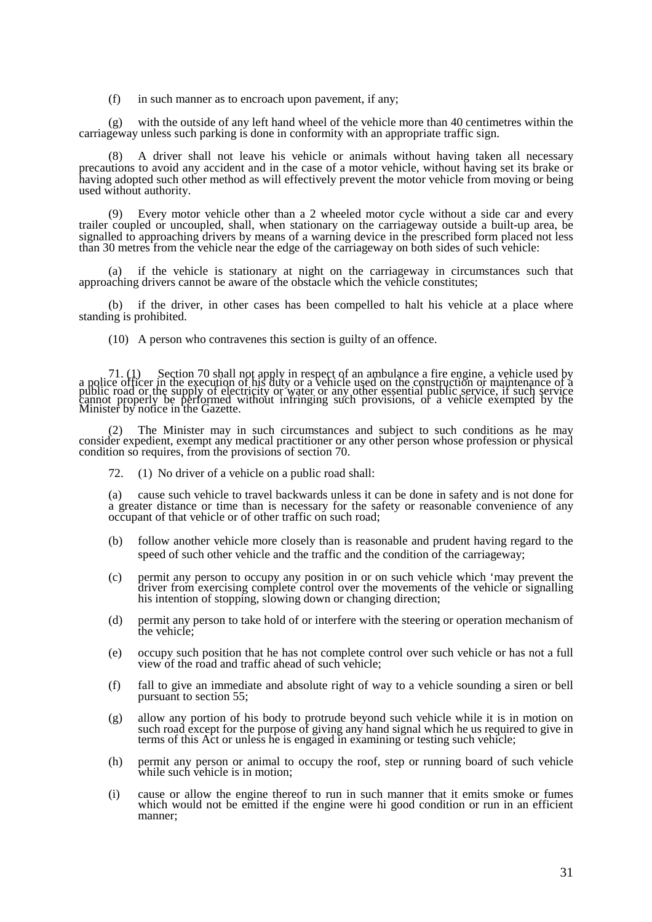(f) in such manner as to encroach upon pavement, if any;

(g) with the outside of any left hand wheel of the vehicle more than 40 centimetres within the carriageway unless such parking is done in conformity with an appropriate traffic sign.

(8) A driver shall not leave his vehicle or animals without having taken all necessary precautions to avoid any accident and in the case of a motor vehicle, without having set its brake or having adopted such other method as will effectively prevent the motor vehicle from moving or being used without authority.

Every motor vehicle other than a 2 wheeled motor cycle without a side car and every trailer coupled or uncoupled, shall, when stationary on the carriageway outside a built-up area, be signalled to approaching drivers by means of a warning device in the prescribed form placed not less than 30 metres from the vehicle near the edge of the carriageway on both sides of such vehicle:

(a) if the vehicle is stationary at night on the carriageway in circumstances such that approaching drivers cannot be aware of the obstacle which the vehicle constitutes;

(b) if the driver, in other cases has been compelled to halt his vehicle at a place where standing is prohibited.

(10) A person who contravenes this section is guilty of an offence.

71. (1) Section 70 shall not apply in respect of an ambulance a fire engine, a vehicle used by<br>a police officer in the execution of his duty or a vehicle used on the construction or maintenance of a<br>public road or the supp

(2) The Minister may in such circumstances and subject to such conditions as he may consider expedient, exempt any medical practitioner or any other person whose profession or physical condition so requires, from the provisions of section 70.

72. (1) No driver of a vehicle on a public road shall:

(a) cause such vehicle to travel backwards unless it can be done in safety and is not done for a greater distance or time than is necessary for the safety or reasonable convenience of any occupant of that vehicle or of other traffic on such road;

- (b) follow another vehicle more closely than is reasonable and prudent having regard to the speed of such other vehicle and the traffic and the condition of the carriageway;
- (c) permit any person to occupy any position in or on such vehicle which 'may prevent the driver from exercising complete control over the movements of the vehicle or signalling his intention of stopping, slowing down or changing direction;
- (d) permit any person to take hold of or interfere with the steering or operation mechanism of the vehicle;
- (e) occupy such position that he has not complete control over such vehicle or has not a full view of the road and traffic ahead of such vehicle;
- (f) fall to give an immediate and absolute right of way to a vehicle sounding a siren or bell pursuant to section 55;
- (g) allow any portion of his body to protrude beyond such vehicle while it is in motion on such road except for the purpose of giving any hand signal which he us required to give in terms of this Act or unless he is engaged in examining or testing such vehicle;
- (h) permit any person or animal to occupy the roof, step or running board of such vehicle while such vehicle is in motion;
- (i) cause or allow the engine thereof to run in such manner that it emits smoke or fumes which would not be emitted if the engine were hi good condition or run in an efficient manner;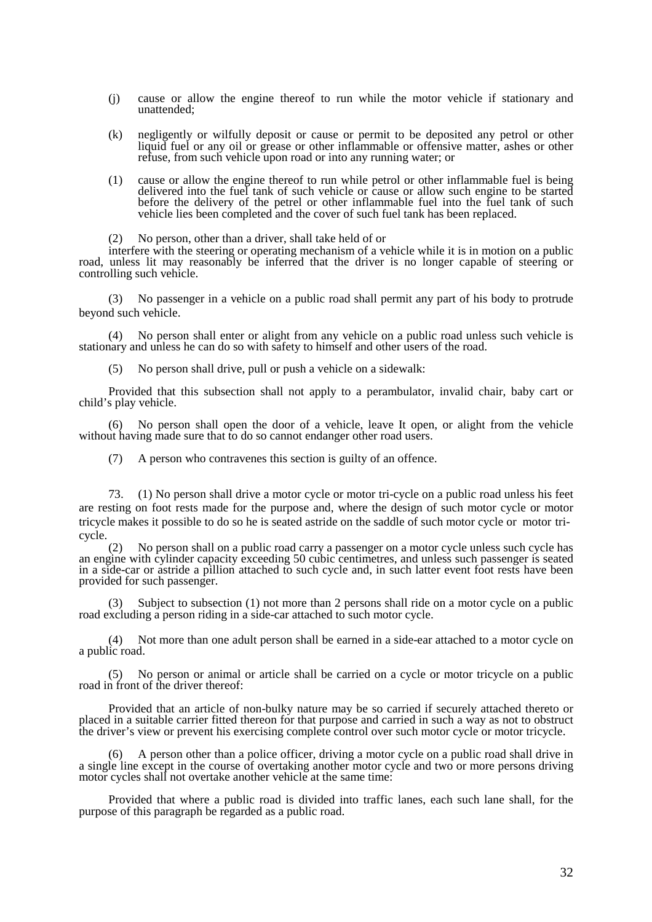- (j) cause or allow the engine thereof to run while the motor vehicle if stationary and unattended;
- (k) negligently or wilfully deposit or cause or permit to be deposited any petrol or other liquid fuel or any oil or grease or other inflammable or offensive matter, ashes or other refuse, from such vehicle upon road or into any running water; or
- (1) cause or allow the engine thereof to run while petrol or other inflammable fuel is being delivered into the fuel tank of such vehicle or cause or allow such engine to be started before the delivery of the petrel or other inflammable fuel into the fuel tank of such vehicle lies been completed and the cover of such fuel tank has been replaced.

(2) No person, other than a driver, shall take held of or

interfere with the steering or operating mechanism of a vehicle while it is in motion on a public road, unless lit may reasonably be inferred that the driver is no longer capable of steering or controlling such vehicle.

(3) No passenger in a vehicle on a public road shall permit any part of his body to protrude beyond such vehicle.

(4) No person shall enter or alight from any vehicle on a public road unless such vehicle is stationary and unless he can do so with safety to himself and other users of the road.

(5) No person shall drive, pull or push a vehicle on a sidewalk:

Provided that this subsection shall not apply to a perambulator, invalid chair, baby cart or child's play vehicle.

(6) No person shall open the door of a vehicle, leave It open, or alight from the vehicle without having made sure that to do so cannot endanger other road users.

(7) A person who contravenes this section is guilty of an offence.

73. (1) No person shall drive a motor cycle or motor tri-cycle on a public road unless his feet are resting on foot rests made for the purpose and, where the design of such motor cycle or motor tricycle makes it possible to do so he is seated astride on the saddle of such motor cycle or motor tricycle.

(2) No person shall on a public road carry a passenger on a motor cycle unless such cycle has an engine with cylinder capacity exceeding 50 cubic centimetres, and unless such passenger is seated in a side-car or astride a pillion attached to such cycle and, in such latter event foot rests have been provided for such passenger.

Subject to subsection (1) not more than 2 persons shall ride on a motor cycle on a public road excluding a person riding in a side-car attached to such motor cycle.

(4) Not more than one adult person shall be earned in a side-ear attached to a motor cycle on a public road.

(5) No person or animal or article shall be carried on a cycle or motor tricycle on a public road in front of the driver thereof:

Provided that an article of non-bulky nature may be so carried if securely attached thereto or placed in a suitable carrier fitted thereon for that purpose and carried in such a way as not to obstruct the driver's view or prevent his exercising complete control over such motor cycle or motor tricycle.

(6) A person other than a police officer, driving a motor cycle on a public road shall drive in a single line except in the course of overtaking another motor cycle and two or more persons driving motor cycles shall not overtake another vehicle at the same time:

Provided that where a public road is divided into traffic lanes, each such lane shall, for the purpose of this paragraph be regarded as a public road.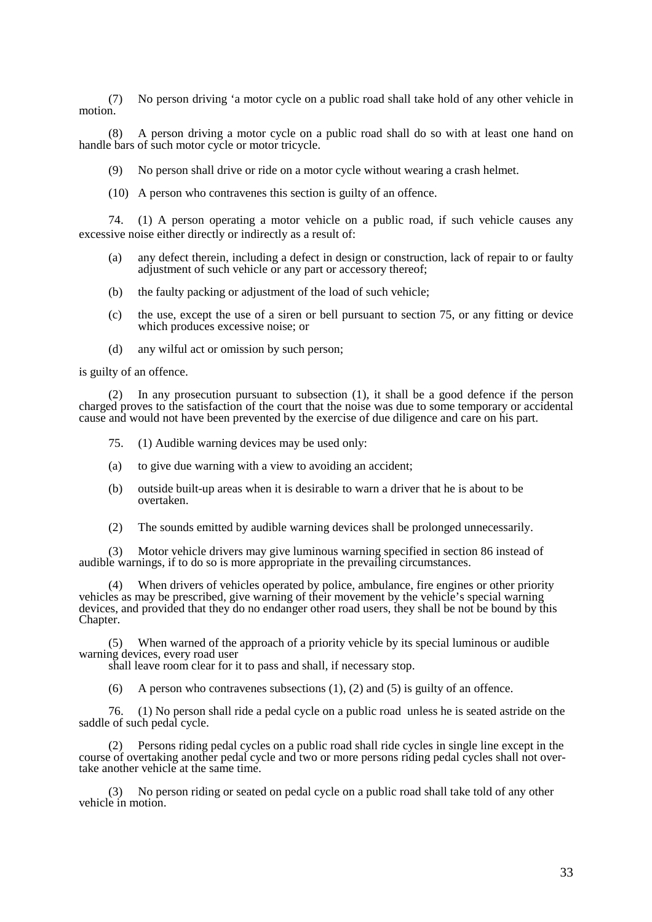(7) No person driving 'a motor cycle on a public road shall take hold of any other vehicle in motion.

(8) A person driving a motor cycle on a public road shall do so with at least one hand on handle bars of such motor cycle or motor tricycle.

- (9) No person shall drive or ride on a motor cycle without wearing a crash helmet.
- (10) A person who contravenes this section is guilty of an offence.

74. (1) A person operating a motor vehicle on a public road, if such vehicle causes any excessive noise either directly or indirectly as a result of:

- (a) any defect therein, including a defect in design or construction, lack of repair to or faulty adjustment of such vehicle or any part or accessory thereof;
- (b) the faulty packing or adjustment of the load of such vehicle;
- (c) the use, except the use of a siren or bell pursuant to section 75, or any fitting or device which produces excessive noise; or
- (d) any wilful act or omission by such person;

is guilty of an offence.

(2) In any prosecution pursuant to subsection (1), it shall be a good defence if the person charged proves to the satisfaction of the court that the noise was due to some temporary or accidental cause and would not have been prevented by the exercise of due diligence and care on his part.

- 75. (1) Audible warning devices may be used only:
- (a) to give due warning with a view to avoiding an accident;
- (b) outside built-up areas when it is desirable to warn a driver that he is about to be overtaken.
- (2) The sounds emitted by audible warning devices shall be prolonged unnecessarily.

(3) Motor vehicle drivers may give luminous warning specified in section 86 instead of audible warnings, if to do so is more appropriate in the prevailing circumstances.

(4) When drivers of vehicles operated by police, ambulance, fire engines or other priority vehicles as may be prescribed, give warning of their movement by the vehicle's special warning devices, and provided that they do no endanger other road users, they shall be not be bound by this Chapter.

(5) When warned of the approach of a priority vehicle by its special luminous or audible warning devices, every road user

shall leave room clear for it to pass and shall, if necessary stop.

(6) A person who contravenes subsections (1), (2) and (5) is guilty of an offence.

76. (1) No person shall ride a pedal cycle on a public road unless he is seated astride on the saddle of such pedal cycle.

(2) Persons riding pedal cycles on a public road shall ride cycles in single line except in the course of overtaking another pedal cycle and two or more persons riding pedal cycles shall not overtake another vehicle at the same time.

(3) No person riding or seated on pedal cycle on a public road shall take told of any other vehicle in motion.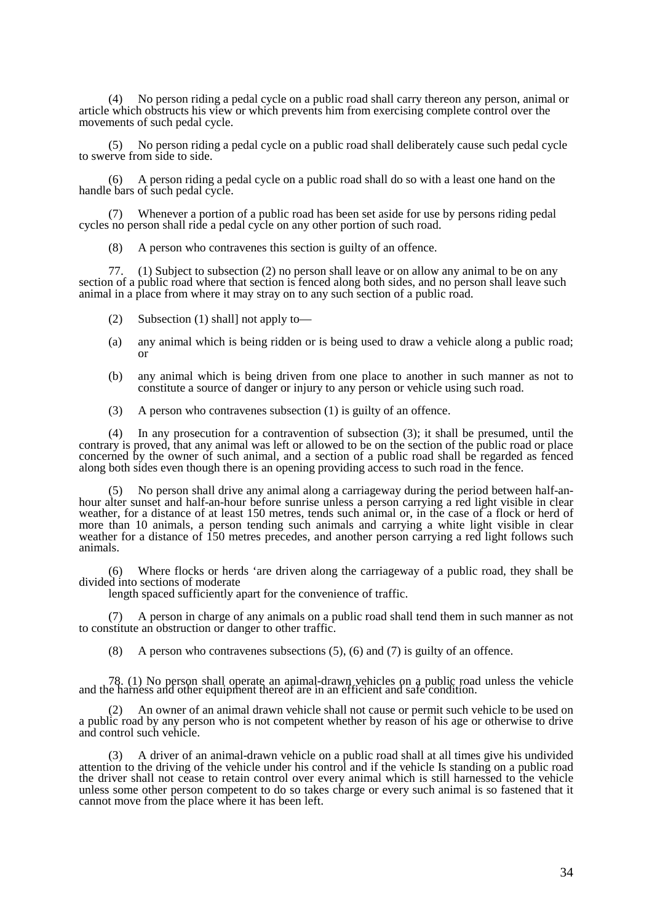(4) No person riding a pedal cycle on a public road shall carry thereon any person, animal or article which obstructs his view or which prevents him from exercising complete control over the movements of such pedal cycle.

(5) No person riding a pedal cycle on a public road shall deliberately cause such pedal cycle to swerve from side to side.

(6) A person riding a pedal cycle on a public road shall do so with a least one hand on the handle bars of such pedal cycle.

(7) Whenever a portion of a public road has been set aside for use by persons riding pedal cycles no person shall ride a pedal cycle on any other portion of such road.

(8) A person who contravenes this section is guilty of an offence.

77. (1) Subject to subsection (2) no person shall leave or on allow any animal to be on any section of a public road where that section is fenced along both sides, and no person shall leave such animal in a place from where it may stray on to any such section of a public road.

- (2) Subsection (1) shall] not apply to—
- (a) any animal which is being ridden or is being used to draw a vehicle along a public road; or
- (b) any animal which is being driven from one place to another in such manner as not to constitute a source of danger or injury to any person or vehicle using such road.
- (3) A person who contravenes subsection (1) is guilty of an offence.

(4) In any prosecution for a contravention of subsection (3); it shall be presumed, until the contrary is proved, that any animal was left or allowed to be on the section of the public road or place concerned by the owner of such animal, and a section of a public road shall be regarded as fenced along both sides even though there is an opening providing access to such road in the fence.

No person shall drive any animal along a carriageway during the period between half-anhour alter sunset and half-an-hour before sunrise unless a person carrying a red light visible in clear weather, for a distance of at least 150 metres, tends such animal or, in the case of a flock or herd of more than 10 animals, a person tending such animals and carrying a white light visible in clear weather for a distance of 150 metres precedes, and another person carrying a red light follows such animals.

(6) Where flocks or herds 'are driven along the carriageway of a public road, they shall be divided into sections of moderate

length spaced sufficiently apart for the convenience of traffic.

(7) A person in charge of any animals on a public road shall tend them in such manner as not to constitute an obstruction or danger to other traffic.

(8) A person who contravenes subsections (5), (6) and (7) is guilty of an offence.

78. (1) No person shall operate an animal-drawn vehicles on a public road unless the vehicle and the harness and other equipment thereof are in an efficient and safe condition.

An owner of an animal drawn vehicle shall not cause or permit such vehicle to be used on a public road by any person who is not competent whether by reason of his age or otherwise to drive and control such vehicle.

(3) A driver of an animal-drawn vehicle on a public road shall at all times give his undivided attention to the driving of the vehicle under his control and if the vehicle Is standing on a public road the driver shall not cease to retain control over every animal which is still harnessed to the vehicle unless some other person competent to do so takes charge or every such animal is so fastened that it cannot move from the place where it has been left.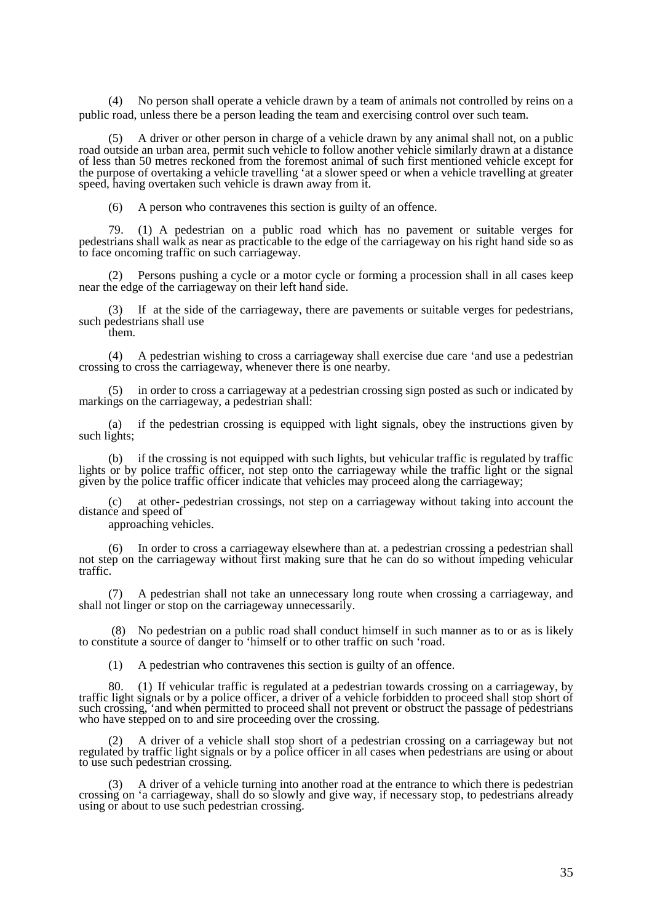(4) No person shall operate a vehicle drawn by a team of animals not controlled by reins on a public road, unless there be a person leading the team and exercising control over such team.

(5) A driver or other person in charge of a vehicle drawn by any animal shall not, on a public road outside an urban area, permit such vehicle to follow another vehicle similarly drawn at a distance of less than 50 metres reckoned from the foremost animal of such first mentioned vehicle except for the purpose of overtaking a vehicle travelling 'at a slower speed or when a vehicle travelling at greater speed, having overtaken such vehicle is drawn away from it.

(6) A person who contravenes this section is guilty of an offence.

79. (1) A pedestrian on a public road which has no pavement or suitable verges for pedestrians shall walk as near as practicable to the edge of the carriageway on his right hand side so as to face oncoming traffic on such carriageway.

Persons pushing a cycle or a motor cycle or forming a procession shall in all cases keep near the edge of the carriageway on their left hand side.

(3) If at the side of the carriageway, there are pavements or suitable verges for pedestrians, such pedestrians shall use

them.

(4) A pedestrian wishing to cross a carriageway shall exercise due care 'and use a pedestrian crossing to cross the carriageway, whenever there is one nearby.

in order to cross a carriageway at a pedestrian crossing sign posted as such or indicated by markings on the carriageway, a pedestrian shall:

(a) if the pedestrian crossing is equipped with light signals, obey the instructions given by such lights;

(b) if the crossing is not equipped with such lights, but vehicular traffic is regulated by traffic lights or by police traffic officer, not step onto the carriageway while the traffic light or the signal given by the police traffic officer indicate that vehicles may proceed along the carriageway;

(c) at other- pedestrian crossings, not step on a carriageway without taking into account the distance and speed of

approaching vehicles.

(6) In order to cross a carriageway elsewhere than at. a pedestrian crossing a pedestrian shall not step on the carriageway without first making sure that he can do so without impeding vehicular traffic.

(7) A pedestrian shall not take an unnecessary long route when crossing a carriageway, and shall not linger or stop on the carriageway unnecessarily.

 (8) No pedestrian on a public road shall conduct himself in such manner as to or as is likely to constitute a source of danger to 'himself or to other traffic on such 'road.

(1) A pedestrian who contravenes this section is guilty of an offence.

Ĭ 80. (1) If vehicular traffic is regulated at a pedestrian towards crossing on a carriageway, by traffic light signals or by a police officer, a driver of a vehicle forbidden to proceed shall stop short of such crossing, 'and when permitted to proceed shall not prevent or obstruct the passage of pedestrians who have stepped on to and sire proceeding over the crossing.

(2) A driver of a vehicle shall stop short of a pedestrian crossing on a carriageway but not regulated by traffic light signals or by a police officer in all cases when pedestrians are using or about to use such pedestrian crossing.

A driver of a vehicle turning into another road at the entrance to which there is pedestrian crossing on 'a carriageway, shall do so slowly and give way, if necessary stop, to pedestrians already using or about to use such pedestrian crossing.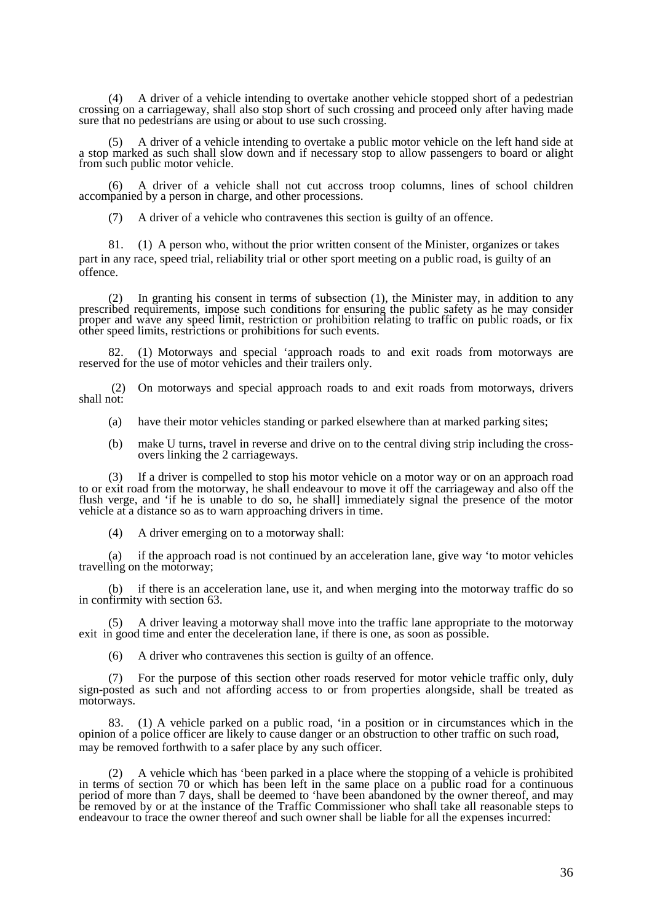(4) A driver of a vehicle intending to overtake another vehicle stopped short of a pedestrian crossing on a carriageway, shall also stop short of such crossing and proceed only after having made sure that no pedestrians are using or about to use such crossing.

(5) A driver of a vehicle intending to overtake a public motor vehicle on the left hand side at a stop marked as such shall slow down and if necessary stop to allow passengers to board or alight from such public motor vehicle.

(6) A driver of a vehicle shall not cut accross troop columns, lines of school children accompanied by a person in charge, and other processions.

(7) A driver of a vehicle who contravenes this section is guilty of an offence.

81. (1) A person who, without the prior written consent of the Minister, organizes or takes part in any race, speed trial, reliability trial or other sport meeting on a public road, is guilty of an offence.

(2) In granting his consent in terms of subsection (1), the Minister may, in addition to any prescribed requirements, impose such conditions for ensuring the public safety as he may consider proper and wave any speed limit, restriction or prohibition relating to traffic on public roads, or fix other speed limits, restrictions or prohibitions for such events.

82. (1) Motorways and special 'approach roads to and exit roads from motorways are reserved for the use of motor vehicles and their trailers only.

 (2) On motorways and special approach roads to and exit roads from motorways, drivers shall not:

- (a) have their motor vehicles standing or parked elsewhere than at marked parking sites;
- (b) make U turns, travel in reverse and drive on to the central diving strip including the crossovers linking the 2 carriageways.

(3) If a driver is compelled to stop his motor vehicle on a motor way or on an approach road to or exit road from the motorway, he shall endeavour to move it off the carriageway and also off the flush verge, and 'if he is unable to do so, he shall] immediately signal the presence of the motor vehicle at a distance so as to warn approaching drivers in time.

(4) A driver emerging on to a motorway shall:

(a) if the approach road is not continued by an acceleration lane, give way 'to motor vehicles travelling on the motorway;

(b) if there is an acceleration lane, use it, and when merging into the motorway traffic do so in confirmity with section 63.

(5) A driver leaving a motorway shall move into the traffic lane appropriate to the motorway exit in good time and enter the deceleration lane, if there is one, as soon as possible.

(6) A driver who contravenes this section is guilty of an offence.

(7) For the purpose of this section other roads reserved for motor vehicle traffic only, duly sign-posted as such and not affording access to or from properties alongside, shall be treated as motorways.

83. (1) A vehicle parked on a public road, 'in a position or in circumstances which in the opinion of a police officer are likely to cause danger or an obstruction to other traffic on such road, may be removed forthwith to a safer place by any such officer*.* 

(2) A vehicle which has 'been parked in a place where the stopping of a vehicle is prohibited in terms of section 70 or which has been left in the same place on a public road for a continuous period of more than 7 days, shall be deemed to 'have been abandoned by the owner thereof, and may be removed by or at the instance of the Traffic Commissioner who shall take all reasonable steps to endeavour to trace the owner thereof and such owner shall be liable for all the expenses incurred: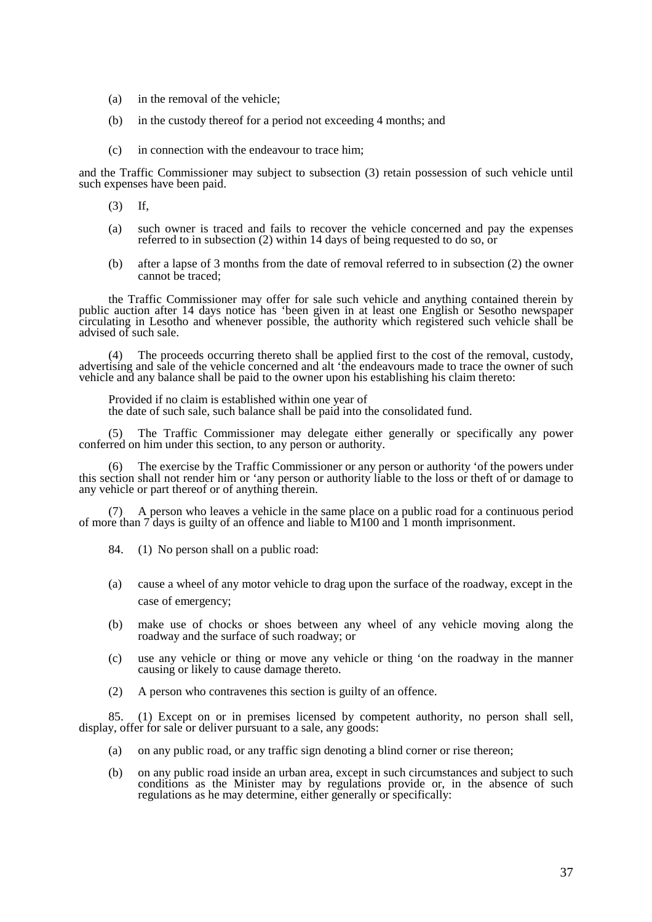- (a) in the removal of the vehicle;
- (b) in the custody thereof for a period not exceeding 4 months; and
- (c) in connection with the endeavour to trace him;

and the Traffic Commissioner may subject to subsection (3) retain possession of such vehicle until such expenses have been paid.

- (3) If,
- (a) such owner is traced and fails to recover the vehicle concerned and pay the expenses referred to in subsection (2) within 14 days of being requested to do so, or
- (b) after a lapse of 3 months from the date of removal referred to in subsection (2) the owner cannot be traced;

the Traffic Commissioner may offer for sale such vehicle and anything contained therein by public auction after 14 days notice has 'been given in at least one English or Sesotho newspaper circulating in Lesotho and whenever possible, the authority which registered such vehicle shall be advised of such sale.

(4) The proceeds occurring thereto shall be applied first to the cost of the removal, custody, advertising and sale of the vehicle concerned and alt 'the endeavours made to trace the owner of such vehicle and any balance shall be paid to the owner upon his establishing his claim thereto:

Provided if no claim is established within one year of the date of such sale, such balance shall be paid into the consolidated fund.

(5) The Traffic Commissioner may delegate either generally or specifically any power conferred on him under this section, to any person or authority.

The exercise by the Traffic Commissioner or any person or authority 'of the powers under this section shall not render him or 'any person or authority liable to the loss or theft of or damage to any vehicle or part thereof or of anything therein.

(7) A person who leaves a vehicle in the same place on a public road for a continuous period of more than 7 days is guilty of an offence and liable to M100 and 1 month imprisonment.

- 84. (1) No person shall on a public road:
- (a) cause a wheel of any motor vehicle to drag upon the surface of the roadway, except in the case of emergency;
- (b) make use of chocks or shoes between any wheel of any vehicle moving along the roadway and the surface of such roadway; or
- (c) use any vehicle or thing or move any vehicle or thing 'on the roadway in the manner causing or likely to cause damage thereto.
- (2) A person who contravenes this section is guilty of an offence.

85. (1) Except on or in premises licensed by competent authority, no person shall sell, display, offer for sale or deliver pursuant to a sale, any goods:

- (a) on any public road, or any traffic sign denoting a blind corner or rise thereon;
- (b) on any public road inside an urban area, except in such circumstances and subject to such conditions as the Minister may by regulations provide or, in the absence of such regulations as he may determine, either generally or specifically: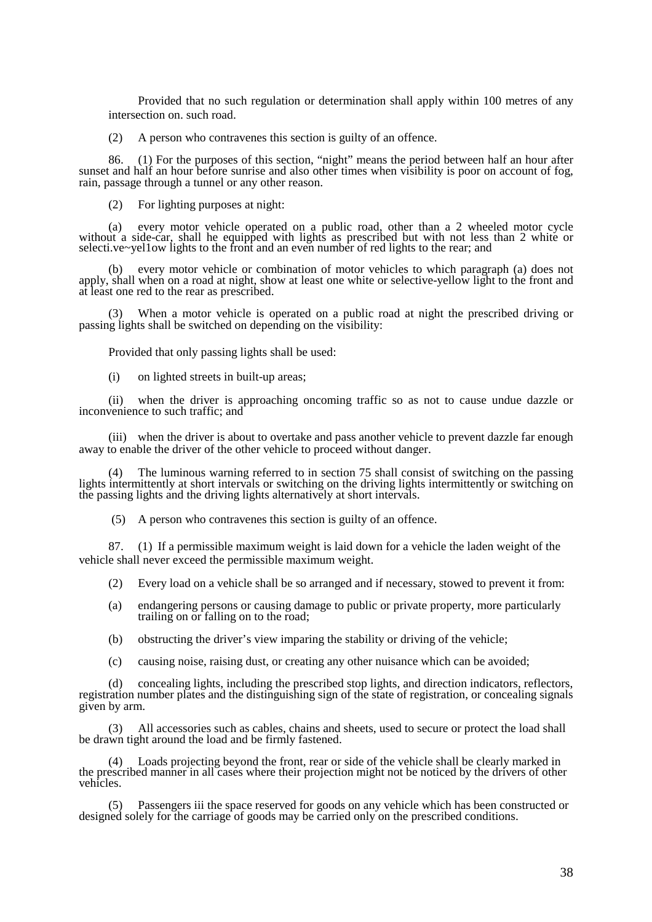Provided that no such regulation or determination shall apply within 100 metres of any intersection on. such road.

(2) A person who contravenes this section is guilty of an offence.

86. (1) For the purposes of this section, "night" means the period between half an hour after sunset and half an hour before sunrise and also other times when visibility is poor on account of fog, rain, passage through a tunnel or any other reason.

(2) For lighting purposes at night:

(a) every motor vehicle operated on a public road, other than a 2 wheeled motor cycle without a side-car, shall he equipped with lights as prescribed but with not less than 2 white or selecti.ve~yel1ow lights to the front and an even number of red lights to the rear; and

every motor vehicle or combination of motor vehicles to which paragraph (a) does not apply, shall when on a road at night, show at least one white or selective-yellow light to the front and at least one red to the rear as prescribed.

(3) When a motor vehicle is operated on a public road at night the prescribed driving or passing lights shall be switched on depending on the visibility:

Provided that only passing lights shall be used:

(i) on lighted streets in built-up areas;

(ii) when the driver is approaching oncoming traffic so as not to cause undue dazzle or inconvenience to such traffic; and

(iii) when the driver is about to overtake and pass another vehicle to prevent dazzle far enough away to enable the driver of the other vehicle to proceed without danger.

(4) The luminous warning referred to in section 75 shall consist of switching on the passing lights intermittently at short intervals or switching on the driving lights intermittently or switching on the passing lights and the driving lights alternatively at short intervals.

(5) A person who contravenes this section is guilty of an offence.

87. (1) If a permissible maximum weight is laid down for a vehicle the laden weight of the vehicle shall never exceed the permissible maximum weight.

(2) Every load on a vehicle shall be so arranged and if necessary, stowed to prevent it from:

- (a) endangering persons or causing damage to public or private property, more particularly trailing on or falling on to the road;
- (b) obstructing the driver's view imparing the stability or driving of the vehicle;
- (c) causing noise, raising dust, or creating any other nuisance which can be avoided;

(d) concealing lights, including the prescribed stop lights, and direction indicators, reflectors, registration number plates and the distinguishing sign of the state of registration, or concealing signals given by arm.

(3) All accessories such as cables, chains and sheets, used to secure or protect the load shall be drawn tight around the load and be firmly fastened.

(4) Loads projecting beyond the front, rear or side of the vehicle shall be clearly marked in the prescribed manner in all cases where their projection might not be noticed by the drivers of other vehicles.

Passengers iii the space reserved for goods on any vehicle which has been constructed or designed solely for the carriage of goods may be carried only on the prescribed conditions.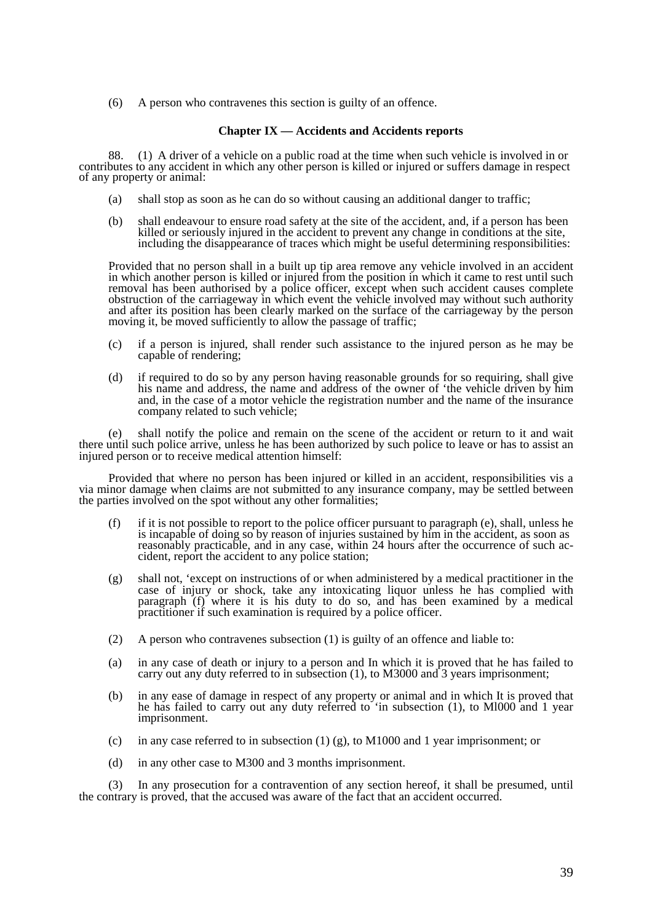(6) A person who contravenes this section is guilty of an offence.

## **Chapter IX — Accidents and Accidents reports**

88. (1) A driver of a vehicle on a public road at the time when such vehicle is involved in or contributes to any accident in which any other person is killed or injured or suffers damage in respect of any property or animal:

- (a) shall stop as soon as he can do so without causing an additional danger to traffic;
- (b) shall endeavour to ensure road safety at the site of the accident, and, if a person has been killed or seriously injured in the accident to prevent any change in conditions at the site, including the disappearance of traces which might be useful determining responsibilities:

Provided that no person shall in a built up tip area remove any vehicle involved in an accident in which another person is killed or injured from the position in which it came to rest until such removal has been authorised by a police officer, except when such accident causes complete obstruction of the carriageway in which event the vehicle involved may without such authority and after its position has been clearly marked on the surface of the carriageway by the person moving it, be moved sufficiently to allow the passage of traffic;

- (c) if a person is injured, shall render such assistance to the injured person as he may be capable of rendering;
- (d) if required to do so by any person having reasonable grounds for so requiring, shall give his name and address, the name and address of the owner of 'the vehicle driven by him and, in the case of a motor vehicle the registration number and the name of the insurance company related to such vehicle;

(e) shall notify the police and remain on the scene of the accident or return to it and wait there until such police arrive, unless he has been authorized by such police to leave or has to assist an injured person or to receive medical attention himself:

Provided that where no person has been injured or killed in an accident, responsibilities vis a via minor damage when claims are not submitted to any insurance company, may be settled between the parties involved on the spot without any other formalities;

- (f) if it is not possible to report to the police officer pursuant to paragraph (e), shall, unless he is incapable of doing so by reason of injuries sustained by him in the accident, as soon as reasonably practicable, and in any case, within 24 hours after the occurrence of such accident, report the accident to any police station;
- (g) shall not, 'except on instructions of or when administered by a medical practitioner in the case of injury or shock, take any intoxicating liquor unless he has complied with paragraph (f) where it is his duty to do so, and has been examined by a medical practitioner if such examination is required by a police officer.
- (2) A person who contravenes subsection (1) is guilty of an offence and liable to:
- (a) in any case of death or injury to a person and In which it is proved that he has failed to carry out any duty referred to in subsection (1), to M3000 and 3 years imprisonment;
- (b) in any ease of damage in respect of any property or animal and in which It is proved that he has failed to carry out any duty referred to 'in subsection (1), to Ml000 and 1 year imprisonment.
- (c) in any case referred to in subsection  $(1)$  (g), to M1000 and 1 year imprisonment; or
- (d) in any other case to M300 and 3 months imprisonment.

(3) In any prosecution for a contravention of any section hereof, it shall be presumed, until the contrary is proved, that the accused was aware of the fact that an accident occurred.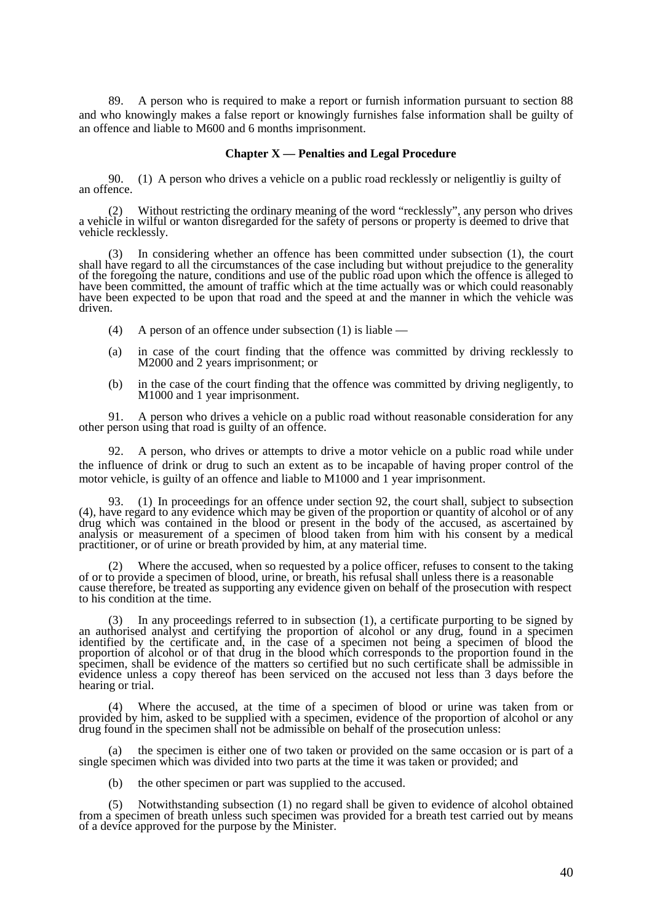89. A person who is required to make a report or furnish information pursuant to section 88 and who knowingly makes a false report or knowingly furnishes false information shall be guilty of an offence and liable to M600 and 6 months imprisonment.

#### **Chapter X — Penalties and Legal Procedure**

90. (1) A person who drives a vehicle on a public road recklessly or neligentliy is guilty of an offence.

 (2) Without restricting the ordinary meaning of the word "recklessly", any person who drives a vehicle in wilful or wanton disregarded for the safety of persons or property is deemed to drive that vehicle recklessly.

(3) In considering whether an offence has been committed under subsection (1), the court shall have regard to all the circumstances of the case including but without prejudice to the generality of the foregoing the nature, conditions and use of the public road upon which the offence is alleged to have been committed, the amount of traffic which at the time actually was or which could reasonably have been expected to be upon that road and the speed at and the manner in which the vehicle was driven.

- (4) A person of an offence under subsection (1) is liable —
- (a) in case of the court finding that the offence was committed by driving recklessly to M2000 and 2 years imprisonment; or
- (b) in the case of the court finding that the offence was committed by driving negligently, to M1000 and 1 year imprisonment.

91. A person who drives a vehicle on a public road without reasonable consideration for any other person using that road is guilty of an offence.

92. A person, who drives or attempts to drive a motor vehicle on a public road while under the influence of drink or drug to such an extent as to be incapable of having proper control of the motor vehicle, is guilty of an offence and liable to M1000 and 1 year imprisonment.

93. (1) In proceedings for an offence under section 92, the court shall, subject to subsection (4), have regard to any evidence which may be given of the proportion or quantity of alcohol or of any drug which was contained in the blood or present in the body of the accused, as ascertained by analysis or measurement of a specimen of blood taken from him with his consent by a medical practitioner, or of urine or breath provided by him, at any material time.

(2) Where the accused, when so requested by a police officer, refuses to consent to the taking of or to provide a specimen of blood, urine, or breath, his refusal shall unless there is a reasonable cause therefore, be treated as supporting any evidence given on behalf of the prosecution with respect to his condition at the time.

(3) In any proceedings referred to in subsection (1), a certificate purporting to be signed by an authorised analyst and certifying the proportion of alcohol or any drug, found in a specimen identified by the certificate and, in the case of a specimen not being a specimen of blood the proportion of alcohol or of that drug in the blood which corresponds to the proportion found in the specimen, shall be evidence of the matters so certified but no such certificate shall be admissible in evidence unless a copy thereof has been serviced on the accused not less than 3 days before the hearing or trial.

(4) Where the accused, at the time of a specimen of blood or urine was taken from or provided by him, asked to be supplied with a specimen, evidence of the proportion of alcohol or any drug found in the specimen shall not be admissible on behalf of the prosecution unless:

(a) the specimen is either one of two taken or provided on the same occasion or is part of a single specimen which was divided into two parts at the time it was taken or provided; and

(b) the other specimen or part was supplied to the accused.

(5) Notwithstanding subsection (1) no regard shall be given to evidence of alcohol obtained from a specimen of breath unless such specimen was provided for a breath test carried out by means of a device approved for the purpose by the Minister.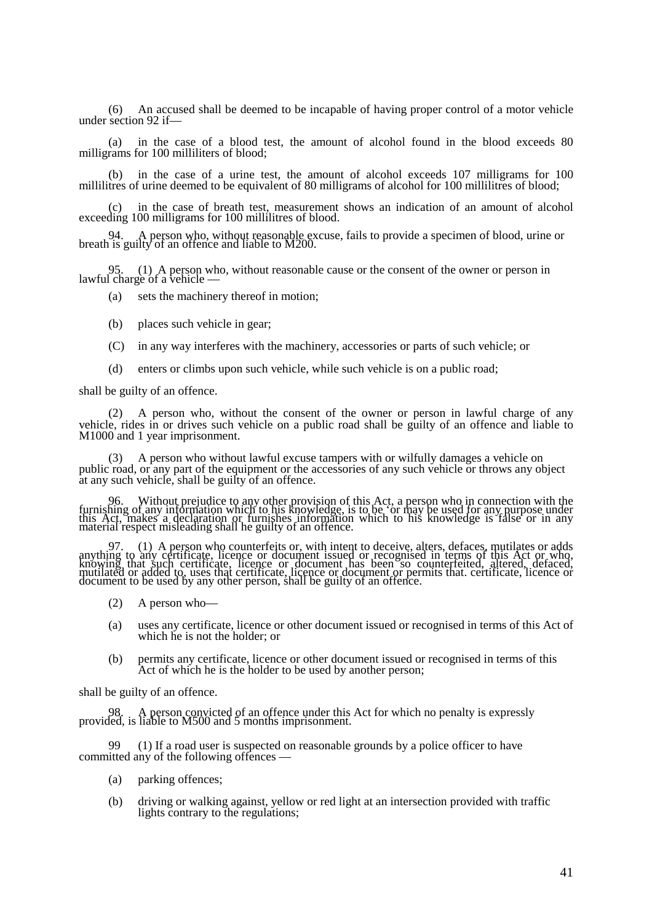(6) An accused shall be deemed to be incapable of having proper control of a motor vehicle under section 92 if—

(a) in the case of a blood test, the amount of alcohol found in the blood exceeds 80 milligrams for 100 milliliters of blood;

in the case of a urine test, the amount of alcohol exceeds  $107$  milligrams for  $100$ millilitres of urine deemed to be equivalent of 80 milligrams of alcohol for 100 millilitres of blood;

(c) in the case of breath test, measurement shows an indication of an amount of alcohol exceeding 100 milligrams for 100 millilitres of blood.

94. A person who, without reasonable excuse, fails to provide a specimen of blood, urine or breath is guilty of an offence and liable to M200.

95. (1) A person who, without reasonable cause or the consent of the owner or person in lawful charge of a vehicle —

- (a) sets the machinery thereof in motion;
- (b) places such vehicle in gear;
- (C) in any way interferes with the machinery, accessories or parts of such vehicle; or
- (d) enters or climbs upon such vehicle, while such vehicle is on a public road;

shall be guilty of an offence.

A person who, without the consent of the owner or person in lawful charge of any vehicle, rides in or drives such vehicle on a public road shall be guilty of an offence and liable to M1000 and 1 year imprisonment.

(3) A person who without lawful excuse tampers with or wilfully damages a vehicle on public road, or any part of the equipment or the accessories of any such vehicle or throws any object at any such vehicle, shall be guilty of an offence.

96. Without prejudice to any other provision of this Act, a person who in connection with the furnishing of any information which to his knowledge, is to be 'or may be used for any purpose under this Act, makes a declarati

97. (1) A person who counterfeits or, with intent to deceive, alters, defaces, mutilates or adds<br>anything to any certificate, licence or document issued or recognised in terms of this Act or who,<br>knowing that such certific

- (2) A person who—
- (a) uses any certificate, licence or other document issued or recognised in terms of this Act of which he is not the holder; or
- (b) permits any certificate, licence or other document issued or recognised in terms of this Act of which he is the holder to be used by another person;

shall be guilty of an offence.

98. A person convicted of an offence under this Act for which no penalty is expressly provided, is liable to M500 and 5 months imprisonment.

99 (1) If a road user is suspected on reasonable grounds by a police officer to have committed any of the following offences —

- (a) parking offences;
- (b) driving or walking against, yellow or red light at an intersection provided with traffic lights contrary to the regulations;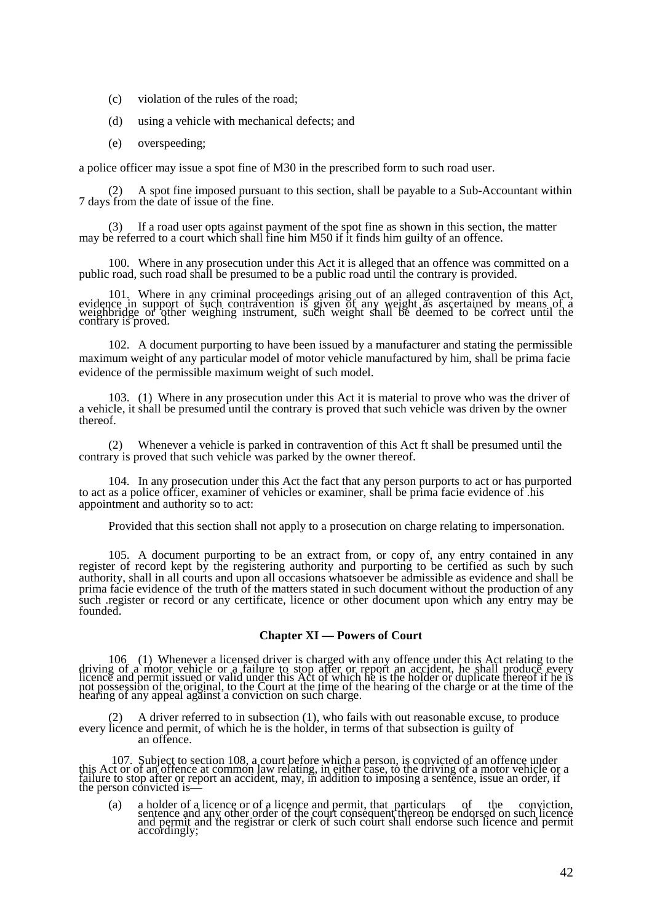- (c) violation of the rules of the road;
- (d) using a vehicle with mechanical defects; and
- (e) overspeeding;

a police officer may issue a spot fine of M30 in the prescribed form to such road user.

(2) A spot fine imposed pursuant to this section, shall be payable to a Sub-Accountant within 7 days from the date of issue of the fine.

(3) If a road user opts against payment of the spot fine as shown in this section, the matter may be referred to a court which shall fine him M50 if it finds him guilty of an offence.

100. Where in any prosecution under this Act it is alleged that an offence was committed on a public road, such road shall be presumed to be a public road until the contrary is provided.

101. Where in any criminal proceedings arising out of an alleged contravention of this Act, evidence in support of such contravention is given of any weight as ascertained by means of a weighbridge or other weighing instru

102. A document purporting to have been issued by a manufacturer and stating the permissible maximum weight of any particular model of motor vehicle manufactured by him, shall be prima facie evidence of the permissible maximum weight of such model.

103. (1) Where in any prosecution under this Act it is material to prove who was the driver of a vehicle, it shall be presumed until the contrary is proved that such vehicle was driven by the owner thereof.

(2) Whenever a vehicle is parked in contravention of this Act ft shall be presumed until the contrary is proved that such vehicle was parked by the owner thereof.

104. In any prosecution under this Act the fact that any person purports to act or has purported to act as a police officer, examiner of vehicles or examiner, shall be prima facie evidence of .his appointment and authority so to act:

Provided that this section shall not apply to a prosecution on charge relating to impersonation.

105. A document purporting to be an extract from, or copy of, any entry contained in any register of record kept by the registering authority and purporting to be certified as such by such authority, shall in all courts and upon all occasions whatsoever be admissible as evidence and shall be prima facie evidence of the truth of the matters stated in such document without the production of any such .register or record or any certificate, licence or other document upon which any entry may be founded.

#### **Chapter XI — Powers of Court**

106 (1) Whenever a licensed driver is charged with any offence under this Act relating to the driving of a motor vehicle or a failure to stop after or report an accident, he shall produce every licence and permit issued or valid under this Act of which he is the holder or duplicate thereof if he is not possession of the original, to the Court at the time of the hearing of the charge or at the time of the hearing of any appeal against a conviction on such charge.

(2) A driver referred to in subsection (1), who fails with out reasonable excuse, to produce every licence and permit, of which he is the holder, in terms of that subsection is guilty of an offence.

107. Subject to section 108, a court before which a person, is convicted of an offence under<br>this Act or of an offence at common law relating, in either case, to the driving of a motor vehicle or a failure to stop after or report an accident, may, in addition to imposing a sentence, issue an order, if the person convicted is—

(a) a holder of a licence or of a licence and permit, that particulars of the conviction, sentence and any other order of the court consequent thereon be endorsed on such licence and permit and the registrar or clerk of su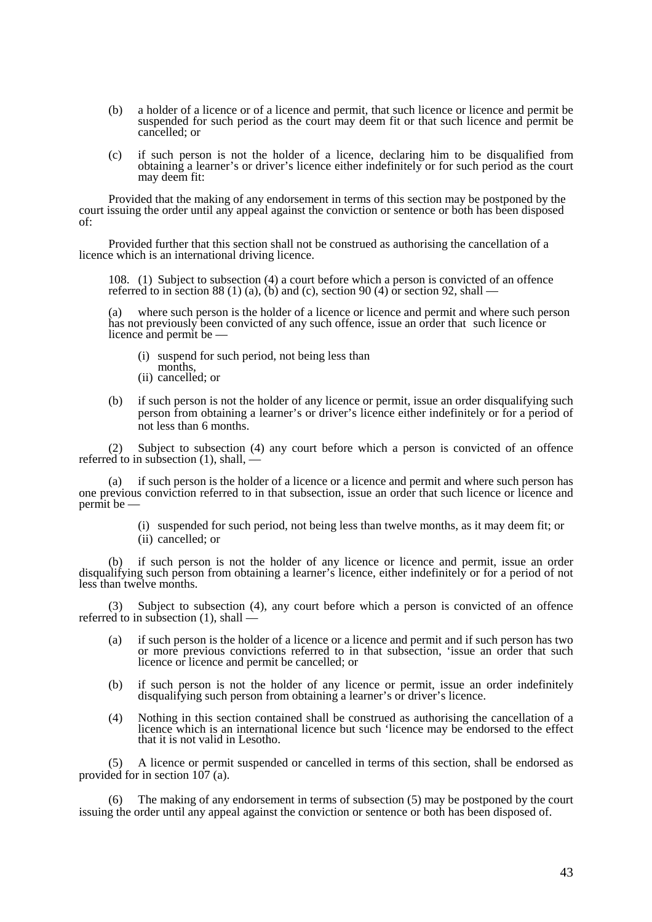- (b) a holder of a licence or of a licence and permit, that such licence or licence and permit be suspended for such period as the court may deem fit or that such licence and permit be cancelled; or
- (c) if such person is not the holder of a licence, declaring him to be disqualified from obtaining a learner's or driver's licence either indefinitely or for such period as the court may deem fit:

Provided that the making of any endorsement in terms of this section may be postponed by the court issuing the order until any appeal against the conviction or sentence or both has been disposed of:

Provided further that this section shall not be construed as authorising the cancellation of a licence which is an international driving licence.

108. (1) Subject to subsection (4) a court before which a person is convicted of an offence referred to in section 88 (1) (a), (b) and (c), section 90 (4) or section 92, shall -

(a) where such person is the holder of a licence or licence and permit and where such person has not previously been convicted of any such offence, issue an order that such licence or licence and permit be —

- (i) suspend for such period, not being less than months,
- (ii) cancelled; or
- (b) if such person is not the holder of any licence or permit, issue an order disqualifying such person from obtaining a learner's or driver's licence either indefinitely or for a period of not less than 6 months.

(2) Subject to subsection (4) any court before which a person is convicted of an offence referred to in subsection  $(1)$ , shall, -

(a) if such person is the holder of a licence or a licence and permit and where such person has one previous conviction referred to in that subsection, issue an order that such licence or licence and permit be —

> (i) suspended for such period, not being less than twelve months, as it may deem fit; or (ii) cancelled; or

if such person is not the holder of any licence or licence and permit, issue an order disqualifying such person from obtaining a learner's licence, either indefinitely or for a period of not less than twelve months.

(3) Subject to subsection (4), any court before which a person is convicted of an offence referred to in subsection (1), shall —

- (a) if such person is the holder of a licence or a licence and permit and if such person has two or more previous convictions referred to in that subsection, 'issue an order that such licence or licence and permit be cancelled; or
- (b) if such person is not the holder of any licence or permit, issue an order indefinitely disqualifying such person from obtaining a learner's or driver's licence.
- (4) Nothing in this section contained shall be construed as authorising the cancellation of a licence which is an international licence but such 'licence may be endorsed to the effect that it is not valid in Lesotho.

(5) A licence or permit suspended or cancelled in terms of this section, shall be endorsed as provided for in section 107 (a).

(6) The making of any endorsement in terms of subsection (5) may be postponed by the court issuing the order until any appeal against the conviction or sentence or both has been disposed of.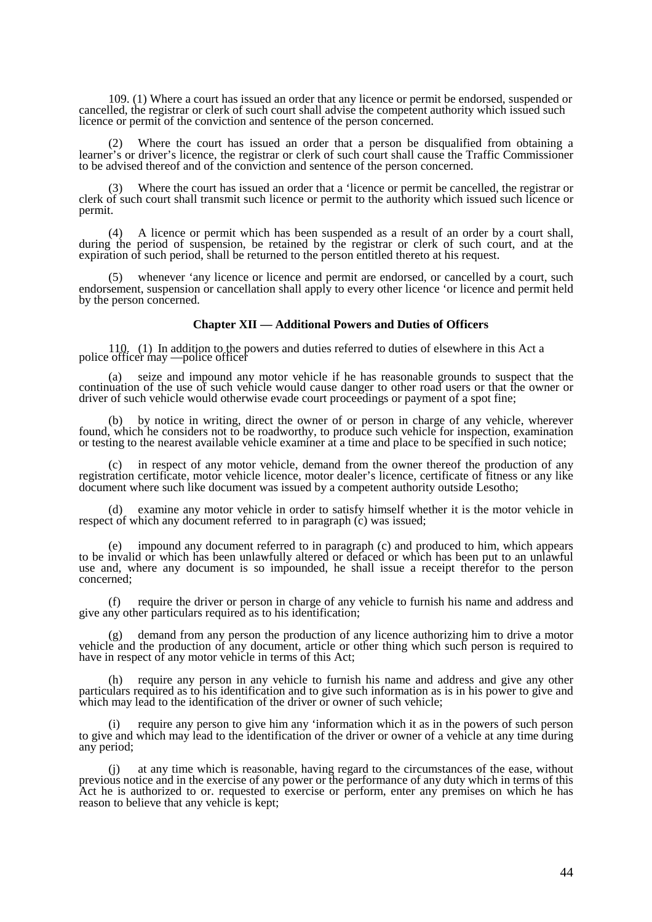109. (1) Where a court has issued an order that any licence or permit be endorsed, suspended or cancelled, the registrar or clerk of such court shall advise the competent authority which issued such licence or permit of the conviction and sentence of the person concerned.

Where the court has issued an order that a person be disqualified from obtaining a learner's or driver's licence, the registrar or clerk of such court shall cause the Traffic Commissioner to be advised thereof and of the conviction and sentence of the person concerned.

(3) Where the court has issued an order that a 'licence or permit be cancelled, the registrar or clerk of such court shall transmit such licence or permit to the authority which issued such licence or permit.

(4) A licence or permit which has been suspended as a result of an order by a court shall, during the period of suspension, be retained by the registrar or clerk of such court, and at the expiration of such period, shall be returned to the person entitled thereto at his request.

(5) whenever 'any licence or licence and permit are endorsed, or cancelled by a court, such endorsement, suspension or cancellation shall apply to every other licence 'or licence and permit held by the person concerned.

#### **Chapter XII — Additional Powers and Duties of Officers**

110. (1) In addition to the powers and duties referred to duties of elsewhere in this Act a police officer may —police officer

(a) seize and impound any motor vehicle if he has reasonable grounds to suspect that the continuation of the use of such vehicle would cause danger to other road users or that the owner or driver of such vehicle would otherwise evade court proceedings or payment of a spot fine;

(b) by notice in writing, direct the owner of or person in charge of any vehicle, wherever found, which he considers not to be roadworthy, to produce such vehicle for inspection, examination or testing to the nearest available vehicle examiner at a time and place to be specified in such notice;

(c) in respect of any motor vehicle, demand from the owner thereof the production of any registration certificate, motor vehicle licence, motor dealer's licence, certificate of fitness or any like document where such like document was issued by a competent authority outside Lesotho;

(d) examine any motor vehicle in order to satisfy himself whether it is the motor vehicle in respect of which any document referred to in paragraph (c) was issued;

(e) impound any document referred to in paragraph (c) and produced to him, which appears to be invalid or which has been unlawfully altered or defaced or which has been put to an unlawful use and, where any document is so impounded, he shall issue a receipt therefor to the person concerned;

(f) require the driver or person in charge of any vehicle to furnish his name and address and give any other particulars required as to his identification;

demand from any person the production of any licence authorizing him to drive a motor vehicle and the production of any document, article or other thing which such person is required to have in respect of any motor vehicle in terms of this Act;

(h) require any person in any vehicle to furnish his name and address and give any other particulars required as to his identification and to give such information as is in his power to give and which may lead to the identification of the driver or owner of such vehicle;

require any person to give him any 'information which it as in the powers of such person to give and which may lead to the identification of the driver or owner of a vehicle at any time during any period;

at any time which is reasonable, having regard to the circumstances of the ease, without previous notice and in the exercise of any power or the performance of any duty which in terms of this Act he is authorized to or. requested to exercise or perform, enter any premises on which he has reason to believe that any vehicle is kept;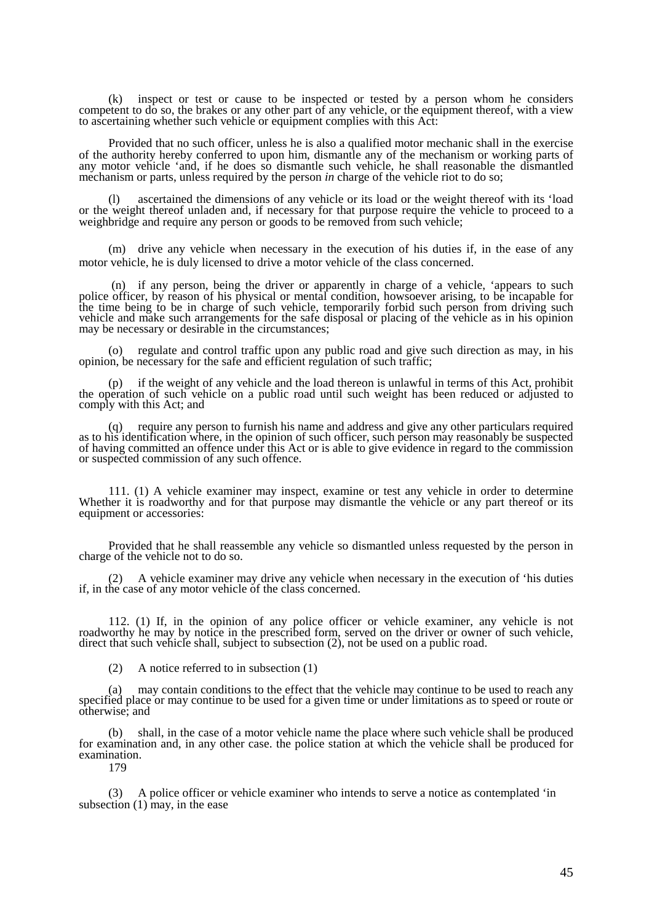(k) inspect or test or cause to be inspected or tested by a person whom he considers competent to do so, the brakes or any other part of any vehicle, or the equipment thereof, with a view to ascertaining whether such vehicle or equipment complies with this Act:

Provided that no such officer, unless he is also a qualified motor mechanic shall in the exercise of the authority hereby conferred to upon him, dismantle any of the mechanism or working parts of any motor vehicle 'and, if he does so dismantle such vehicle, he shall reasonable the dismantled mechanism or parts, unless required by the person *in* charge of the vehicle riot to do so;

(l) ascertained the dimensions of any vehicle or its load or the weight thereof with its 'load or the weight thereof unladen and, if necessary for that purpose require the vehicle to proceed to a weighbridge and require any person or goods to be removed from such vehicle;

(m) drive any vehicle when necessary in the execution of his duties if, in the ease of any motor vehicle, he is duly licensed to drive a motor vehicle of the class concerned.

 (n) if any person, being the driver or apparently in charge of a vehicle, 'appears to such police officer, by reason of his physical or mental condition, howsoever arising, to be incapable for the time being to be in charge of such vehicle, temporarily forbid such person from driving such vehicle and make such arrangements for the safe disposal or placing of the vehicle as in his opinion may be necessary or desirable in the circumstances;

(o) regulate and control traffic upon any public road and give such direction as may, in his opinion, be necessary for the safe and efficient regulation of such traffic;

(p) if the weight of any vehicle and the load thereon is unlawful in terms of this Act, prohibit the operation of such vehicle on a public road until such weight has been reduced or adjusted to comply with this Act; and

(q) require any person to furnish his name and address and give any other particulars required as to his identification where, in the opinion of such officer, such person may reasonably be suspected of having committed an offence under this Act or is able to give evidence in regard to the commission or suspected commission of any such offence.

111. (1) A vehicle examiner may inspect, examine or test any vehicle in order to determine Whether it is roadworthy and for that purpose may dismantle the vehicle or any part thereof or its equipment or accessories:

Provided that he shall reassemble any vehicle so dismantled unless requested by the person in charge of the vehicle not to do so.

(2) A vehicle examiner may drive any vehicle when necessary in the execution of 'his duties if, in the case of any motor vehicle of the class concerned.

112. (1) If, in the opinion of any police officer or vehicle examiner, any vehicle is not roadworthy he may by notice in the prescribed form, served on the driver or owner of such vehicle, direct that such vehicle shall, subject to subsection (2), not be used on a public road.

(2) A notice referred to in subsection (1)

(a) may contain conditions to the effect that the vehicle may continue to be used to reach any specified place or may continue to be used for a given time or under limitations as to speed or route or otherwise; and

(b) shall, in the case of a motor vehicle name the place where such vehicle shall be produced for examination and, in any other case. the police station at which the vehicle shall be produced for examination.

179

(3) A police officer or vehicle examiner who intends to serve a notice as contemplated 'in subsection  $(1)$  may, in the ease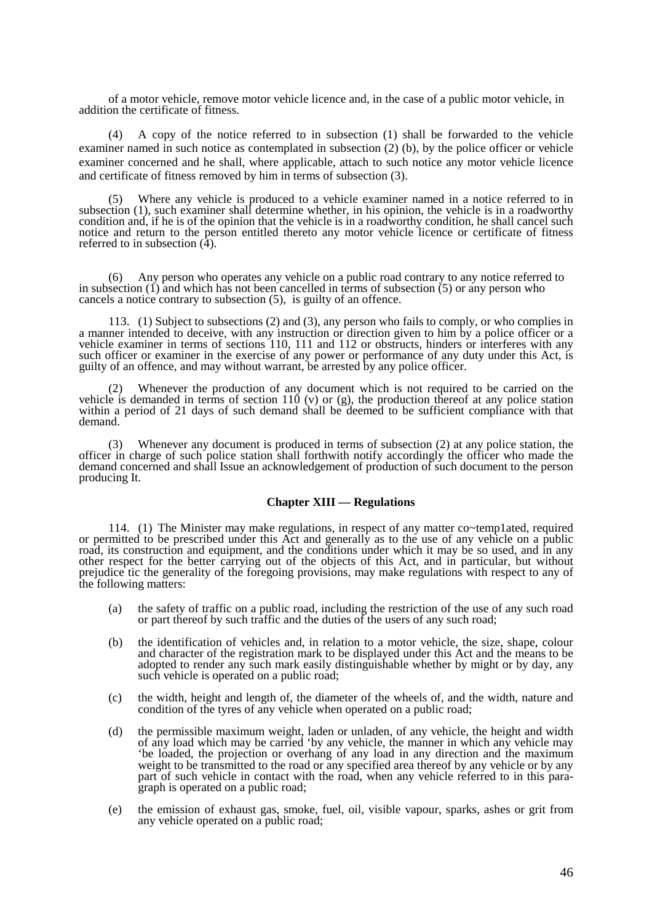of a motor vehicle, remove motor vehicle licence and, in the case of a public motor vehicle, in addition the certificate of fitness.

(4) A copy of the notice referred to in subsection (1) shall be forwarded to the vehicle examiner named in such notice as contemplated in subsection (2) (b), by the police officer or vehicle examiner concerned and he shall, where applicable, attach to such notice any motor vehicle licence and certificate of fitness removed by him in terms of subsection (3).

(5) Where any vehicle is produced to a vehicle examiner named in a notice referred to in subsection (1), such examiner shall determine whether, in his opinion, the vehicle is in a roadworthy condition and, if he is of the opinion that the vehicle is in a roadworthy condition, he shall cancel such notice and return to the person entitled thereto any motor vehicle licence or certificate of fitness referred to in subsection (4).

(6) Any person who operates any vehicle on a public road contrary to any notice referred to in subsection  $(1)$  and which has not been cancelled in terms of subsection  $(5)$  or any person who cancels a notice contrary to subsection (5), is guilty of an offence.

113. (1) Subject to subsections (2) and (3), any person who fails to comply, or who complies in a manner intended to deceive, with any instruction or direction given to him by a police officer or a vehicle examiner in terms of sections 110, 111 and 112 or obstructs, hinders or interferes with any such officer or examiner in the exercise of any power or performance of any duty under this Act, is guilty of an offence, and may without warrant, be arrested by any police officer.

Whenever the production of any document which is not required to be carried on the vehicle is demanded in terms of section  $110$  (v) or (g), the production thereof at any police station within a period of 21 days of such demand shall be deemed to be sufficient compliance with that demand.

(3) Whenever any document is produced in terms of subsection (2) at any police station, the officer in charge of such police station shall forthwith notify accordingly the officer who made the demand concerned and shall Issue an acknowledgement of production of such document to the person producing It.

#### **Chapter XIII — Regulations**

114. (1) The Minister may make regulations, in respect of any matter co~temp1ated, required or permitted to be prescribed under this Act and generally as to the use of any vehicle on a public road, its construction and equipment, and the conditions under which it may be so used, and in any other respect for the better carrying out of the objects of this Act, and in particular, but without prejudice tic the generality of the foregoing provisions, may make regulations with respect to any of the following matters:

- (a) the safety of traffic on a public road, including the restriction of the use of any such road or part thereof by such traffic and the duties of the users of any such road;
- (b) the identification of vehicles and, in relation to a motor vehicle, the size, shape, colour and character of the registration mark to be displayed under this Act and the means to be adopted to render any such mark easily distinguishable whether by might or by day, any such vehicle is operated on a public road;
- (c) the width, height and length of, the diameter of the wheels of, and the width, nature and condition of the tyres of any vehicle when operated on a public road;
- (d) the permissible maximum weight, laden or unladen, of any vehicle, the height and width of any load which may be carried 'by any vehicle, the manner in which any vehicle may 'be loaded, the projection or overhang of any load in any direction and the maximum weight to be transmitted to the road or any specified area thereof by any vehicle or by any part of such vehicle in contact with the road, when any vehicle referred to in this paragraph is operated on a public road;
- (e) the emission of exhaust gas, smoke, fuel, oil, visible vapour, sparks, ashes or grit from any vehicle operated on a public road;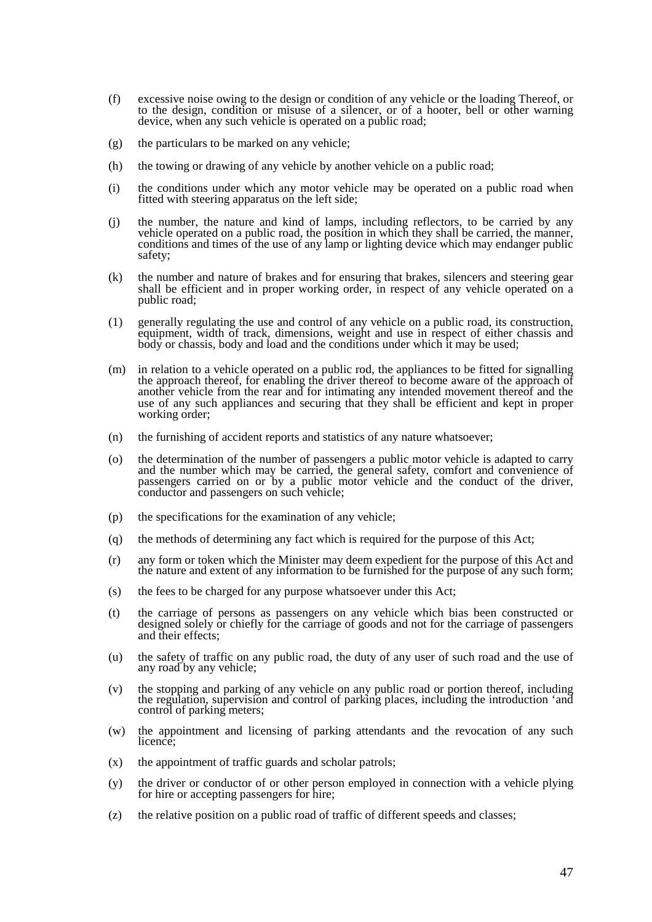- (f) excessive noise owing to the design or condition of any vehicle or the loading Thereof, or to the design, condition or misuse of a silencer, or of a hooter, bell or other warning device, when any such vehicle is operated on a public road;
- (g) the particulars to be marked on any vehicle;
- (h) the towing or drawing of any vehicle by another vehicle on a public road;
- (i) the conditions under which any motor vehicle may be operated on a public road when fitted with steering apparatus on the left side;
- (j) the number, the nature and kind of lamps, including reflectors, to be carried by any vehicle operated on a public road, the position in which they shall be carried, the manner, conditions and times of the use of any lamp or lighting device which may endanger public safety;
- (k) the number and nature of brakes and for ensuring that brakes, silencers and steering gear shall be efficient and in proper working order, in respect of any vehicle operated on a public road;
- (1) generally regulating the use and control of any vehicle on a public road, its construction, equipment, width of track, dimensions, weight and use in respect of either chassis and  $\text{b}$ ody or chassis, body and load and the conditions under which it may be used;
- (m) in relation to a vehicle operated on a public rod, the appliances to be fitted for signalling the approach thereof, for enabling the driver thereof to become aware of the approach of another vehicle from the rear and for intimating any intended movement thereof and the use of any such appliances and securing that they shall be efficient and kept in proper working order;
- (n) the furnishing of accident reports and statistics of any nature whatsoever;
- (o) the determination of the number of passengers a public motor vehicle is adapted to carry and the number which may be carried, the general safety, comfort and convenience of passengers carried on or by a public motor vehicle and the conduct of the driver, conductor and passengers on such vehicle;
- (p) the specifications for the examination of any vehicle;
- (q) the methods of determining any fact which is required for the purpose of this Act;
- (r) any form or token which the Minister may deem expedient for the purpose of this Act and the nature and extent of any information to be furnished for the purpose of any such form;
- (s) the fees to be charged for any purpose whatsoever under this Act;
- (t) the carriage of persons as passengers on any vehicle which bias been constructed or designed solely or chiefly for the carriage of goods and not for the carriage of passengers and their effects;
- (u) the safety of traffic on any public road, the duty of any user of such road and the use of any road by any vehicle;
- (v) the stopping and parking of any vehicle on any public road or portion thereof, including the regulation, supervision and control of parking places, including the introduction 'and control of parking meters;
- (w) the appointment and licensing of parking attendants and the revocation of any such licence;
- (x) the appointment of traffic guards and scholar patrols;
- (y) the driver or conductor of or other person employed in connection with a vehicle plying for hire or accepting passengers for hire;
- (z) the relative position on a public road of traffic of different speeds and classes;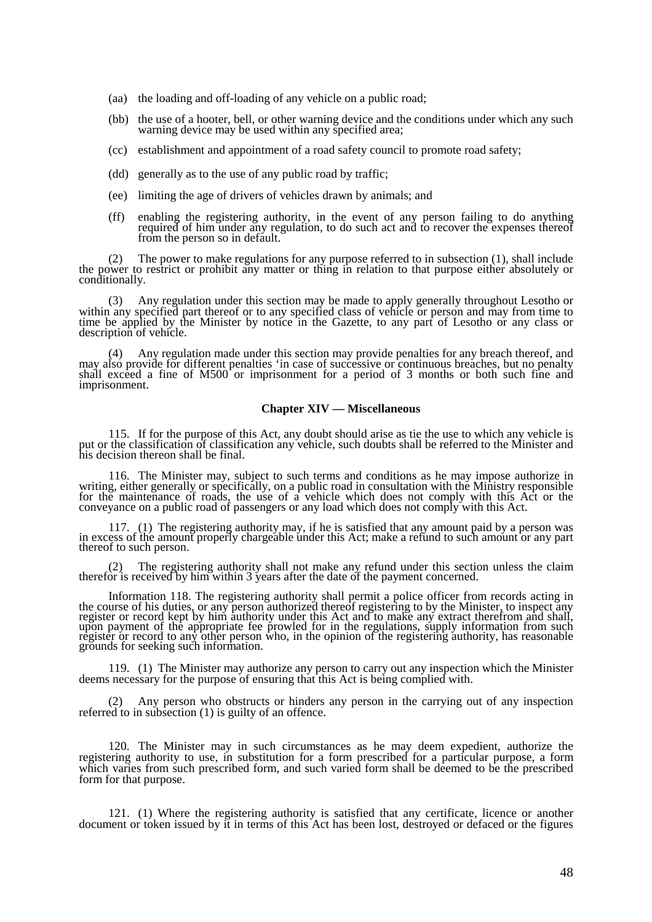- (aa) the loading and off-loading of any vehicle on a public road;
- (bb) the use of a hooter, bell, or other warning device and the conditions under which any such warning device may be used within any specified area;
- (cc) establishment and appointment of a road safety council to promote road safety;
- (dd) generally as to the use of any public road by traffic;
- (ee) limiting the age of drivers of vehicles drawn by animals; and
- (ff) enabling the registering authority, in the event of any person failing to do anything required of him under any regulation, to do such act and to recover the expenses thereof from the person so in default.

(2) The power to make regulations for any purpose referred to in subsection (1), shall include the power to restrict or prohibit any matter or thing in relation to that purpose either absolutely or conditionally.

(3) Any regulation under this section may be made to apply generally throughout Lesotho or within any specified part thereof or to any specified class of vehicle or person and may from time to time be applied by the Minister by notice in the Gazette, to any part of Lesotho or any class or description of vehicle.

(4) Any regulation made under this section may provide penalties for any breach thereof, and may also provide for different penalties 'in case of successive or continuous breaches, but no penalty shall exceed a fine of M500 or imprisonment for a period of 3 months or both such fine and imprisonment.

#### **Chapter XIV — Miscellaneous**

115. If for the purpose of this Act, any doubt should arise as tie the use to which any vehicle is put or the classification of classification any vehicle, such doubts shall be referred to the Minister and his decision thereon shall be final.

116. The Minister may, subject to such terms and conditions as he may impose authorize in writing, either generally or specifically, on a public road in consultation with the Ministry responsible for the maintenance of roads, the use of a vehicle which does not comply with this Act or the conveyance on a public road of passengers or any load which does not comply with this Act.

117. (1) The registering authority may, if he is satisfied that any amount paid by a person was in excess of the amount properly chargeable under this Act; make a refund to such amount or any part thereof to such person.

(2) The registering authority shall not make any refund under this section unless the claim therefor is received by him within 3 years after the date of the payment concerned.

Information 118. The registering authority shall permit a police officer from records acting in the course of his duties, or any person authorized thereof registering to by the Minister, to inspect any register or record kept by him authority under this Act and to make any extract therefrom and shall, upon payment of the appropriate fee prowled for in the regulations, supply information from such register or record to any other person who, in the opinion of the registering authority, has reasonable grounds for seeking such information.

119. (1) The Minister may authorize any person to carry out any inspection which the Minister deems necessary for the purpose of ensuring that this Act is being complied with.

(2) Any person who obstructs or hinders any person in the carrying out of any inspection referred to in subsection (1) is guilty of an offence.

120. The Minister may in such circumstances as he may deem expedient, authorize the registering authority to use, in substitution for a form prescribed for a particular purpose, a form which varies from such prescribed form, and such varied form shall be deemed to be the prescribed form for that purpose.

121. (1) Where the registering authority is satisfied that any certificate, licence or another document or token issued by it in terms of this Act has been lost, destroyed or defaced or the figures